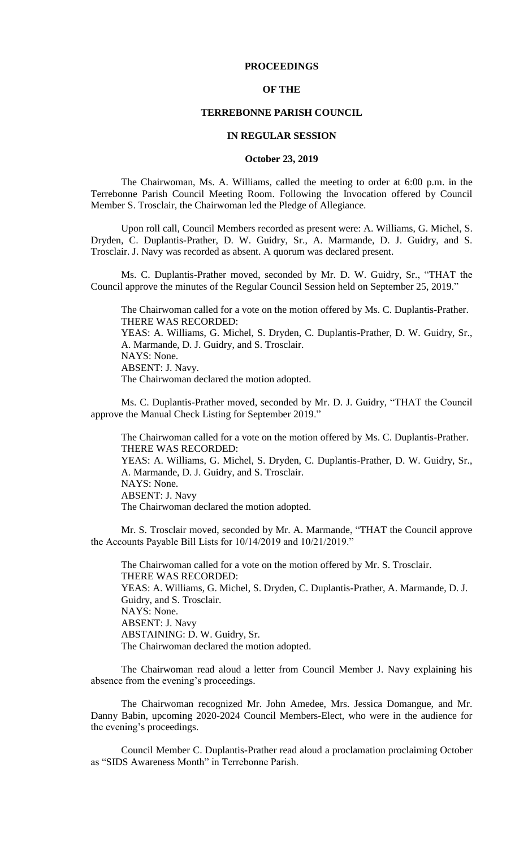### **PROCEEDINGS**

#### **OF THE**

#### **TERREBONNE PARISH COUNCIL**

#### **IN REGULAR SESSION**

#### **October 23, 2019**

The Chairwoman, Ms. A. Williams, called the meeting to order at 6:00 p.m. in the Terrebonne Parish Council Meeting Room. Following the Invocation offered by Council Member S. Trosclair, the Chairwoman led the Pledge of Allegiance.

Upon roll call, Council Members recorded as present were: A. Williams, G. Michel, S. Dryden, C. Duplantis-Prather, D. W. Guidry, Sr., A. Marmande, D. J. Guidry, and S. Trosclair. J. Navy was recorded as absent. A quorum was declared present.

Ms. C. Duplantis-Prather moved, seconded by Mr. D. W. Guidry, Sr., "THAT the Council approve the minutes of the Regular Council Session held on September 25, 2019."

The Chairwoman called for a vote on the motion offered by Ms. C. Duplantis-Prather. THERE WAS RECORDED:

YEAS: A. Williams, G. Michel, S. Dryden, C. Duplantis-Prather, D. W. Guidry, Sr., A. Marmande, D. J. Guidry, and S. Trosclair. NAYS: None.

ABSENT: J. Navy.

The Chairwoman declared the motion adopted.

Ms. C. Duplantis-Prather moved, seconded by Mr. D. J. Guidry, "THAT the Council approve the Manual Check Listing for September 2019."

The Chairwoman called for a vote on the motion offered by Ms. C. Duplantis-Prather. THERE WAS RECORDED: YEAS: A. Williams, G. Michel, S. Dryden, C. Duplantis-Prather, D. W. Guidry, Sr., A. Marmande, D. J. Guidry, and S. Trosclair. NAYS: None. ABSENT: J. Navy The Chairwoman declared the motion adopted.

Mr. S. Trosclair moved, seconded by Mr. A. Marmande, "THAT the Council approve the Accounts Payable Bill Lists for 10/14/2019 and 10/21/2019."

The Chairwoman called for a vote on the motion offered by Mr. S. Trosclair. THERE WAS RECORDED: YEAS: A. Williams, G. Michel, S. Dryden, C. Duplantis-Prather, A. Marmande, D. J. Guidry, and S. Trosclair. NAYS: None. ABSENT: J. Navy ABSTAINING: D. W. Guidry, Sr. The Chairwoman declared the motion adopted.

The Chairwoman read aloud a letter from Council Member J. Navy explaining his absence from the evening's proceedings.

The Chairwoman recognized Mr. John Amedee, Mrs. Jessica Domangue, and Mr. Danny Babin, upcoming 2020-2024 Council Members-Elect, who were in the audience for the evening's proceedings.

Council Member C. Duplantis-Prather read aloud a proclamation proclaiming October as "SIDS Awareness Month" in Terrebonne Parish.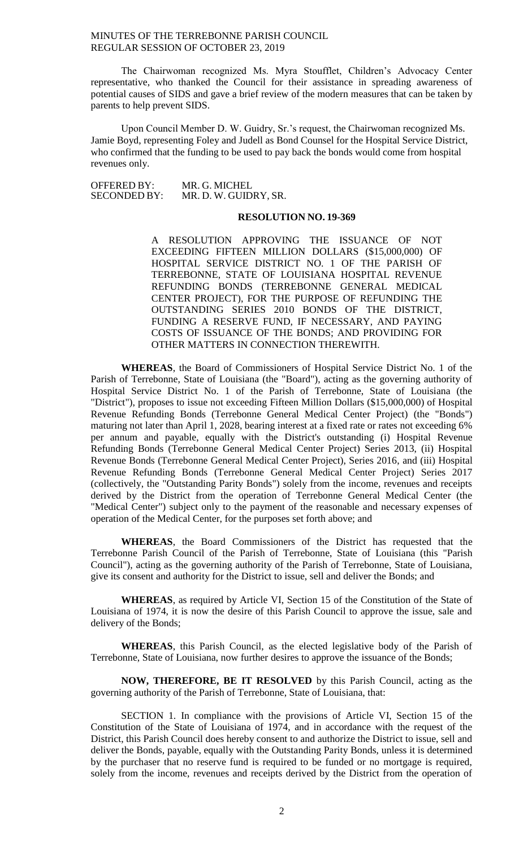The Chairwoman recognized Ms. Myra Stoufflet, Children's Advocacy Center representative, who thanked the Council for their assistance in spreading awareness of potential causes of SIDS and gave a brief review of the modern measures that can be taken by parents to help prevent SIDS.

Upon Council Member D. W. Guidry, Sr.'s request, the Chairwoman recognized Ms. Jamie Boyd, representing Foley and Judell as Bond Counsel for the Hospital Service District, who confirmed that the funding to be used to pay back the bonds would come from hospital revenues only.

OFFERED BY: MR. G. MICHEL<br>SECONDED BY: MR. D. W. GUID MR. D. W. GUIDRY, SR.

#### **RESOLUTION NO. 19-369**

A RESOLUTION APPROVING THE ISSUANCE OF NOT EXCEEDING FIFTEEN MILLION DOLLARS (\$15,000,000) OF HOSPITAL SERVICE DISTRICT NO. 1 OF THE PARISH OF TERREBONNE, STATE OF LOUISIANA HOSPITAL REVENUE REFUNDING BONDS (TERREBONNE GENERAL MEDICAL CENTER PROJECT), FOR THE PURPOSE OF REFUNDING THE OUTSTANDING SERIES 2010 BONDS OF THE DISTRICT, FUNDING A RESERVE FUND, IF NECESSARY, AND PAYING COSTS OF ISSUANCE OF THE BONDS; AND PROVIDING FOR OTHER MATTERS IN CONNECTION THEREWITH.

**WHEREAS**, the Board of Commissioners of Hospital Service District No. 1 of the Parish of Terrebonne, State of Louisiana (the "Board"), acting as the governing authority of Hospital Service District No. 1 of the Parish of Terrebonne, State of Louisiana (the "District"), proposes to issue not exceeding Fifteen Million Dollars (\$15,000,000) of Hospital Revenue Refunding Bonds (Terrebonne General Medical Center Project) (the "Bonds") maturing not later than April 1, 2028, bearing interest at a fixed rate or rates not exceeding 6% per annum and payable, equally with the District's outstanding (i) Hospital Revenue Refunding Bonds (Terrebonne General Medical Center Project) Series 2013, (ii) Hospital Revenue Bonds (Terrebonne General Medical Center Project), Series 2016, and (iii) Hospital Revenue Refunding Bonds (Terrebonne General Medical Center Project) Series 2017 (collectively, the "Outstanding Parity Bonds") solely from the income, revenues and receipts derived by the District from the operation of Terrebonne General Medical Center (the "Medical Center") subject only to the payment of the reasonable and necessary expenses of operation of the Medical Center, for the purposes set forth above; and

**WHEREAS**, the Board Commissioners of the District has requested that the Terrebonne Parish Council of the Parish of Terrebonne, State of Louisiana (this "Parish Council"), acting as the governing authority of the Parish of Terrebonne, State of Louisiana, give its consent and authority for the District to issue, sell and deliver the Bonds; and

**WHEREAS**, as required by Article VI, Section 15 of the Constitution of the State of Louisiana of 1974, it is now the desire of this Parish Council to approve the issue, sale and delivery of the Bonds;

**WHEREAS**, this Parish Council, as the elected legislative body of the Parish of Terrebonne, State of Louisiana, now further desires to approve the issuance of the Bonds;

**NOW, THEREFORE, BE IT RESOLVED** by this Parish Council, acting as the governing authority of the Parish of Terrebonne, State of Louisiana, that:

SECTION 1. In compliance with the provisions of Article VI, Section 15 of the Constitution of the State of Louisiana of 1974, and in accordance with the request of the District, this Parish Council does hereby consent to and authorize the District to issue, sell and deliver the Bonds, payable, equally with the Outstanding Parity Bonds, unless it is determined by the purchaser that no reserve fund is required to be funded or no mortgage is required, solely from the income, revenues and receipts derived by the District from the operation of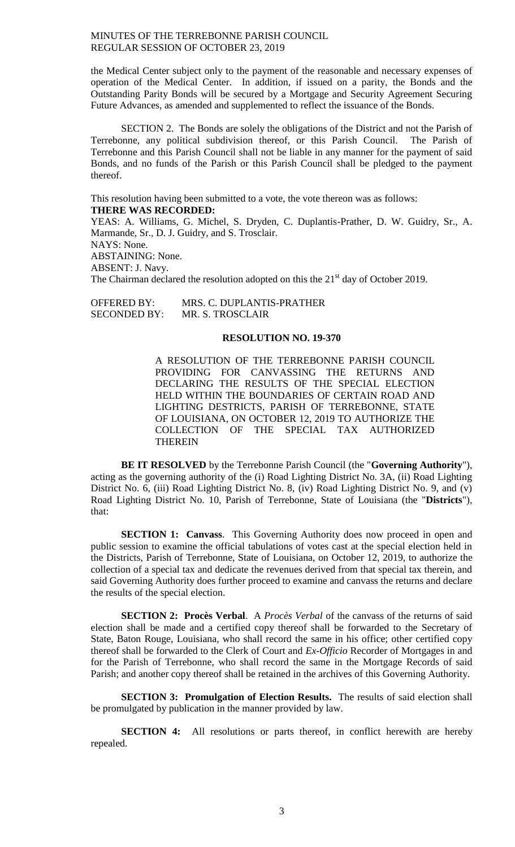the Medical Center subject only to the payment of the reasonable and necessary expenses of operation of the Medical Center. In addition, if issued on a parity, the Bonds and the Outstanding Parity Bonds will be secured by a Mortgage and Security Agreement Securing Future Advances, as amended and supplemented to reflect the issuance of the Bonds.

SECTION 2. The Bonds are solely the obligations of the District and not the Parish of Terrebonne, any political subdivision thereof, or this Parish Council. The Parish of Terrebonne and this Parish Council shall not be liable in any manner for the payment of said Bonds, and no funds of the Parish or this Parish Council shall be pledged to the payment thereof.

This resolution having been submitted to a vote, the vote thereon was as follows: **THERE WAS RECORDED:**

YEAS: A. Williams, G. Michel, S. Dryden, C. Duplantis-Prather, D. W. Guidry, Sr., A. Marmande, Sr., D. J. Guidry, and S. Trosclair. NAYS: None. ABSTAINING: None. ABSENT: J. Navy. The Chairman declared the resolution adopted on this the  $21<sup>st</sup>$  day of October 2019.

OFFERED BY: MRS. C. DUPLANTIS-PRATHER SECONDED BY: MR. S. TROSCLAIR

## **RESOLUTION NO. 19-370**

A RESOLUTION OF THE TERREBONNE PARISH COUNCIL PROVIDING FOR CANVASSING THE RETURNS AND DECLARING THE RESULTS OF THE SPECIAL ELECTION HELD WITHIN THE BOUNDARIES OF CERTAIN ROAD AND LIGHTING DESTRICTS, PARISH OF TERREBONNE, STATE OF LOUISIANA, ON OCTOBER 12, 2019 TO AUTHORIZE THE COLLECTION OF THE SPECIAL TAX AUTHORIZED **THEREIN** 

**BE IT RESOLVED** by the Terrebonne Parish Council (the "**Governing Authority**"), acting as the governing authority of the (i) Road Lighting District No. 3A, (ii) Road Lighting District No. 6, (iii) Road Lighting District No. 8, (iv) Road Lighting District No. 9, and (v) Road Lighting District No. 10, Parish of Terrebonne, State of Louisiana (the "**Districts**"), that:

**SECTION 1: Canvass.** This Governing Authority does now proceed in open and public session to examine the official tabulations of votes cast at the special election held in the Districts, Parish of Terrebonne, State of Louisiana, on October 12, 2019, to authorize the collection of a special tax and dedicate the revenues derived from that special tax therein, and said Governing Authority does further proceed to examine and canvass the returns and declare the results of the special election.

**SECTION 2: Procès Verbal**. A *Procès Verbal* of the canvass of the returns of said election shall be made and a certified copy thereof shall be forwarded to the Secretary of State, Baton Rouge, Louisiana, who shall record the same in his office; other certified copy thereof shall be forwarded to the Clerk of Court and *Ex-Officio* Recorder of Mortgages in and for the Parish of Terrebonne, who shall record the same in the Mortgage Records of said Parish; and another copy thereof shall be retained in the archives of this Governing Authority.

**SECTION 3: Promulgation of Election Results.** The results of said election shall be promulgated by publication in the manner provided by law.

**SECTION 4:** All resolutions or parts thereof, in conflict herewith are hereby repealed.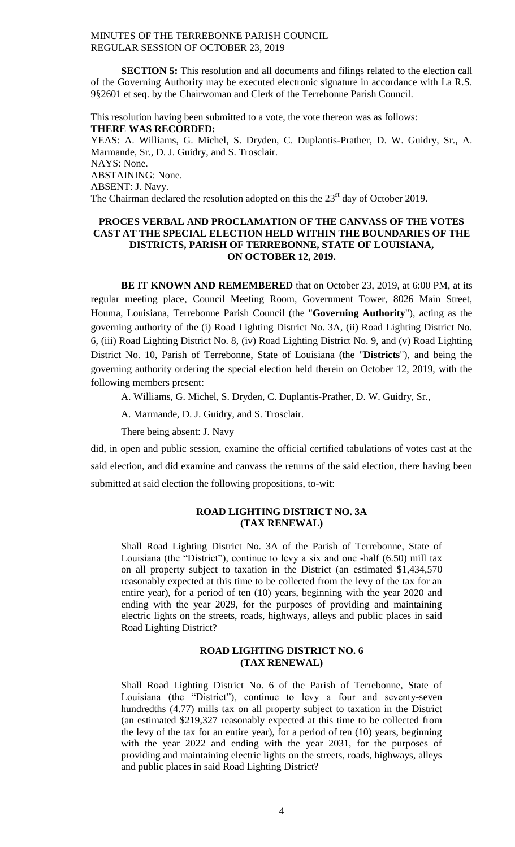**SECTION 5:** This resolution and all documents and filings related to the election call of the Governing Authority may be executed electronic signature in accordance with La R.S. 9§2601 et seq. by the Chairwoman and Clerk of the Terrebonne Parish Council.

This resolution having been submitted to a vote, the vote thereon was as follows: **THERE WAS RECORDED:** YEAS: A. Williams, G. Michel, S. Dryden, C. Duplantis-Prather, D. W. Guidry, Sr., A. Marmande, Sr., D. J. Guidry, and S. Trosclair. NAYS: None. ABSTAINING: None. ABSENT: J. Navy. The Chairman declared the resolution adopted on this the  $23<sup>st</sup>$  day of October 2019.

# **PROCES VERBAL AND PROCLAMATION OF THE CANVASS OF THE VOTES CAST AT THE SPECIAL ELECTION HELD WITHIN THE BOUNDARIES OF THE DISTRICTS, PARISH OF TERREBONNE, STATE OF LOUISIANA, ON OCTOBER 12, 2019.**

**BE IT KNOWN AND REMEMBERED** that on October 23, 2019, at 6:00 PM, at its regular meeting place, Council Meeting Room, Government Tower, 8026 Main Street, Houma, Louisiana, Terrebonne Parish Council (the "**Governing Authority**"), acting as the governing authority of the (i) Road Lighting District No. 3A, (ii) Road Lighting District No. 6, (iii) Road Lighting District No. 8, (iv) Road Lighting District No. 9, and (v) Road Lighting District No. 10, Parish of Terrebonne, State of Louisiana (the "**Districts**"), and being the governing authority ordering the special election held therein on October 12, 2019, with the following members present:

A. Williams, G. Michel, S. Dryden, C. Duplantis-Prather, D. W. Guidry, Sr.,

A. Marmande, D. J. Guidry, and S. Trosclair.

There being absent: J. Navy

did, in open and public session, examine the official certified tabulations of votes cast at the said election, and did examine and canvass the returns of the said election, there having been submitted at said election the following propositions, to-wit:

## **ROAD LIGHTING DISTRICT NO. 3A (TAX RENEWAL)**

Shall Road Lighting District No. 3A of the Parish of Terrebonne, State of Louisiana (the "District"), continue to levy a six and one -half (6.50) mill tax on all property subject to taxation in the District (an estimated \$1,434,570 reasonably expected at this time to be collected from the levy of the tax for an entire year), for a period of ten (10) years, beginning with the year 2020 and ending with the year 2029, for the purposes of providing and maintaining electric lights on the streets, roads, highways, alleys and public places in said Road Lighting District?

# **ROAD LIGHTING DISTRICT NO. 6 (TAX RENEWAL)**

Shall Road Lighting District No. 6 of the Parish of Terrebonne, State of Louisiana (the "District"), continue to levy a four and seventy-seven hundredths (4.77) mills tax on all property subject to taxation in the District (an estimated \$219,327 reasonably expected at this time to be collected from the levy of the tax for an entire year), for a period of ten (10) years, beginning with the year 2022 and ending with the year 2031, for the purposes of providing and maintaining electric lights on the streets, roads, highways, alleys and public places in said Road Lighting District?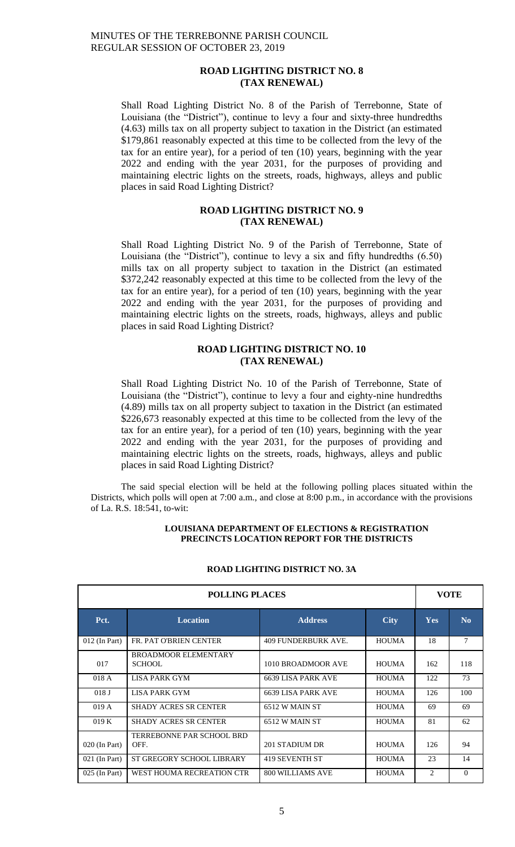## **ROAD LIGHTING DISTRICT NO. 8 (TAX RENEWAL)**

Shall Road Lighting District No. 8 of the Parish of Terrebonne, State of Louisiana (the "District"), continue to levy a four and sixty-three hundredths (4.63) mills tax on all property subject to taxation in the District (an estimated \$179,861 reasonably expected at this time to be collected from the levy of the tax for an entire year), for a period of ten (10) years, beginning with the year 2022 and ending with the year 2031, for the purposes of providing and maintaining electric lights on the streets, roads, highways, alleys and public places in said Road Lighting District?

# **ROAD LIGHTING DISTRICT NO. 9 (TAX RENEWAL)**

Shall Road Lighting District No. 9 of the Parish of Terrebonne, State of Louisiana (the "District"), continue to levy a six and fifty hundredths (6.50) mills tax on all property subject to taxation in the District (an estimated \$372,242 reasonably expected at this time to be collected from the levy of the tax for an entire year), for a period of ten (10) years, beginning with the year 2022 and ending with the year 2031, for the purposes of providing and maintaining electric lights on the streets, roads, highways, alleys and public places in said Road Lighting District?

## **ROAD LIGHTING DISTRICT NO. 10 (TAX RENEWAL)**

Shall Road Lighting District No. 10 of the Parish of Terrebonne, State of Louisiana (the "District"), continue to levy a four and eighty-nine hundredths (4.89) mills tax on all property subject to taxation in the District (an estimated \$226,673 reasonably expected at this time to be collected from the levy of the tax for an entire year), for a period of ten (10) years, beginning with the year 2022 and ending with the year 2031, for the purposes of providing and maintaining electric lights on the streets, roads, highways, alleys and public places in said Road Lighting District?

The said special election will be held at the following polling places situated within the Districts, which polls will open at 7:00 a.m., and close at 8:00 p.m., in accordance with the provisions of La. R.S. 18:541, to-wit:

#### **LOUISIANA DEPARTMENT OF ELECTIONS & REGISTRATION PRECINCTS LOCATION REPORT FOR THE DISTRICTS**

| <b>POLLING PLACES</b> |                                       |                     |              | <b>VOTE</b> |                |
|-----------------------|---------------------------------------|---------------------|--------------|-------------|----------------|
| Pct.                  | <b>Location</b>                       | <b>Address</b>      | <b>City</b>  | <b>Yes</b>  | N <sub>0</sub> |
| $012$ (In Part)       | FR. PAT O'BRIEN CENTER                | 409 FUNDERBURK AVE. | <b>HOUMA</b> | 18          | 7              |
| 017                   | <b>BROADMOOR ELEMENTARY</b><br>SCHOOL | 1010 BROADMOOR AVE  | <b>HOUMA</b> | 162         | 118            |
| 018 A                 | LISA PARK GYM                         | 6639 LISA PARK AVE  | <b>HOUMA</b> | 122         | 73             |
| 018J                  | LISA PARK GYM                         | 6639 LISA PARK AVE  | <b>HOUMA</b> | 126         | 100            |
| 019A                  | <b>SHADY ACRES SR CENTER</b>          | 6512 W MAIN ST      | <b>HOUMA</b> | 69          | 69             |
| 019K                  | <b>SHADY ACRES SR CENTER</b>          | 6512 W MAIN ST      | <b>HOUMA</b> | 81          | 62             |
| 020 (In Part)         | TERREBONNE PAR SCHOOL BRD<br>OFF.     | 201 STADIUM DR      | <b>HOUMA</b> | 126         | 94             |
| $021$ (In Part)       | ST GREGORY SCHOOL LIBRARY             | 419 SEVENTH ST      | <b>HOUMA</b> | 23          | 14             |
| 025 (In Part)         | WEST HOUMA RECREATION CTR             | 800 WILLIAMS AVE    | <b>HOUMA</b> | 2           | $\Omega$       |

# **ROAD LIGHTING DISTRICT NO. 3A**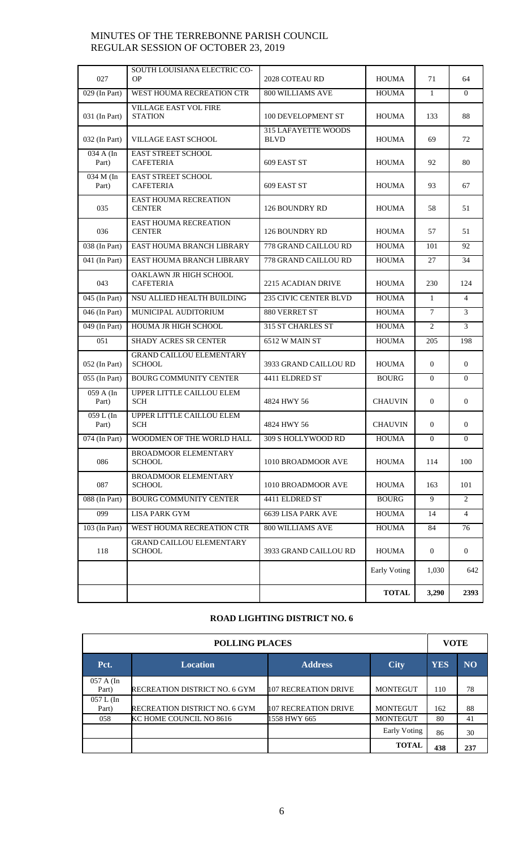| 027                             | SOUTH LOUISIANA ELECTRIC CO-<br>OP               | 2028 COTEAU RD                            | <b>HOUMA</b>   | 71             | 64             |
|---------------------------------|--------------------------------------------------|-------------------------------------------|----------------|----------------|----------------|
| $029$ (In Part)                 | WEST HOUMA RECREATION CTR                        | 800 WILLIAMS AVE                          | <b>HOUMA</b>   | 1              | $\Omega$       |
| 031 (In Part)                   | <b>VILLAGE EAST VOL FIRE</b><br><b>STATION</b>   | 100 DEVELOPMENT ST                        | <b>HOUMA</b>   | 133            | 88             |
| 032 (In Part)                   | <b>VILLAGE EAST SCHOOL</b>                       | <b>315 LAFAYETTE WOODS</b><br><b>BLVD</b> | <b>HOUMA</b>   | 69             | 72             |
| 034 A (In<br>Part)              | <b>EAST STREET SCHOOL</b><br><b>CAFETERIA</b>    | 609 EAST ST                               | <b>HOUMA</b>   | 92             | 80             |
| 034 M (In<br>Part)              | <b>EAST STREET SCHOOL</b><br><b>CAFETERIA</b>    | 609 EAST ST                               | <b>HOUMA</b>   | 93             | 67             |
| 035                             | <b>EAST HOUMA RECREATION</b><br><b>CENTER</b>    | 126 BOUNDRY RD                            | <b>HOUMA</b>   | 58             | 51             |
| 036                             | EAST HOUMA RECREATION<br><b>CENTER</b>           | 126 BOUNDRY RD                            | <b>HOUMA</b>   | 57             | 51             |
| 038 (In Part)                   | EAST HOUMA BRANCH LIBRARY                        | 778 GRAND CAILLOU RD                      | <b>HOUMA</b>   | 101            | 92             |
| 041 (In Part)                   | <b>EAST HOUMA BRANCH LIBRARY</b>                 | 778 GRAND CAILLOU RD                      | <b>HOUMA</b>   | 27             | 34             |
| 043                             | OAKLAWN JR HIGH SCHOOL<br><b>CAFETERIA</b>       | 2215 ACADIAN DRIVE                        | <b>HOUMA</b>   | 230            | 124            |
| 045 (In Part)                   | NSU ALLIED HEALTH BUILDING                       | <b>235 CIVIC CENTER BLVD</b>              | <b>HOUMA</b>   | $\mathbf{1}$   | $\overline{4}$ |
| 046 (In Part)                   | MUNICIPAL AUDITORIUM                             | 880 VERRET ST                             | <b>HOUMA</b>   | $\tau$         | 3              |
| 049 (In Part)                   | <b>HOUMA JR HIGH SCHOOL</b>                      | 315 ST CHARLES ST                         | <b>HOUMA</b>   | $\overline{2}$ | 3              |
| 051                             | <b>SHADY ACRES SR CENTER</b>                     | 6512 W MAIN ST                            | <b>HOUMA</b>   | 205            | 198            |
| 052 (In Part)                   | <b>GRAND CAILLOU ELEMENTARY</b><br><b>SCHOOL</b> | 3933 GRAND CAILLOU RD                     | <b>HOUMA</b>   | $\mathbf{0}$   | $\Omega$       |
| 055 (In Part)                   | <b>BOURG COMMUNITY CENTER</b>                    | 4411 ELDRED ST                            | <b>BOURG</b>   | $\Omega$       | $\Omega$       |
| $\overline{059}$ A (In<br>Part) | UPPER LITTLE CAILLOU ELEM<br><b>SCH</b>          | 4824 HWY 56                               | <b>CHAUVIN</b> | $\mathbf{0}$   | $\mathbf{0}$   |
| 059 L (In<br>Part)              | UPPER LITTLE CAILLOU ELEM<br><b>SCH</b>          | 4824 HWY 56                               | <b>CHAUVIN</b> | $\mathbf{0}$   | $\mathbf{0}$   |
| $074$ (In Part)                 | WOODMEN OF THE WORLD HALL                        | 309 S HOLLYWOOD RD                        | <b>HOUMA</b>   | $\mathbf{0}$   | $\mathbf{0}$   |
| 086                             | <b>BROADMOOR ELEMENTARY</b><br><b>SCHOOL</b>     | 1010 BROADMOOR AVE                        | <b>HOUMA</b>   | 114            | 100            |
| 087                             | BROADMOOR ELEMENTARY<br><b>SCHOOL</b>            | 1010 BROADMOOR AVE                        | <b>HOUMA</b>   | 163            | 101            |
| 088 (In Part)                   | <b>BOURG COMMUNITY CENTER</b>                    | 4411 ELDRED ST                            | <b>BOURG</b>   | 9              | 2              |
| 099                             | <b>LISA PARK GYM</b>                             | <b>6639 LISA PARK AVE</b>                 | <b>HOUMA</b>   | 14             | $\overline{4}$ |
| 103 (In Part)                   | WEST HOUMA RECREATION CTR                        | <b>800 WILLIAMS AVE</b>                   | <b>HOUMA</b>   | 84             | 76             |
| 118                             | <b>GRAND CAILLOU ELEMENTARY</b><br><b>SCHOOL</b> | 3933 GRAND CAILLOU RD                     | <b>HOUMA</b>   | $\mathbf{0}$   | $\overline{0}$ |
|                                 |                                                  |                                           | Early Voting   | 1,030          | 642            |
|                                 |                                                  |                                           | <b>TOTAL</b>   | 3,290          | 2393           |

# **ROAD LIGHTING DISTRICT NO. 6**

| <b>POLLING PLACES</b> |                                                                |                      |                 | <b>VOTE</b> |     |
|-----------------------|----------------------------------------------------------------|----------------------|-----------------|-------------|-----|
| Pct.                  | <b>YES</b><br><b>Address</b><br><b>Location</b><br><b>City</b> |                      |                 |             |     |
| 057 A (In<br>Part)    | RECREATION DISTRICT NO. 6 GYM                                  | 107 RECREATION DRIVE | <b>MONTEGUT</b> | 110         | 78  |
| $057 L$ (In<br>Part)  | RECREATION DISTRICT NO. 6 GYM                                  | 107 RECREATION DRIVE | <b>MONTEGUT</b> | 162         | 88  |
| 058                   | KC HOME COUNCIL NO 8616                                        | 1558 HWY 665         | <b>MONTEGUT</b> | 80          | 41  |
|                       |                                                                |                      | Early Voting    | 86          | 30  |
|                       |                                                                |                      | <b>TOTAL</b>    | 438         | 237 |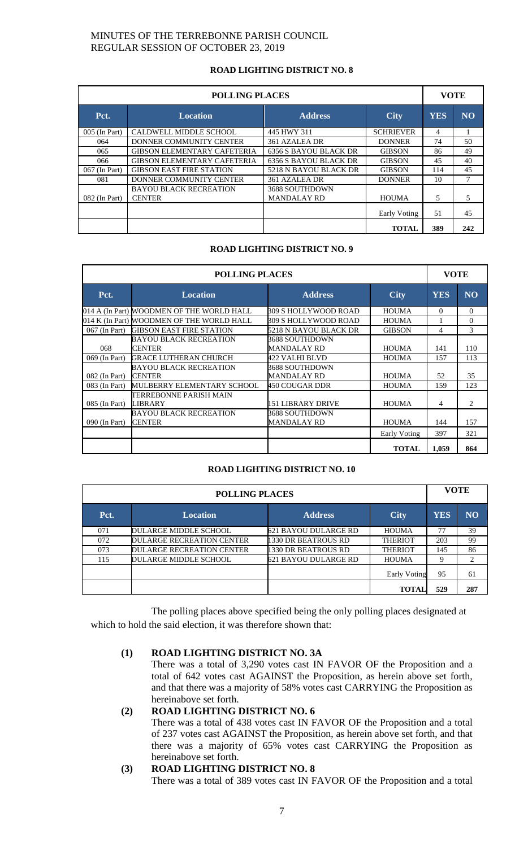# **ROAD LIGHTING DISTRICT NO. 8**

| <b>POLLING PLACES</b> |                                                |                                               |                  | <b>VOTE</b> |                |
|-----------------------|------------------------------------------------|-----------------------------------------------|------------------|-------------|----------------|
| Pct.                  | <b>Location</b>                                | <b>Address</b>                                | <b>City</b>      | <b>YES</b>  | N <sub>O</sub> |
| 005 (In Part)         | CALDWELL MIDDLE SCHOOL                         | 445 HWY 311                                   | <b>SCHRIEVER</b> | 4           |                |
| 064                   | DONNER COMMUNITY CENTER                        | 361 AZALEA DR<br><b>DONNER</b>                |                  | 74          | 50             |
| 065                   | <b>GIBSON ELEMENTARY CAFETERIA</b>             | <b>6356 S BAYOU BLACK DR</b><br><b>GIBSON</b> |                  | 86          | 49             |
| 066                   | <b>GIBSON ELEMENTARY CAFETERIA</b>             | <b>6356 S BAYOU BLACK DR</b>                  | <b>GIBSON</b>    | 45          | 40             |
| 067 (In Part)         | <b>GIBSON EAST FIRE STATION</b>                | 5218 N BAYOU BLACK DR                         | <b>GIBSON</b>    | 114         | 45             |
| 081                   | DONNER COMMUNITY CENTER                        | 361 AZALEA DR                                 | <b>DONNER</b>    | 10          | 7              |
| $082$ (In Part)       | <b>BAYOU BLACK RECREATION</b><br><b>CENTER</b> | 3688 SOUTHDOWN<br><b>MANDALAY RD</b>          | <b>HOUMA</b>     | 5           | 5              |
|                       |                                                |                                               | Early Voting     | 51          | 45             |
|                       |                                                |                                               | <b>TOTAL</b>     | 389         | 242            |

## **ROAD LIGHTING DISTRICT NO. 9**

| <b>POLLING PLACES</b> |                                           |                       | <b>VOTE</b>   |            |                |
|-----------------------|-------------------------------------------|-----------------------|---------------|------------|----------------|
| Pct.                  | <b>Location</b>                           | <b>Address</b>        | <b>City</b>   | <b>YES</b> | N <sub>O</sub> |
|                       | 014 A (In Part) WOODMEN OF THE WORLD HALL | 309 S HOLLYWOOD ROAD  | <b>HOUMA</b>  | $\Omega$   | $\Omega$       |
|                       | 014 K (In Part) WOODMEN OF THE WORLD HALL | 309 S HOLLYWOOD ROAD  | <b>HOUMA</b>  |            | $\Omega$       |
| 067 (In Part)         | <b>GIBSON EAST FIRE STATION</b>           | 5218 N BAYOU BLACK DR | <b>GIBSON</b> | 4          | 3              |
|                       | BAYOU BLACK RECREATION                    | 3688 SOUTHDOWN        |               |            |                |
| 068                   | <b>CENTER</b>                             | MANDALAY RD           | <b>HOUMA</b>  | 141        | 110            |
| 069 (In Part)         | <b>GRACE LUTHERAN CHURCH</b>              | 422 VALHI BLVD        | <b>HOUMA</b>  | 157        | 113            |
|                       | BAYOU BLACK RECREATION                    | 3688 SOUTHDOWN        |               |            |                |
| 082 (In Part)         | <b>CENTER</b>                             | MANDALAY RD           | <b>HOUMA</b>  | 52         | 35             |
| 083 (In Part)         | MULBERRY ELEMENTARY SCHOOL                | 450 COUGAR DDR        | <b>HOUMA</b>  | 159        | 123            |
|                       | TERREBONNE PARISH MAIN                    |                       |               |            |                |
| 085 (In Part)         | LIBRARY                                   | 151 LIBRARY DRIVE     | <b>HOUMA</b>  | 4          | $\overline{c}$ |
|                       | <b>BAYOU BLACK RECREATION</b>             | 3688 SOUTHDOWN        |               |            |                |
| 090 (In Part)         | <b>CENTER</b>                             | MANDALAY RD           | <b>HOUMA</b>  | 144        | 157            |
|                       |                                           |                       | Early Voting  | 397        | 321            |
|                       |                                           |                       | <b>TOTAL</b>  | 1.059      | 864            |

# **ROAD LIGHTING DISTRICT NO. 10**

| <b>POLLING PLACES</b> |                                  |                      |                | <b>VOTE</b> |           |
|-----------------------|----------------------------------|----------------------|----------------|-------------|-----------|
| Pct.                  | <b>Location</b>                  | <b>Address</b>       | <b>City</b>    | <b>YES</b>  | <b>NO</b> |
| 071                   | DULARGE MIDDLE SCHOOL            | 621 BAYOU DULARGE RD | <b>HOUMA</b>   | 77          | 39        |
| 072                   | <b>DULARGE RECREATION CENTER</b> | 1330 DR BEATROUS RD  | <b>THERIOT</b> | 203         | 99        |
| 073                   | <b>DULARGE RECREATION CENTER</b> | 1330 DR BEATROUS RD  | <b>THERIOT</b> | 145         | 86        |
| 115                   | <b>DULARGE MIDDLE SCHOOL</b>     | 621 BAYOU DULARGE RD | <b>HOUMA</b>   | 9           | 2         |
|                       |                                  |                      | Early Voting   | 95          | 61        |
|                       |                                  |                      | <b>TOTAL</b>   | 529         | 287       |

The polling places above specified being the only polling places designated at which to hold the said election, it was therefore shown that:

# **(1) ROAD LIGHTING DISTRICT NO. 3A**

There was a total of 3,290 votes cast IN FAVOR OF the Proposition and a total of 642 votes cast AGAINST the Proposition, as herein above set forth, and that there was a majority of 58% votes cast CARRYING the Proposition as hereinabove set forth.

# **(2) ROAD LIGHTING DISTRICT NO. 6**

There was a total of 438 votes cast IN FAVOR OF the Proposition and a total of 237 votes cast AGAINST the Proposition, as herein above set forth, and that there was a majority of 65% votes cast CARRYING the Proposition as hereinabove set forth.

# **(3) ROAD LIGHTING DISTRICT NO. 8**

There was a total of 389 votes cast IN FAVOR OF the Proposition and a total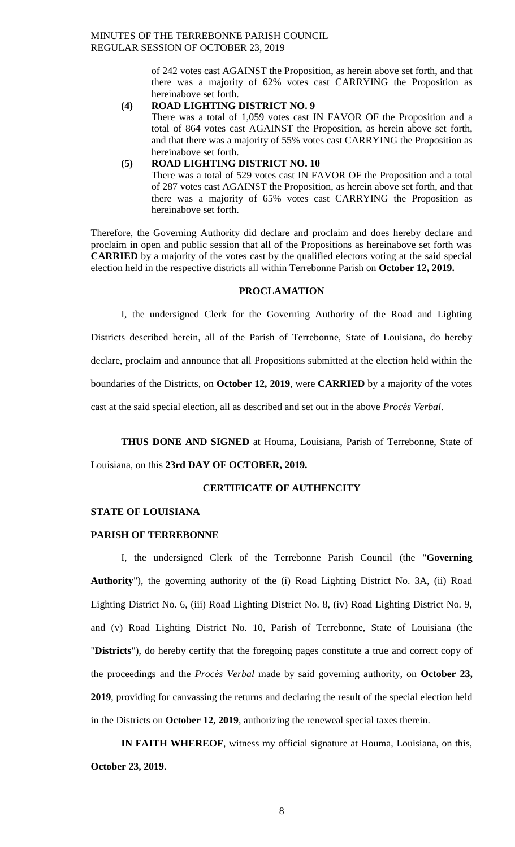of 242 votes cast AGAINST the Proposition, as herein above set forth, and that there was a majority of 62% votes cast CARRYING the Proposition as hereinabove set forth.

# **(4) ROAD LIGHTING DISTRICT NO. 9**

There was a total of 1,059 votes cast IN FAVOR OF the Proposition and a total of 864 votes cast AGAINST the Proposition, as herein above set forth, and that there was a majority of 55% votes cast CARRYING the Proposition as hereinabove set forth.

#### **(5) ROAD LIGHTING DISTRICT NO. 10**

There was a total of 529 votes cast IN FAVOR OF the Proposition and a total of 287 votes cast AGAINST the Proposition, as herein above set forth, and that there was a majority of 65% votes cast CARRYING the Proposition as hereinabove set forth.

Therefore, the Governing Authority did declare and proclaim and does hereby declare and proclaim in open and public session that all of the Propositions as hereinabove set forth was **CARRIED** by a majority of the votes cast by the qualified electors voting at the said special election held in the respective districts all within Terrebonne Parish on **October 12, 2019.**

# **PROCLAMATION**

I, the undersigned Clerk for the Governing Authority of the Road and Lighting

Districts described herein, all of the Parish of Terrebonne, State of Louisiana, do hereby

declare, proclaim and announce that all Propositions submitted at the election held within the

boundaries of the Districts, on **October 12, 2019**, were **CARRIED** by a majority of the votes

cast at the said special election, all as described and set out in the above *Procès Verbal*.

**THUS DONE AND SIGNED** at Houma, Louisiana, Parish of Terrebonne, State of

Louisiana, on this **23rd DAY OF OCTOBER, 2019.**

#### **CERTIFICATE OF AUTHENCITY**

## **STATE OF LOUISIANA**

#### **PARISH OF TERREBONNE**

I, the undersigned Clerk of the Terrebonne Parish Council (the "**Governing Authority**"), the governing authority of the (i) Road Lighting District No. 3A, (ii) Road Lighting District No. 6, (iii) Road Lighting District No. 8, (iv) Road Lighting District No. 9, and (v) Road Lighting District No. 10, Parish of Terrebonne, State of Louisiana (the "**Districts**"), do hereby certify that the foregoing pages constitute a true and correct copy of the proceedings and the *Procès Verbal* made by said governing authority, on **October 23, 2019**, providing for canvassing the returns and declaring the result of the special election held in the Districts on **October 12, 2019**, authorizing the reneweal special taxes therein.

**IN FAITH WHEREOF**, witness my official signature at Houma, Louisiana, on this, **October 23, 2019.**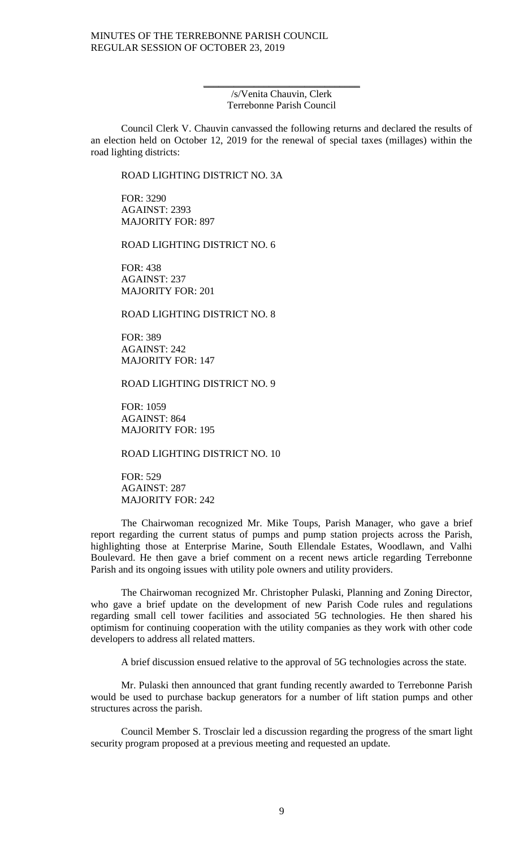/s/Venita Chauvin, Clerk Terrebonne Parish Council

\_\_\_\_\_\_\_\_\_\_\_\_\_\_\_\_\_\_\_\_\_\_\_\_\_\_\_\_\_\_\_

Council Clerk V. Chauvin canvassed the following returns and declared the results of an election held on October 12, 2019 for the renewal of special taxes (millages) within the road lighting districts:

ROAD LIGHTING DISTRICT NO. 3A

FOR: 3290 AGAINST: 2393 MAJORITY FOR: 897

ROAD LIGHTING DISTRICT NO. 6

FOR: 438 AGAINST: 237 MAJORITY FOR: 201

ROAD LIGHTING DISTRICT NO. 8

FOR: 389 AGAINST: 242 MAJORITY FOR: 147

ROAD LIGHTING DISTRICT NO. 9

FOR: 1059 AGAINST: 864 MAJORITY FOR: 195

ROAD LIGHTING DISTRICT NO. 10

FOR: 529 AGAINST: 287 MAJORITY FOR: 242

The Chairwoman recognized Mr. Mike Toups, Parish Manager, who gave a brief report regarding the current status of pumps and pump station projects across the Parish, highlighting those at Enterprise Marine, South Ellendale Estates, Woodlawn, and Valhi Boulevard. He then gave a brief comment on a recent news article regarding Terrebonne Parish and its ongoing issues with utility pole owners and utility providers.

The Chairwoman recognized Mr. Christopher Pulaski, Planning and Zoning Director, who gave a brief update on the development of new Parish Code rules and regulations regarding small cell tower facilities and associated 5G technologies. He then shared his optimism for continuing cooperation with the utility companies as they work with other code developers to address all related matters.

A brief discussion ensued relative to the approval of 5G technologies across the state.

Mr. Pulaski then announced that grant funding recently awarded to Terrebonne Parish would be used to purchase backup generators for a number of lift station pumps and other structures across the parish.

Council Member S. Trosclair led a discussion regarding the progress of the smart light security program proposed at a previous meeting and requested an update.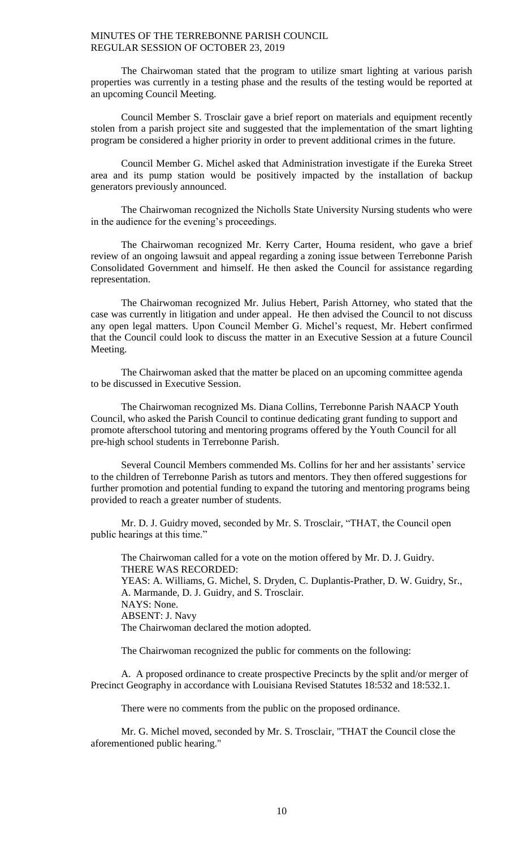The Chairwoman stated that the program to utilize smart lighting at various parish properties was currently in a testing phase and the results of the testing would be reported at an upcoming Council Meeting.

Council Member S. Trosclair gave a brief report on materials and equipment recently stolen from a parish project site and suggested that the implementation of the smart lighting program be considered a higher priority in order to prevent additional crimes in the future.

Council Member G. Michel asked that Administration investigate if the Eureka Street area and its pump station would be positively impacted by the installation of backup generators previously announced.

The Chairwoman recognized the Nicholls State University Nursing students who were in the audience for the evening's proceedings.

The Chairwoman recognized Mr. Kerry Carter, Houma resident, who gave a brief review of an ongoing lawsuit and appeal regarding a zoning issue between Terrebonne Parish Consolidated Government and himself. He then asked the Council for assistance regarding representation.

The Chairwoman recognized Mr. Julius Hebert, Parish Attorney, who stated that the case was currently in litigation and under appeal. He then advised the Council to not discuss any open legal matters. Upon Council Member G. Michel's request, Mr. Hebert confirmed that the Council could look to discuss the matter in an Executive Session at a future Council Meeting.

The Chairwoman asked that the matter be placed on an upcoming committee agenda to be discussed in Executive Session.

The Chairwoman recognized Ms. Diana Collins, Terrebonne Parish NAACP Youth Council, who asked the Parish Council to continue dedicating grant funding to support and promote afterschool tutoring and mentoring programs offered by the Youth Council for all pre-high school students in Terrebonne Parish.

Several Council Members commended Ms. Collins for her and her assistants' service to the children of Terrebonne Parish as tutors and mentors. They then offered suggestions for further promotion and potential funding to expand the tutoring and mentoring programs being provided to reach a greater number of students.

Mr. D. J. Guidry moved, seconded by Mr. S. Trosclair, "THAT, the Council open public hearings at this time."

The Chairwoman called for a vote on the motion offered by Mr. D. J. Guidry. THERE WAS RECORDED: YEAS: A. Williams, G. Michel, S. Dryden, C. Duplantis-Prather, D. W. Guidry, Sr., A. Marmande, D. J. Guidry, and S. Trosclair. NAYS: None. ABSENT: J. Navy The Chairwoman declared the motion adopted.

The Chairwoman recognized the public for comments on the following:

A. A proposed ordinance to create prospective Precincts by the split and/or merger of Precinct Geography in accordance with Louisiana Revised Statutes 18:532 and 18:532.1.

There were no comments from the public on the proposed ordinance.

Mr. G. Michel moved, seconded by Mr. S. Trosclair, "THAT the Council close the aforementioned public hearing."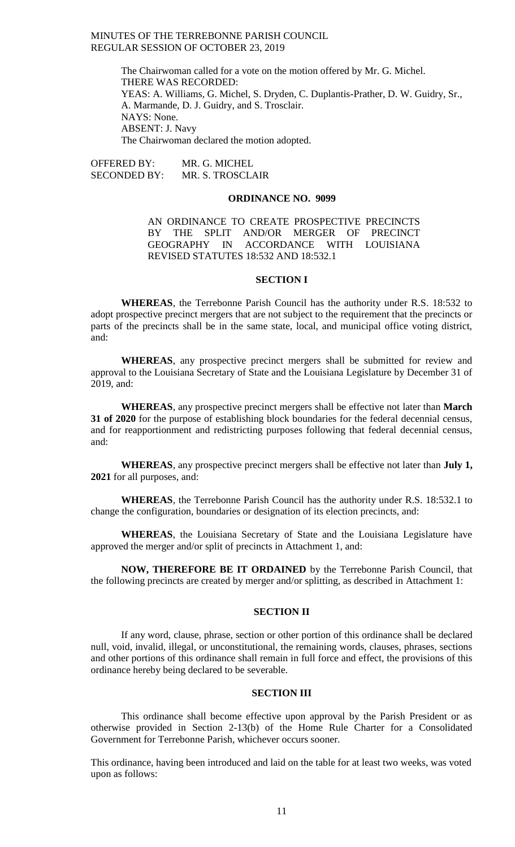> The Chairwoman called for a vote on the motion offered by Mr. G. Michel. THERE WAS RECORDED: YEAS: A. Williams, G. Michel, S. Dryden, C. Duplantis-Prather, D. W. Guidry, Sr., A. Marmande, D. J. Guidry, and S. Trosclair. NAYS: None. ABSENT: J. Navy The Chairwoman declared the motion adopted.

OFFERED BY: MR. G. MICHEL SECONDED BY: MR. S. TROSCLAIR

#### **ORDINANCE NO. 9099**

AN ORDINANCE TO CREATE PROSPECTIVE PRECINCTS BY THE SPLIT AND/OR MERGER OF PRECINCT GEOGRAPHY IN ACCORDANCE WITH LOUISIANA REVISED STATUTES 18:532 AND 18:532.1

#### **SECTION I**

**WHEREAS**, the Terrebonne Parish Council has the authority under R.S. 18:532 to adopt prospective precinct mergers that are not subject to the requirement that the precincts or parts of the precincts shall be in the same state, local, and municipal office voting district, and:

**WHEREAS**, any prospective precinct mergers shall be submitted for review and approval to the Louisiana Secretary of State and the Louisiana Legislature by December 31 of 2019, and:

**WHEREAS**, any prospective precinct mergers shall be effective not later than **March 31 of 2020** for the purpose of establishing block boundaries for the federal decennial census, and for reapportionment and redistricting purposes following that federal decennial census, and:

**WHEREAS**, any prospective precinct mergers shall be effective not later than **July 1, 2021** for all purposes, and:

**WHEREAS**, the Terrebonne Parish Council has the authority under R.S. 18:532.1 to change the configuration, boundaries or designation of its election precincts, and:

**WHEREAS**, the Louisiana Secretary of State and the Louisiana Legislature have approved the merger and/or split of precincts in Attachment 1, and:

**NOW, THEREFORE BE IT ORDAINED** by the Terrebonne Parish Council, that the following precincts are created by merger and/or splitting, as described in Attachment 1:

## **SECTION II**

If any word, clause, phrase, section or other portion of this ordinance shall be declared null, void, invalid, illegal, or unconstitutional, the remaining words, clauses, phrases, sections and other portions of this ordinance shall remain in full force and effect, the provisions of this ordinance hereby being declared to be severable.

#### **SECTION III**

This ordinance shall become effective upon approval by the Parish President or as otherwise provided in Section 2-13(b) of the Home Rule Charter for a Consolidated Government for Terrebonne Parish, whichever occurs sooner.

This ordinance, having been introduced and laid on the table for at least two weeks, was voted upon as follows: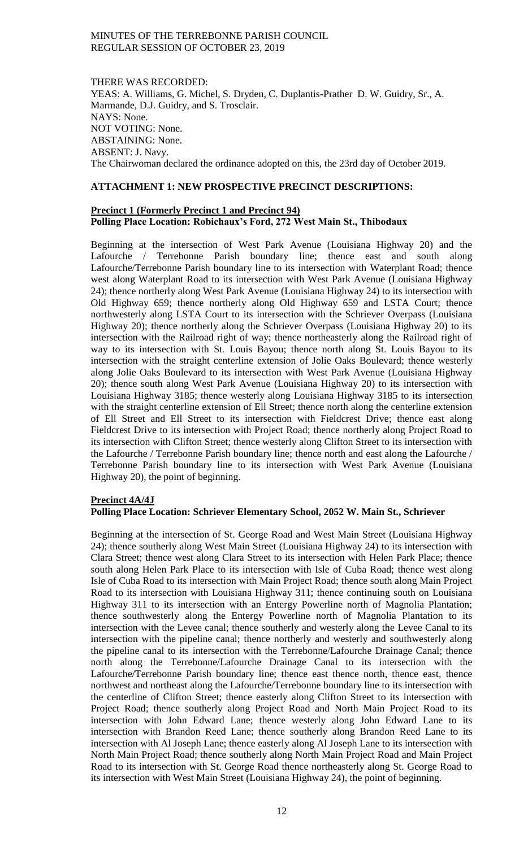#### THERE WAS RECORDED:

YEAS: A. Williams, G. Michel, S. Dryden, C. Duplantis-Prather D. W. Guidry, Sr., A. Marmande, D.J. Guidry, and S. Trosclair. NAYS: None. NOT VOTING: None. ABSTAINING: None. ABSENT: J. Navy. The Chairwoman declared the ordinance adopted on this, the 23rd day of October 2019.

# **ATTACHMENT 1: NEW PROSPECTIVE PRECINCT DESCRIPTIONS:**

#### **Precinct 1 (Formerly Precinct 1 and Precinct 94) Polling Place Location: Robichaux's Ford, 272 West Main St., Thibodaux**

Beginning at the intersection of West Park Avenue (Louisiana Highway 20) and the Lafourche / Terrebonne Parish boundary line; thence east and south along Lafourche/Terrebonne Parish boundary line to its intersection with Waterplant Road; thence west along Waterplant Road to its intersection with West Park Avenue (Louisiana Highway 24); thence northerly along West Park Avenue (Louisiana Highway 24) to its intersection with Old Highway 659; thence northerly along Old Highway 659 and LSTA Court; thence northwesterly along LSTA Court to its intersection with the Schriever Overpass (Louisiana Highway 20); thence northerly along the Schriever Overpass (Louisiana Highway 20) to its intersection with the Railroad right of way; thence northeasterly along the Railroad right of way to its intersection with St. Louis Bayou; thence north along St. Louis Bayou to its intersection with the straight centerline extension of Jolie Oaks Boulevard; thence westerly along Jolie Oaks Boulevard to its intersection with West Park Avenue (Louisiana Highway 20); thence south along West Park Avenue (Louisiana Highway 20) to its intersection with Louisiana Highway 3185; thence westerly along Louisiana Highway 3185 to its intersection with the straight centerline extension of Ell Street; thence north along the centerline extension of Ell Street and Ell Street to its intersection with Fieldcrest Drive; thence east along Fieldcrest Drive to its intersection with Project Road; thence northerly along Project Road to its intersection with Clifton Street; thence westerly along Clifton Street to its intersection with the Lafourche / Terrebonne Parish boundary line; thence north and east along the Lafourche / Terrebonne Parish boundary line to its intersection with West Park Avenue (Louisiana Highway 20), the point of beginning.

# **Precinct 4A/4J**

# **Polling Place Location: Schriever Elementary School, 2052 W. Main St., Schriever**

Beginning at the intersection of St. George Road and West Main Street (Louisiana Highway 24); thence southerly along West Main Street (Louisiana Highway 24) to its intersection with Clara Street; thence west along Clara Street to its intersection with Helen Park Place; thence south along Helen Park Place to its intersection with Isle of Cuba Road; thence west along Isle of Cuba Road to its intersection with Main Project Road; thence south along Main Project Road to its intersection with Louisiana Highway 311; thence continuing south on Louisiana Highway 311 to its intersection with an Entergy Powerline north of Magnolia Plantation; thence southwesterly along the Entergy Powerline north of Magnolia Plantation to its intersection with the Levee canal; thence southerly and westerly along the Levee Canal to its intersection with the pipeline canal; thence northerly and westerly and southwesterly along the pipeline canal to its intersection with the Terrebonne/Lafourche Drainage Canal; thence north along the Terrebonne/Lafourche Drainage Canal to its intersection with the Lafourche/Terrebonne Parish boundary line; thence east thence north, thence east, thence northwest and northeast along the Lafourche/Terrebonne boundary line to its intersection with the centerline of Clifton Street; thence easterly along Clifton Street to its intersection with Project Road; thence southerly along Project Road and North Main Project Road to its intersection with John Edward Lane; thence westerly along John Edward Lane to its intersection with Brandon Reed Lane; thence southerly along Brandon Reed Lane to its intersection with Al Joseph Lane; thence easterly along Al Joseph Lane to its intersection with North Main Project Road; thence southerly along North Main Project Road and Main Project Road to its intersection with St. George Road thence northeasterly along St. George Road to its intersection with West Main Street (Louisiana Highway 24), the point of beginning.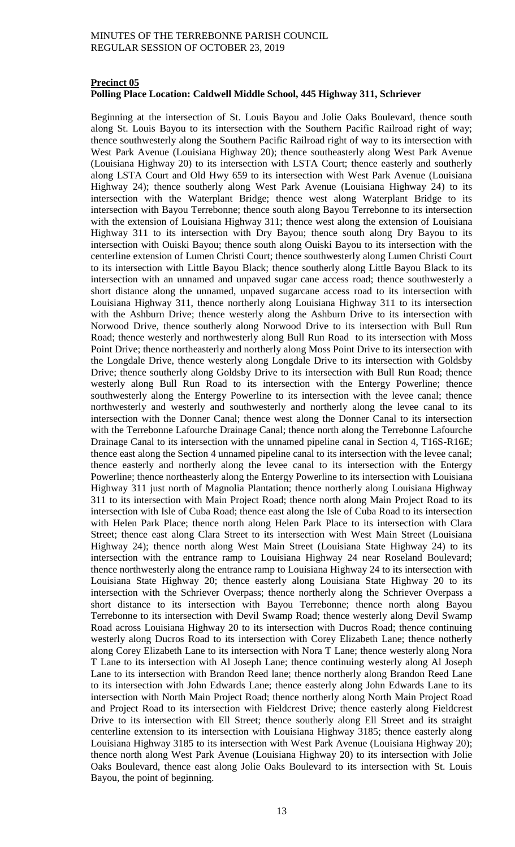#### **Precinct 05**

# **Polling Place Location: Caldwell Middle School, 445 Highway 311, Schriever**

Beginning at the intersection of St. Louis Bayou and Jolie Oaks Boulevard, thence south along St. Louis Bayou to its intersection with the Southern Pacific Railroad right of way; thence southwesterly along the Southern Pacific Railroad right of way to its intersection with West Park Avenue (Louisiana Highway 20); thence southeasterly along West Park Avenue (Louisiana Highway 20) to its intersection with LSTA Court; thence easterly and southerly along LSTA Court and Old Hwy 659 to its intersection with West Park Avenue (Louisiana Highway 24); thence southerly along West Park Avenue (Louisiana Highway 24) to its intersection with the Waterplant Bridge; thence west along Waterplant Bridge to its intersection with Bayou Terrebonne; thence south along Bayou Terrebonne to its intersection with the extension of Louisiana Highway 311; thence west along the extension of Louisiana Highway 311 to its intersection with Dry Bayou; thence south along Dry Bayou to its intersection with Ouiski Bayou; thence south along Ouiski Bayou to its intersection with the centerline extension of Lumen Christi Court; thence southwesterly along Lumen Christi Court to its intersection with Little Bayou Black; thence southerly along Little Bayou Black to its intersection with an unnamed and unpaved sugar cane access road; thence southwesterly a short distance along the unnamed, unpaved sugarcane access road to its intersection with Louisiana Highway 311, thence northerly along Louisiana Highway 311 to its intersection with the Ashburn Drive; thence westerly along the Ashburn Drive to its intersection with Norwood Drive, thence southerly along Norwood Drive to its intersection with Bull Run Road; thence westerly and northwesterly along Bull Run Road to its intersection with Moss Point Drive; thence northeasterly and northerly along Moss Point Drive to its intersection with the Longdale Drive, thence westerly along Longdale Drive to its intersection with Goldsby Drive; thence southerly along Goldsby Drive to its intersection with Bull Run Road; thence westerly along Bull Run Road to its intersection with the Entergy Powerline; thence southwesterly along the Entergy Powerline to its intersection with the levee canal; thence northwesterly and westerly and southwesterly and northerly along the levee canal to its intersection with the Donner Canal; thence west along the Donner Canal to its intersection with the Terrebonne Lafourche Drainage Canal; thence north along the Terrebonne Lafourche Drainage Canal to its intersection with the unnamed pipeline canal in Section 4, T16S-R16E; thence east along the Section 4 unnamed pipeline canal to its intersection with the levee canal; thence easterly and northerly along the levee canal to its intersection with the Entergy Powerline; thence northeasterly along the Entergy Powerline to its intersection with Louisiana Highway 311 just north of Magnolia Plantation; thence northerly along Louisiana Highway 311 to its intersection with Main Project Road; thence north along Main Project Road to its intersection with Isle of Cuba Road; thence east along the Isle of Cuba Road to its intersection with Helen Park Place; thence north along Helen Park Place to its intersection with Clara Street; thence east along Clara Street to its intersection with West Main Street (Louisiana Highway 24); thence north along West Main Street (Louisiana State Highway 24) to its intersection with the entrance ramp to Louisiana Highway 24 near Roseland Boulevard; thence northwesterly along the entrance ramp to Louisiana Highway 24 to its intersection with Louisiana State Highway 20; thence easterly along Louisiana State Highway 20 to its intersection with the Schriever Overpass; thence northerly along the Schriever Overpass a short distance to its intersection with Bayou Terrebonne; thence north along Bayou Terrebonne to its intersection with Devil Swamp Road; thence westerly along Devil Swamp Road across Louisiana Highway 20 to its intersection with Ducros Road; thence continuing westerly along Ducros Road to its intersection with Corey Elizabeth Lane; thence notherly along Corey Elizabeth Lane to its intersection with Nora T Lane; thence westerly along Nora T Lane to its intersection with Al Joseph Lane; thence continuing westerly along Al Joseph Lane to its intersection with Brandon Reed lane; thence northerly along Brandon Reed Lane to its intersection with John Edwards Lane; thence easterly along John Edwards Lane to its intersection with North Main Project Road; thence northerly along North Main Project Road and Project Road to its intersection with Fieldcrest Drive; thence easterly along Fieldcrest Drive to its intersection with Ell Street; thence southerly along Ell Street and its straight centerline extension to its intersection with Louisiana Highway 3185; thence easterly along Louisiana Highway 3185 to its intersection with West Park Avenue (Louisiana Highway 20); thence north along West Park Avenue (Louisiana Highway 20) to its intersection with Jolie Oaks Boulevard, thence east along Jolie Oaks Boulevard to its intersection with St. Louis Bayou, the point of beginning.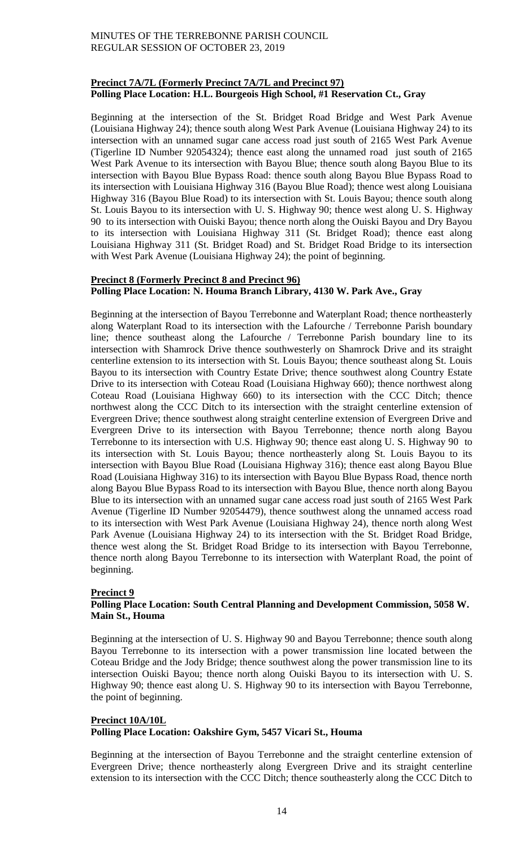# **Precinct 7A/7L (Formerly Precinct 7A/7L and Precinct 97) Polling Place Location: H.L. Bourgeois High School, #1 Reservation Ct., Gray**

Beginning at the intersection of the St. Bridget Road Bridge and West Park Avenue (Louisiana Highway 24); thence south along West Park Avenue (Louisiana Highway 24) to its intersection with an unnamed sugar cane access road just south of 2165 West Park Avenue (Tigerline ID Number 92054324); thence east along the unnamed road just south of 2165 West Park Avenue to its intersection with Bayou Blue; thence south along Bayou Blue to its intersection with Bayou Blue Bypass Road: thence south along Bayou Blue Bypass Road to its intersection with Louisiana Highway 316 (Bayou Blue Road); thence west along Louisiana Highway 316 (Bayou Blue Road) to its intersection with St. Louis Bayou; thence south along St. Louis Bayou to its intersection with U. S. Highway 90; thence west along U. S. Highway 90 to its intersection with Ouiski Bayou; thence north along the Ouiski Bayou and Dry Bayou to its intersection with Louisiana Highway 311 (St. Bridget Road); thence east along Louisiana Highway 311 (St. Bridget Road) and St. Bridget Road Bridge to its intersection with West Park Avenue (Louisiana Highway 24); the point of beginning.

# **Precinct 8 (Formerly Precinct 8 and Precinct 96) Polling Place Location: N. Houma Branch Library, 4130 W. Park Ave., Gray**

Beginning at the intersection of Bayou Terrebonne and Waterplant Road; thence northeasterly along Waterplant Road to its intersection with the Lafourche / Terrebonne Parish boundary line; thence southeast along the Lafourche / Terrebonne Parish boundary line to its intersection with Shamrock Drive thence southwesterly on Shamrock Drive and its straight centerline extension to its intersection with St. Louis Bayou; thence southeast along St. Louis Bayou to its intersection with Country Estate Drive; thence southwest along Country Estate Drive to its intersection with Coteau Road (Louisiana Highway 660); thence northwest along Coteau Road (Louisiana Highway 660) to its intersection with the CCC Ditch; thence northwest along the CCC Ditch to its intersection with the straight centerline extension of Evergreen Drive; thence southwest along straight centerline extension of Evergreen Drive and Evergreen Drive to its intersection with Bayou Terrebonne; thence north along Bayou Terrebonne to its intersection with U.S. Highway 90; thence east along U. S. Highway 90 to its intersection with St. Louis Bayou; thence northeasterly along St. Louis Bayou to its intersection with Bayou Blue Road (Louisiana Highway 316); thence east along Bayou Blue Road (Louisiana Highway 316) to its intersection with Bayou Blue Bypass Road, thence north along Bayou Blue Bypass Road to its intersection with Bayou Blue, thence north along Bayou Blue to its intersection with an unnamed sugar cane access road just south of 2165 West Park Avenue (Tigerline ID Number 92054479), thence southwest along the unnamed access road to its intersection with West Park Avenue (Louisiana Highway 24), thence north along West Park Avenue (Louisiana Highway 24) to its intersection with the St. Bridget Road Bridge, thence west along the St. Bridget Road Bridge to its intersection with Bayou Terrebonne, thence north along Bayou Terrebonne to its intersection with Waterplant Road, the point of beginning.

# **Precinct 9**

# **Polling Place Location: South Central Planning and Development Commission, 5058 W. Main St., Houma**

Beginning at the intersection of U. S. Highway 90 and Bayou Terrebonne; thence south along Bayou Terrebonne to its intersection with a power transmission line located between the Coteau Bridge and the Jody Bridge; thence southwest along the power transmission line to its intersection Ouiski Bayou; thence north along Ouiski Bayou to its intersection with U. S. Highway 90; thence east along U. S. Highway 90 to its intersection with Bayou Terrebonne, the point of beginning.

# **Precinct 10A/10L Polling Place Location: Oakshire Gym, 5457 Vicari St., Houma**

Beginning at the intersection of Bayou Terrebonne and the straight centerline extension of Evergreen Drive; thence northeasterly along Evergreen Drive and its straight centerline extension to its intersection with the CCC Ditch; thence southeasterly along the CCC Ditch to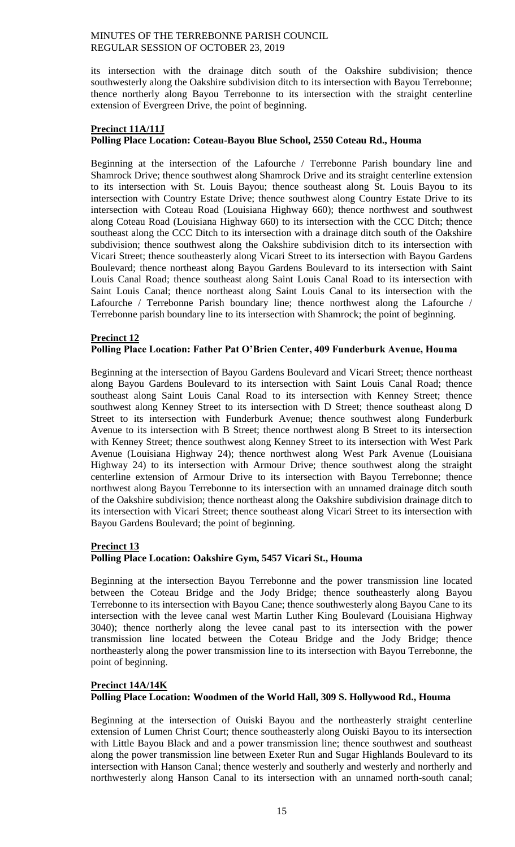its intersection with the drainage ditch south of the Oakshire subdivision; thence southwesterly along the Oakshire subdivision ditch to its intersection with Bayou Terrebonne; thence northerly along Bayou Terrebonne to its intersection with the straight centerline extension of Evergreen Drive, the point of beginning.

## **Precinct 11A/11J Polling Place Location: Coteau-Bayou Blue School, 2550 Coteau Rd., Houma**

Beginning at the intersection of the Lafourche / Terrebonne Parish boundary line and Shamrock Drive; thence southwest along Shamrock Drive and its straight centerline extension to its intersection with St. Louis Bayou; thence southeast along St. Louis Bayou to its intersection with Country Estate Drive; thence southwest along Country Estate Drive to its intersection with Coteau Road (Louisiana Highway 660); thence northwest and southwest along Coteau Road (Louisiana Highway 660) to its intersection with the CCC Ditch; thence southeast along the CCC Ditch to its intersection with a drainage ditch south of the Oakshire subdivision; thence southwest along the Oakshire subdivision ditch to its intersection with Vicari Street; thence southeasterly along Vicari Street to its intersection with Bayou Gardens Boulevard; thence northeast along Bayou Gardens Boulevard to its intersection with Saint Louis Canal Road; thence southeast along Saint Louis Canal Road to its intersection with Saint Louis Canal; thence northeast along Saint Louis Canal to its intersection with the Lafourche / Terrebonne Parish boundary line; thence northwest along the Lafourche / Terrebonne parish boundary line to its intersection with Shamrock; the point of beginning.

## **Precinct 12**

## **Polling Place Location: Father Pat O'Brien Center, 409 Funderburk Avenue, Houma**

Beginning at the intersection of Bayou Gardens Boulevard and Vicari Street; thence northeast along Bayou Gardens Boulevard to its intersection with Saint Louis Canal Road; thence southeast along Saint Louis Canal Road to its intersection with Kenney Street; thence southwest along Kenney Street to its intersection with D Street; thence southeast along D Street to its intersection with Funderburk Avenue; thence southwest along Funderburk Avenue to its intersection with B Street; thence northwest along B Street to its intersection with Kenney Street; thence southwest along Kenney Street to its intersection with West Park Avenue (Louisiana Highway 24); thence northwest along West Park Avenue (Louisiana Highway 24) to its intersection with Armour Drive; thence southwest along the straight centerline extension of Armour Drive to its intersection with Bayou Terrebonne; thence northwest along Bayou Terrebonne to its intersection with an unnamed drainage ditch south of the Oakshire subdivision; thence northeast along the Oakshire subdivision drainage ditch to its intersection with Vicari Street; thence southeast along Vicari Street to its intersection with Bayou Gardens Boulevard; the point of beginning.

#### **Precinct 13**

#### **Polling Place Location: Oakshire Gym, 5457 Vicari St., Houma**

Beginning at the intersection Bayou Terrebonne and the power transmission line located between the Coteau Bridge and the Jody Bridge; thence southeasterly along Bayou Terrebonne to its intersection with Bayou Cane; thence southwesterly along Bayou Cane to its intersection with the levee canal west Martin Luther King Boulevard (Louisiana Highway 3040); thence northerly along the levee canal past to its intersection with the power transmission line located between the Coteau Bridge and the Jody Bridge; thence northeasterly along the power transmission line to its intersection with Bayou Terrebonne, the point of beginning.

# **Precinct 14A/14K Polling Place Location: Woodmen of the World Hall, 309 S. Hollywood Rd., Houma**

Beginning at the intersection of Ouiski Bayou and the northeasterly straight centerline extension of Lumen Christ Court; thence southeasterly along Ouiski Bayou to its intersection with Little Bayou Black and and a power transmission line; thence southwest and southeast along the power transmission line between Exeter Run and Sugar Highlands Boulevard to its intersection with Hanson Canal; thence westerly and southerly and westerly and northerly and northwesterly along Hanson Canal to its intersection with an unnamed north-south canal;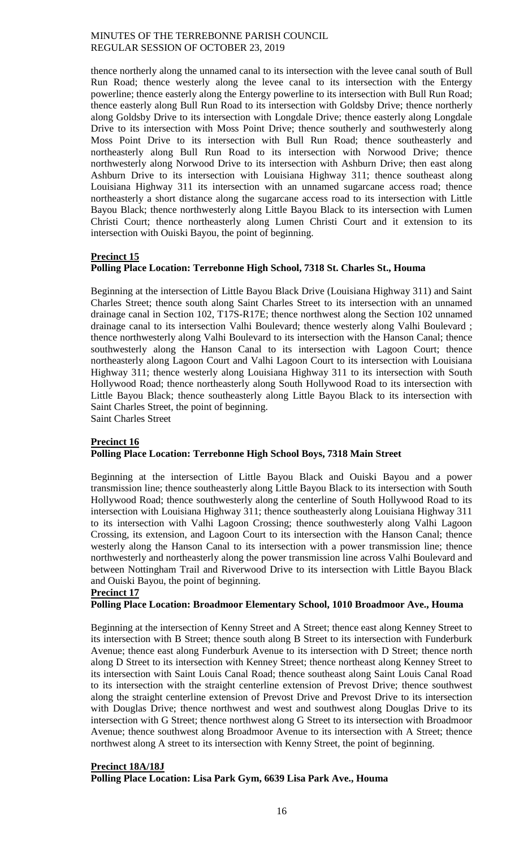thence northerly along the unnamed canal to its intersection with the levee canal south of Bull Run Road; thence westerly along the levee canal to its intersection with the Entergy powerline; thence easterly along the Entergy powerline to its intersection with Bull Run Road; thence easterly along Bull Run Road to its intersection with Goldsby Drive; thence northerly along Goldsby Drive to its intersection with Longdale Drive; thence easterly along Longdale Drive to its intersection with Moss Point Drive; thence southerly and southwesterly along Moss Point Drive to its intersection with Bull Run Road; thence southeasterly and northeasterly along Bull Run Road to its intersection with Norwood Drive; thence northwesterly along Norwood Drive to its intersection with Ashburn Drive; then east along Ashburn Drive to its intersection with Louisiana Highway 311; thence southeast along Louisiana Highway 311 its intersection with an unnamed sugarcane access road; thence northeasterly a short distance along the sugarcane access road to its intersection with Little Bayou Black; thence northwesterly along Little Bayou Black to its intersection with Lumen Christi Court; thence northeasterly along Lumen Christi Court and it extension to its intersection with Ouiski Bayou, the point of beginning.

## **Precinct 15**

# **Polling Place Location: Terrebonne High School, 7318 St. Charles St., Houma**

Beginning at the intersection of Little Bayou Black Drive (Louisiana Highway 311) and Saint Charles Street; thence south along Saint Charles Street to its intersection with an unnamed drainage canal in Section 102, T17S-R17E; thence northwest along the Section 102 unnamed drainage canal to its intersection Valhi Boulevard; thence westerly along Valhi Boulevard ; thence northwesterly along Valhi Boulevard to its intersection with the Hanson Canal; thence southwesterly along the Hanson Canal to its intersection with Lagoon Court; thence northeasterly along Lagoon Court and Valhi Lagoon Court to its intersection with Louisiana Highway 311; thence westerly along Louisiana Highway 311 to its intersection with South Hollywood Road; thence northeasterly along South Hollywood Road to its intersection with Little Bayou Black; thence southeasterly along Little Bayou Black to its intersection with Saint Charles Street, the point of beginning. Saint Charles Street

#### **Precinct 16 Polling Place Location: Terrebonne High School Boys, 7318 Main Street**

Beginning at the intersection of Little Bayou Black and Ouiski Bayou and a power transmission line; thence southeasterly along Little Bayou Black to its intersection with South Hollywood Road; thence southwesterly along the centerline of South Hollywood Road to its intersection with Louisiana Highway 311; thence southeasterly along Louisiana Highway 311 to its intersection with Valhi Lagoon Crossing; thence southwesterly along Valhi Lagoon Crossing, its extension, and Lagoon Court to its intersection with the Hanson Canal; thence westerly along the Hanson Canal to its intersection with a power transmission line; thence northwesterly and northeasterly along the power transmission line across Valhi Boulevard and between Nottingham Trail and Riverwood Drive to its intersection with Little Bayou Black and Ouiski Bayou, the point of beginning.

#### **Precinct 17**

# **Polling Place Location: Broadmoor Elementary School, 1010 Broadmoor Ave., Houma**

Beginning at the intersection of Kenny Street and A Street; thence east along Kenney Street to its intersection with B Street; thence south along B Street to its intersection with Funderburk Avenue; thence east along Funderburk Avenue to its intersection with D Street; thence north along D Street to its intersection with Kenney Street; thence northeast along Kenney Street to its intersection with Saint Louis Canal Road; thence southeast along Saint Louis Canal Road to its intersection with the straight centerline extension of Prevost Drive; thence southwest along the straight centerline extension of Prevost Drive and Prevost Drive to its intersection with Douglas Drive; thence northwest and west and southwest along Douglas Drive to its intersection with G Street; thence northwest along G Street to its intersection with Broadmoor Avenue; thence southwest along Broadmoor Avenue to its intersection with A Street; thence northwest along A street to its intersection with Kenny Street, the point of beginning.

#### **Precinct 18A/18J**

**Polling Place Location: Lisa Park Gym, 6639 Lisa Park Ave., Houma**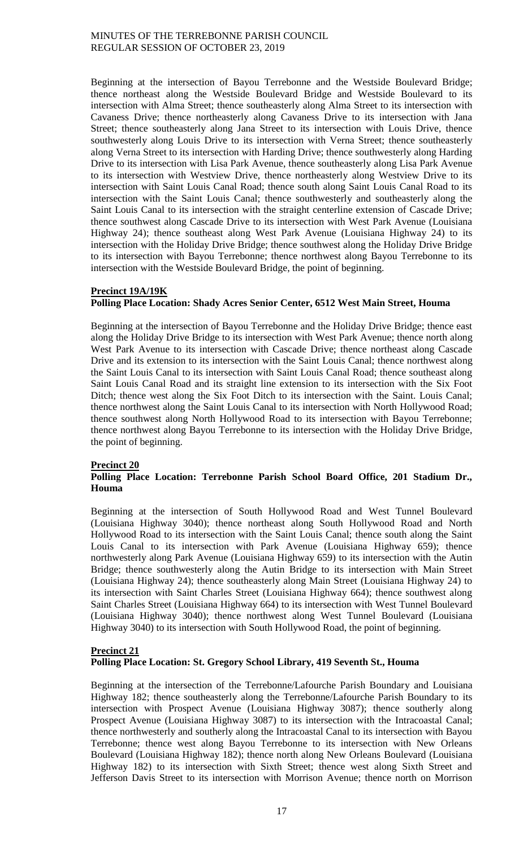Beginning at the intersection of Bayou Terrebonne and the Westside Boulevard Bridge; thence northeast along the Westside Boulevard Bridge and Westside Boulevard to its intersection with Alma Street; thence southeasterly along Alma Street to its intersection with Cavaness Drive; thence northeasterly along Cavaness Drive to its intersection with Jana Street; thence southeasterly along Jana Street to its intersection with Louis Drive, thence southwesterly along Louis Drive to its intersection with Verna Street; thence southeasterly along Verna Street to its intersection with Harding Drive; thence southwesterly along Harding Drive to its intersection with Lisa Park Avenue, thence southeasterly along Lisa Park Avenue to its intersection with Westview Drive, thence northeasterly along Westview Drive to its intersection with Saint Louis Canal Road; thence south along Saint Louis Canal Road to its intersection with the Saint Louis Canal; thence southwesterly and southeasterly along the Saint Louis Canal to its intersection with the straight centerline extension of Cascade Drive; thence southwest along Cascade Drive to its intersection with West Park Avenue (Louisiana Highway 24); thence southeast along West Park Avenue (Louisiana Highway 24) to its intersection with the Holiday Drive Bridge; thence southwest along the Holiday Drive Bridge to its intersection with Bayou Terrebonne; thence northwest along Bayou Terrebonne to its intersection with the Westside Boulevard Bridge, the point of beginning.

# **Precinct 19A/19K Polling Place Location: Shady Acres Senior Center, 6512 West Main Street, Houma**

Beginning at the intersection of Bayou Terrebonne and the Holiday Drive Bridge; thence east along the Holiday Drive Bridge to its intersection with West Park Avenue; thence north along West Park Avenue to its intersection with Cascade Drive; thence northeast along Cascade Drive and its extension to its intersection with the Saint Louis Canal; thence northwest along the Saint Louis Canal to its intersection with Saint Louis Canal Road; thence southeast along Saint Louis Canal Road and its straight line extension to its intersection with the Six Foot Ditch; thence west along the Six Foot Ditch to its intersection with the Saint. Louis Canal; thence northwest along the Saint Louis Canal to its intersection with North Hollywood Road; thence southwest along North Hollywood Road to its intersection with Bayou Terrebonne; thence northwest along Bayou Terrebonne to its intersection with the Holiday Drive Bridge, the point of beginning.

# **Precinct 20**

# **Polling Place Location: Terrebonne Parish School Board Office, 201 Stadium Dr., Houma**

Beginning at the intersection of South Hollywood Road and West Tunnel Boulevard (Louisiana Highway 3040); thence northeast along South Hollywood Road and North Hollywood Road to its intersection with the Saint Louis Canal; thence south along the Saint Louis Canal to its intersection with Park Avenue (Louisiana Highway 659); thence northwesterly along Park Avenue (Louisiana Highway 659) to its intersection with the Autin Bridge; thence southwesterly along the Autin Bridge to its intersection with Main Street (Louisiana Highway 24); thence southeasterly along Main Street (Louisiana Highway 24) to its intersection with Saint Charles Street (Louisiana Highway 664); thence southwest along Saint Charles Street (Louisiana Highway 664) to its intersection with West Tunnel Boulevard (Louisiana Highway 3040); thence northwest along West Tunnel Boulevard (Louisiana Highway 3040) to its intersection with South Hollywood Road, the point of beginning.

## **Precinct 21 Polling Place Location: St. Gregory School Library, 419 Seventh St., Houma**

Beginning at the intersection of the Terrebonne/Lafourche Parish Boundary and Louisiana Highway 182; thence southeasterly along the Terrebonne/Lafourche Parish Boundary to its intersection with Prospect Avenue (Louisiana Highway 3087); thence southerly along Prospect Avenue (Louisiana Highway 3087) to its intersection with the Intracoastal Canal; thence northwesterly and southerly along the Intracoastal Canal to its intersection with Bayou Terrebonne; thence west along Bayou Terrebonne to its intersection with New Orleans Boulevard (Louisiana Highway 182); thence north along New Orleans Boulevard (Louisiana Highway 182) to its intersection with Sixth Street; thence west along Sixth Street and Jefferson Davis Street to its intersection with Morrison Avenue; thence north on Morrison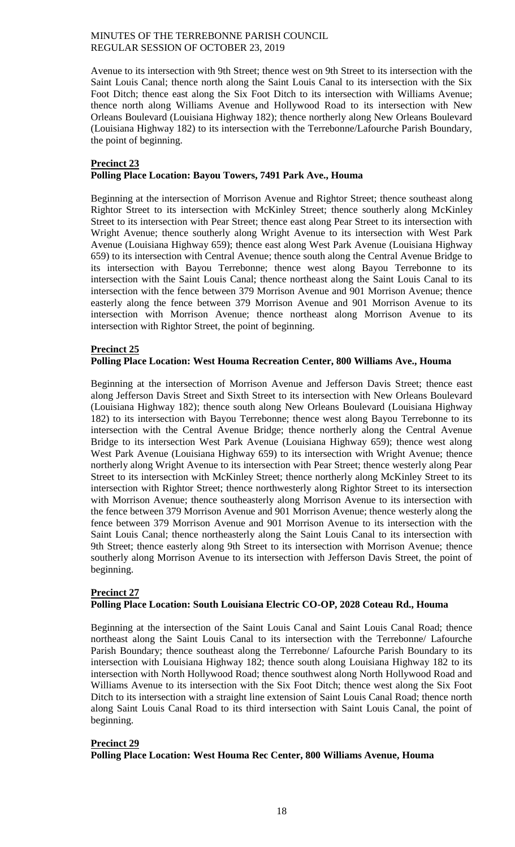Avenue to its intersection with 9th Street; thence west on 9th Street to its intersection with the Saint Louis Canal; thence north along the Saint Louis Canal to its intersection with the Six Foot Ditch; thence east along the Six Foot Ditch to its intersection with Williams Avenue; thence north along Williams Avenue and Hollywood Road to its intersection with New Orleans Boulevard (Louisiana Highway 182); thence northerly along New Orleans Boulevard (Louisiana Highway 182) to its intersection with the Terrebonne/Lafourche Parish Boundary, the point of beginning.

# **Precinct 23 Polling Place Location: Bayou Towers, 7491 Park Ave., Houma**

Beginning at the intersection of Morrison Avenue and Rightor Street; thence southeast along Rightor Street to its intersection with McKinley Street; thence southerly along McKinley Street to its intersection with Pear Street; thence east along Pear Street to its intersection with Wright Avenue; thence southerly along Wright Avenue to its intersection with West Park Avenue (Louisiana Highway 659); thence east along West Park Avenue (Louisiana Highway 659) to its intersection with Central Avenue; thence south along the Central Avenue Bridge to its intersection with Bayou Terrebonne; thence west along Bayou Terrebonne to its intersection with the Saint Louis Canal; thence northeast along the Saint Louis Canal to its intersection with the fence between 379 Morrison Avenue and 901 Morrison Avenue; thence easterly along the fence between 379 Morrison Avenue and 901 Morrison Avenue to its intersection with Morrison Avenue; thence northeast along Morrison Avenue to its intersection with Rightor Street, the point of beginning.

# **Precinct 25**

# **Polling Place Location: West Houma Recreation Center, 800 Williams Ave., Houma**

Beginning at the intersection of Morrison Avenue and Jefferson Davis Street; thence east along Jefferson Davis Street and Sixth Street to its intersection with New Orleans Boulevard (Louisiana Highway 182); thence south along New Orleans Boulevard (Louisiana Highway 182) to its intersection with Bayou Terrebonne; thence west along Bayou Terrebonne to its intersection with the Central Avenue Bridge; thence northerly along the Central Avenue Bridge to its intersection West Park Avenue (Louisiana Highway 659); thence west along West Park Avenue (Louisiana Highway 659) to its intersection with Wright Avenue; thence northerly along Wright Avenue to its intersection with Pear Street; thence westerly along Pear Street to its intersection with McKinley Street; thence northerly along McKinley Street to its intersection with Rightor Street; thence northwesterly along Rightor Street to its intersection with Morrison Avenue; thence southeasterly along Morrison Avenue to its intersection with the fence between 379 Morrison Avenue and 901 Morrison Avenue; thence westerly along the fence between 379 Morrison Avenue and 901 Morrison Avenue to its intersection with the Saint Louis Canal; thence northeasterly along the Saint Louis Canal to its intersection with 9th Street; thence easterly along 9th Street to its intersection with Morrison Avenue; thence southerly along Morrison Avenue to its intersection with Jefferson Davis Street, the point of beginning.

# **Precinct 27 Polling Place Location: South Louisiana Electric CO-OP, 2028 Coteau Rd., Houma**

Beginning at the intersection of the Saint Louis Canal and Saint Louis Canal Road; thence northeast along the Saint Louis Canal to its intersection with the Terrebonne/ Lafourche Parish Boundary; thence southeast along the Terrebonne/ Lafourche Parish Boundary to its intersection with Louisiana Highway 182; thence south along Louisiana Highway 182 to its intersection with North Hollywood Road; thence southwest along North Hollywood Road and Williams Avenue to its intersection with the Six Foot Ditch; thence west along the Six Foot Ditch to its intersection with a straight line extension of Saint Louis Canal Road; thence north along Saint Louis Canal Road to its third intersection with Saint Louis Canal, the point of beginning.

# **Precinct 29**

# **Polling Place Location: West Houma Rec Center, 800 Williams Avenue, Houma**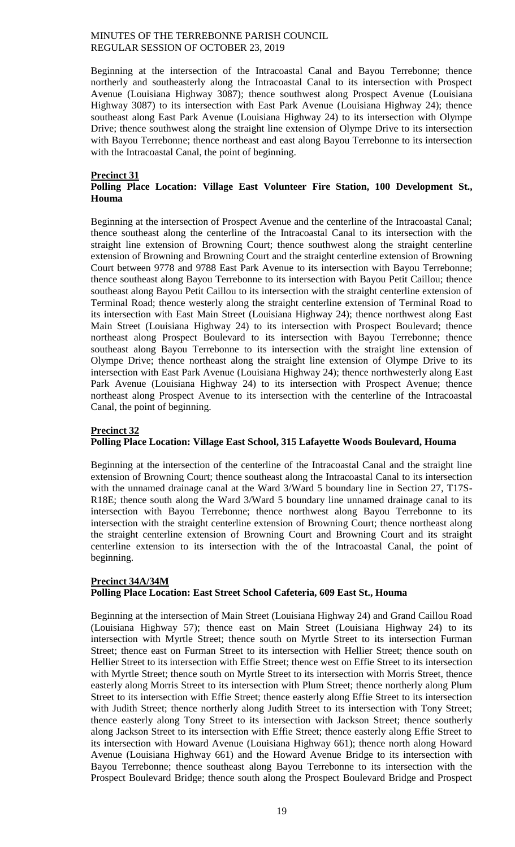Beginning at the intersection of the Intracoastal Canal and Bayou Terrebonne; thence northerly and southeasterly along the Intracoastal Canal to its intersection with Prospect Avenue (Louisiana Highway 3087); thence southwest along Prospect Avenue (Louisiana Highway 3087) to its intersection with East Park Avenue (Louisiana Highway 24); thence southeast along East Park Avenue (Louisiana Highway 24) to its intersection with Olympe Drive; thence southwest along the straight line extension of Olympe Drive to its intersection with Bayou Terrebonne; thence northeast and east along Bayou Terrebonne to its intersection with the Intracoastal Canal, the point of beginning.

## **Precinct 31**

# **Polling Place Location: Village East Volunteer Fire Station, 100 Development St., Houma**

Beginning at the intersection of Prospect Avenue and the centerline of the Intracoastal Canal; thence southeast along the centerline of the Intracoastal Canal to its intersection with the straight line extension of Browning Court; thence southwest along the straight centerline extension of Browning and Browning Court and the straight centerline extension of Browning Court between 9778 and 9788 East Park Avenue to its intersection with Bayou Terrebonne; thence southeast along Bayou Terrebonne to its intersection with Bayou Petit Caillou; thence southeast along Bayou Petit Caillou to its intersection with the straight centerline extension of Terminal Road; thence westerly along the straight centerline extension of Terminal Road to its intersection with East Main Street (Louisiana Highway 24); thence northwest along East Main Street (Louisiana Highway 24) to its intersection with Prospect Boulevard; thence northeast along Prospect Boulevard to its intersection with Bayou Terrebonne; thence southeast along Bayou Terrebonne to its intersection with the straight line extension of Olympe Drive; thence northeast along the straight line extension of Olympe Drive to its intersection with East Park Avenue (Louisiana Highway 24); thence northwesterly along East Park Avenue (Louisiana Highway 24) to its intersection with Prospect Avenue; thence northeast along Prospect Avenue to its intersection with the centerline of the Intracoastal Canal, the point of beginning.

#### **Precinct 32**

#### **Polling Place Location: Village East School, 315 Lafayette Woods Boulevard, Houma**

Beginning at the intersection of the centerline of the Intracoastal Canal and the straight line extension of Browning Court; thence southeast along the Intracoastal Canal to its intersection with the unnamed drainage canal at the Ward 3/Ward 5 boundary line in Section 27, T17S-R18E; thence south along the Ward 3/Ward 5 boundary line unnamed drainage canal to its intersection with Bayou Terrebonne; thence northwest along Bayou Terrebonne to its intersection with the straight centerline extension of Browning Court; thence northeast along the straight centerline extension of Browning Court and Browning Court and its straight centerline extension to its intersection with the of the Intracoastal Canal, the point of beginning.

# **Precinct 34A/34M Polling Place Location: East Street School Cafeteria, 609 East St., Houma**

Beginning at the intersection of Main Street (Louisiana Highway 24) and Grand Caillou Road (Louisiana Highway 57); thence east on Main Street (Louisiana Highway 24) to its intersection with Myrtle Street; thence south on Myrtle Street to its intersection Furman Street; thence east on Furman Street to its intersection with Hellier Street; thence south on Hellier Street to its intersection with Effie Street; thence west on Effie Street to its intersection with Myrtle Street; thence south on Myrtle Street to its intersection with Morris Street, thence easterly along Morris Street to its intersection with Plum Street; thence northerly along Plum Street to its intersection with Effie Street; thence easterly along Effie Street to its intersection with Judith Street; thence northerly along Judith Street to its intersection with Tony Street; thence easterly along Tony Street to its intersection with Jackson Street; thence southerly along Jackson Street to its intersection with Effie Street; thence easterly along Effie Street to its intersection with Howard Avenue (Louisiana Highway 661); thence north along Howard Avenue (Louisiana Highway 661) and the Howard Avenue Bridge to its intersection with Bayou Terrebonne; thence southeast along Bayou Terrebonne to its intersection with the Prospect Boulevard Bridge; thence south along the Prospect Boulevard Bridge and Prospect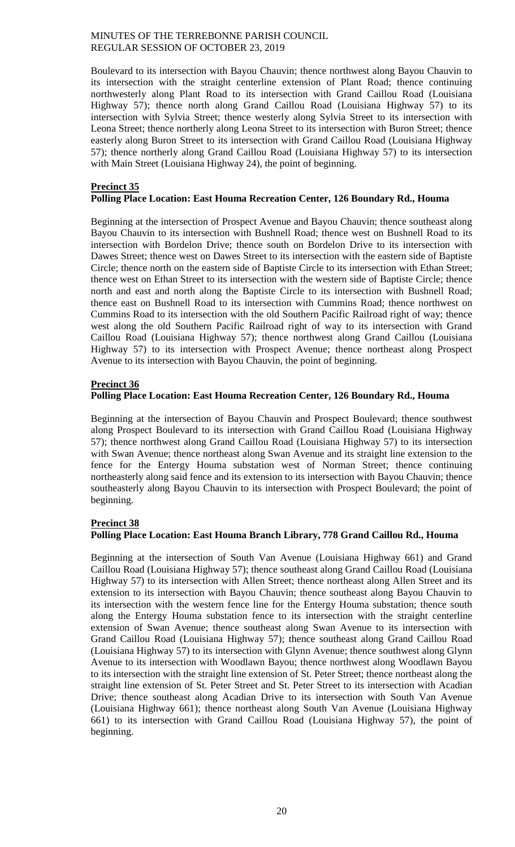Boulevard to its intersection with Bayou Chauvin; thence northwest along Bayou Chauvin to its intersection with the straight centerline extension of Plant Road; thence continuing northwesterly along Plant Road to its intersection with Grand Caillou Road (Louisiana Highway 57); thence north along Grand Caillou Road (Louisiana Highway 57) to its intersection with Sylvia Street; thence westerly along Sylvia Street to its intersection with Leona Street; thence northerly along Leona Street to its intersection with Buron Street; thence easterly along Buron Street to its intersection with Grand Caillou Road (Louisiana Highway 57); thence northerly along Grand Caillou Road (Louisiana Highway 57) to its intersection with Main Street (Louisiana Highway 24), the point of beginning.

## **Precinct 35 Polling Place Location: East Houma Recreation Center, 126 Boundary Rd., Houma**

Beginning at the intersection of Prospect Avenue and Bayou Chauvin; thence southeast along Bayou Chauvin to its intersection with Bushnell Road; thence west on Bushnell Road to its intersection with Bordelon Drive; thence south on Bordelon Drive to its intersection with Dawes Street; thence west on Dawes Street to its intersection with the eastern side of Baptiste Circle; thence north on the eastern side of Baptiste Circle to its intersection with Ethan Street; thence west on Ethan Street to its intersection with the western side of Baptiste Circle; thence north and east and north along the Baptiste Circle to its intersection with Bushnell Road; thence east on Bushnell Road to its intersection with Cummins Road; thence northwest on Cummins Road to its intersection with the old Southern Pacific Railroad right of way; thence west along the old Southern Pacific Railroad right of way to its intersection with Grand Caillou Road (Louisiana Highway 57); thence northwest along Grand Caillou (Louisiana Highway 57) to its intersection with Prospect Avenue; thence northeast along Prospect Avenue to its intersection with Bayou Chauvin, the point of beginning.

# **Precinct 36**

# **Polling Place Location: East Houma Recreation Center, 126 Boundary Rd., Houma**

Beginning at the intersection of Bayou Chauvin and Prospect Boulevard; thence southwest along Prospect Boulevard to its intersection with Grand Caillou Road (Louisiana Highway 57); thence northwest along Grand Caillou Road (Louisiana Highway 57) to its intersection with Swan Avenue; thence northeast along Swan Avenue and its straight line extension to the fence for the Entergy Houma substation west of Norman Street; thence continuing northeasterly along said fence and its extension to its intersection with Bayou Chauvin; thence southeasterly along Bayou Chauvin to its intersection with Prospect Boulevard; the point of beginning.

# **Precinct 38**

# **Polling Place Location: East Houma Branch Library, 778 Grand Caillou Rd., Houma**

Beginning at the intersection of South Van Avenue (Louisiana Highway 661) and Grand Caillou Road (Louisiana Highway 57); thence southeast along Grand Caillou Road (Louisiana Highway 57) to its intersection with Allen Street; thence northeast along Allen Street and its extension to its intersection with Bayou Chauvin; thence southeast along Bayou Chauvin to its intersection with the western fence line for the Entergy Houma substation; thence south along the Entergy Houma substation fence to its intersection with the straight centerline extension of Swan Avenue; thence southeast along Swan Avenue to its intersection with Grand Caillou Road (Louisiana Highway 57); thence southeast along Grand Caillou Road (Louisiana Highway 57) to its intersection with Glynn Avenue; thence southwest along Glynn Avenue to its intersection with Woodlawn Bayou; thence northwest along Woodlawn Bayou to its intersection with the straight line extension of St. Peter Street; thence northeast along the straight line extension of St. Peter Street and St. Peter Street to its intersection with Acadian Drive; thence southeast along Acadian Drive to its intersection with South Van Avenue (Louisiana Highway 661); thence northeast along South Van Avenue (Louisiana Highway 661) to its intersection with Grand Caillou Road (Louisiana Highway 57), the point of beginning.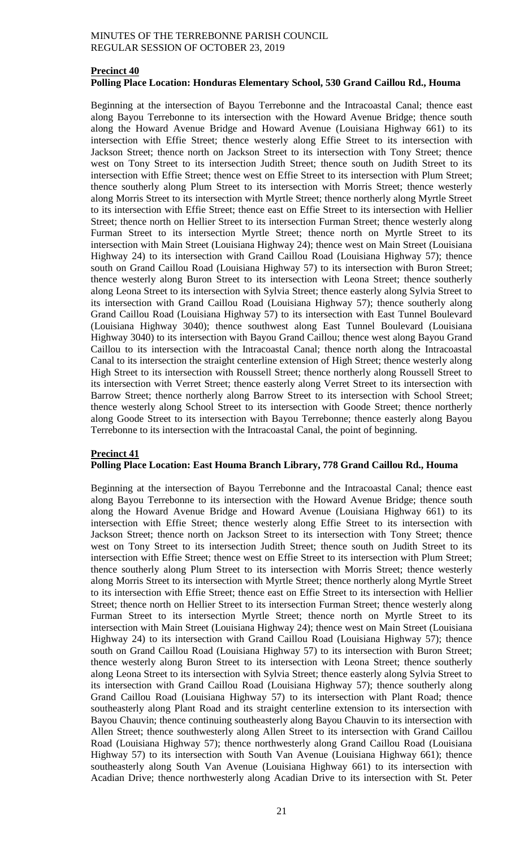## **Precinct 40 Polling Place Location: Honduras Elementary School, 530 Grand Caillou Rd., Houma**

Beginning at the intersection of Bayou Terrebonne and the Intracoastal Canal; thence east along Bayou Terrebonne to its intersection with the Howard Avenue Bridge; thence south along the Howard Avenue Bridge and Howard Avenue (Louisiana Highway 661) to its intersection with Effie Street; thence westerly along Effie Street to its intersection with Jackson Street; thence north on Jackson Street to its intersection with Tony Street; thence west on Tony Street to its intersection Judith Street; thence south on Judith Street to its intersection with Effie Street; thence west on Effie Street to its intersection with Plum Street; thence southerly along Plum Street to its intersection with Morris Street; thence westerly along Morris Street to its intersection with Myrtle Street; thence northerly along Myrtle Street to its intersection with Effie Street; thence east on Effie Street to its intersection with Hellier Street; thence north on Hellier Street to its intersection Furman Street; thence westerly along Furman Street to its intersection Myrtle Street; thence north on Myrtle Street to its intersection with Main Street (Louisiana Highway 24); thence west on Main Street (Louisiana Highway 24) to its intersection with Grand Caillou Road (Louisiana Highway 57); thence south on Grand Caillou Road (Louisiana Highway 57) to its intersection with Buron Street; thence westerly along Buron Street to its intersection with Leona Street; thence southerly along Leona Street to its intersection with Sylvia Street; thence easterly along Sylvia Street to its intersection with Grand Caillou Road (Louisiana Highway 57); thence southerly along Grand Caillou Road (Louisiana Highway 57) to its intersection with East Tunnel Boulevard (Louisiana Highway 3040); thence southwest along East Tunnel Boulevard (Louisiana Highway 3040) to its intersection with Bayou Grand Caillou; thence west along Bayou Grand Caillou to its intersection with the Intracoastal Canal; thence north along the Intracoastal Canal to its intersection the straight centerline extension of High Street; thence westerly along High Street to its intersection with Roussell Street; thence northerly along Roussell Street to its intersection with Verret Street; thence easterly along Verret Street to its intersection with Barrow Street; thence northerly along Barrow Street to its intersection with School Street; thence westerly along School Street to its intersection with Goode Street; thence northerly along Goode Street to its intersection with Bayou Terrebonne; thence easterly along Bayou Terrebonne to its intersection with the Intracoastal Canal, the point of beginning.

## **Precinct 41 Polling Place Location: East Houma Branch Library, 778 Grand Caillou Rd., Houma**

Beginning at the intersection of Bayou Terrebonne and the Intracoastal Canal; thence east along Bayou Terrebonne to its intersection with the Howard Avenue Bridge; thence south along the Howard Avenue Bridge and Howard Avenue (Louisiana Highway 661) to its intersection with Effie Street; thence westerly along Effie Street to its intersection with Jackson Street; thence north on Jackson Street to its intersection with Tony Street; thence west on Tony Street to its intersection Judith Street; thence south on Judith Street to its intersection with Effie Street; thence west on Effie Street to its intersection with Plum Street; thence southerly along Plum Street to its intersection with Morris Street; thence westerly along Morris Street to its intersection with Myrtle Street; thence northerly along Myrtle Street to its intersection with Effie Street; thence east on Effie Street to its intersection with Hellier Street; thence north on Hellier Street to its intersection Furman Street; thence westerly along Furman Street to its intersection Myrtle Street; thence north on Myrtle Street to its intersection with Main Street (Louisiana Highway 24); thence west on Main Street (Louisiana Highway 24) to its intersection with Grand Caillou Road (Louisiana Highway 57); thence south on Grand Caillou Road (Louisiana Highway 57) to its intersection with Buron Street; thence westerly along Buron Street to its intersection with Leona Street; thence southerly along Leona Street to its intersection with Sylvia Street; thence easterly along Sylvia Street to its intersection with Grand Caillou Road (Louisiana Highway 57); thence southerly along Grand Caillou Road (Louisiana Highway 57) to its intersection with Plant Road; thence southeasterly along Plant Road and its straight centerline extension to its intersection with Bayou Chauvin; thence continuing southeasterly along Bayou Chauvin to its intersection with Allen Street; thence southwesterly along Allen Street to its intersection with Grand Caillou Road (Louisiana Highway 57); thence northwesterly along Grand Caillou Road (Louisiana Highway 57) to its intersection with South Van Avenue (Louisiana Highway 661); thence southeasterly along South Van Avenue (Louisiana Highway 661) to its intersection with Acadian Drive; thence northwesterly along Acadian Drive to its intersection with St. Peter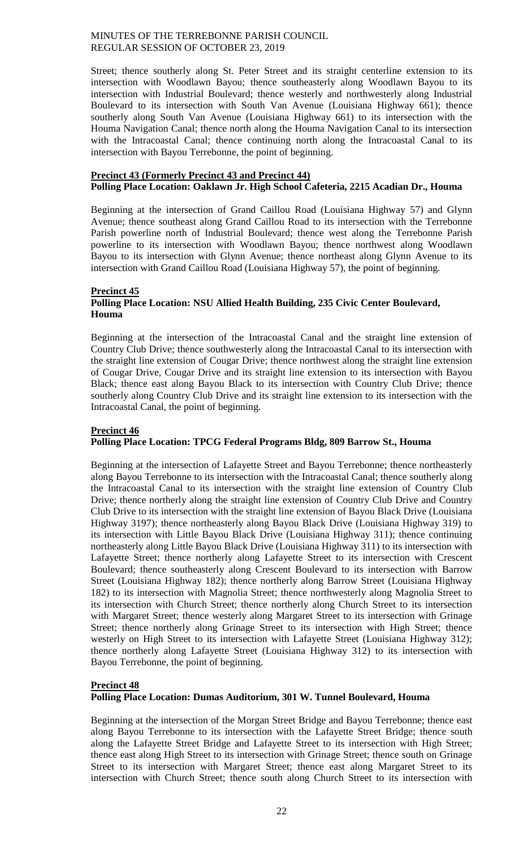Street; thence southerly along St. Peter Street and its straight centerline extension to its intersection with Woodlawn Bayou; thence southeasterly along Woodlawn Bayou to its intersection with Industrial Boulevard; thence westerly and northwesterly along Industrial Boulevard to its intersection with South Van Avenue (Louisiana Highway 661); thence southerly along South Van Avenue (Louisiana Highway 661) to its intersection with the Houma Navigation Canal; thence north along the Houma Navigation Canal to its intersection with the Intracoastal Canal; thence continuing north along the Intracoastal Canal to its intersection with Bayou Terrebonne, the point of beginning.

## **Precinct 43 (Formerly Precinct 43 and Precinct 44) Polling Place Location: Oaklawn Jr. High School Cafeteria, 2215 Acadian Dr., Houma**

Beginning at the intersection of Grand Caillou Road (Louisiana Highway 57) and Glynn Avenue; thence southeast along Grand Caillou Road to its intersection with the Terrebonne Parish powerline north of Industrial Boulevard; thence west along the Terrebonne Parish powerline to its intersection with Woodlawn Bayou; thence northwest along Woodlawn Bayou to its intersection with Glynn Avenue; thence northeast along Glynn Avenue to its intersection with Grand Caillou Road (Louisiana Highway 57), the point of beginning.

## **Precinct 45**

# **Polling Place Location: NSU Allied Health Building, 235 Civic Center Boulevard, Houma**

Beginning at the intersection of the Intracoastal Canal and the straight line extension of Country Club Drive; thence southwesterly along the Intracoastal Canal to its intersection with the straight line extension of Cougar Drive; thence northwest along the straight line extension of Cougar Drive, Cougar Drive and its straight line extension to its intersection with Bayou Black; thence east along Bayou Black to its intersection with Country Club Drive; thence southerly along Country Club Drive and its straight line extension to its intersection with the Intracoastal Canal, the point of beginning.

# **Precinct 46**

# **Polling Place Location: TPCG Federal Programs Bldg, 809 Barrow St., Houma**

Beginning at the intersection of Lafayette Street and Bayou Terrebonne; thence northeasterly along Bayou Terrebonne to its intersection with the Intracoastal Canal; thence southerly along the Intracoastal Canal to its intersection with the straight line extension of Country Club Drive; thence northerly along the straight line extension of Country Club Drive and Country Club Drive to its intersection with the straight line extension of Bayou Black Drive (Louisiana Highway 3197); thence northeasterly along Bayou Black Drive (Louisiana Highway 319) to its intersection with Little Bayou Black Drive (Louisiana Highway 311); thence continuing northeasterly along Little Bayou Black Drive (Louisiana Highway 311) to its intersection with Lafayette Street; thence northerly along Lafayette Street to its intersection with Crescent Boulevard; thence southeasterly along Crescent Boulevard to its intersection with Barrow Street (Louisiana Highway 182); thence northerly along Barrow Street (Louisiana Highway 182) to its intersection with Magnolia Street; thence northwesterly along Magnolia Street to its intersection with Church Street; thence northerly along Church Street to its intersection with Margaret Street; thence westerly along Margaret Street to its intersection with Grinage Street; thence northerly along Grinage Street to its intersection with High Street; thence westerly on High Street to its intersection with Lafayette Street (Louisiana Highway 312); thence northerly along Lafayette Street (Louisiana Highway 312) to its intersection with Bayou Terrebonne, the point of beginning.

# **Precinct 48 Polling Place Location: Dumas Auditorium, 301 W. Tunnel Boulevard, Houma**

Beginning at the intersection of the Morgan Street Bridge and Bayou Terrebonne; thence east along Bayou Terrebonne to its intersection with the Lafayette Street Bridge; thence south along the Lafayette Street Bridge and Lafayette Street to its intersection with High Street; thence east along High Street to its intersection with Grinage Street; thence south on Grinage Street to its intersection with Margaret Street; thence east along Margaret Street to its intersection with Church Street; thence south along Church Street to its intersection with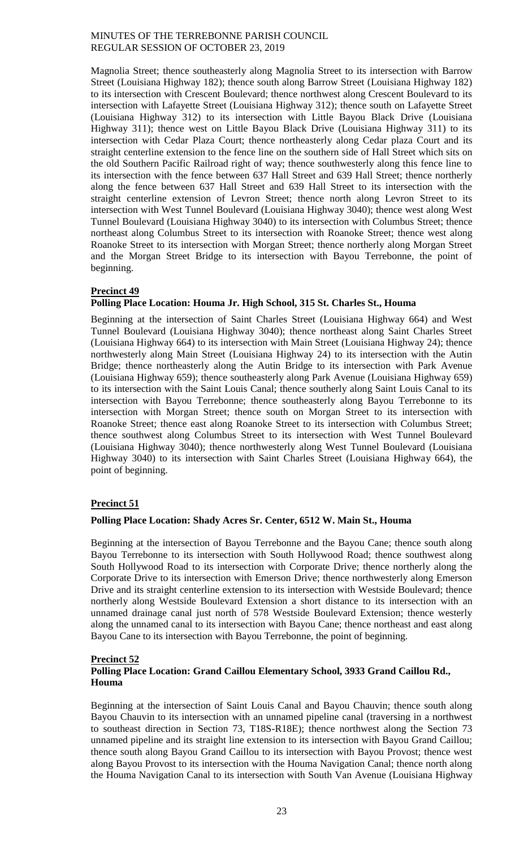Magnolia Street; thence southeasterly along Magnolia Street to its intersection with Barrow Street (Louisiana Highway 182); thence south along Barrow Street (Louisiana Highway 182) to its intersection with Crescent Boulevard; thence northwest along Crescent Boulevard to its intersection with Lafayette Street (Louisiana Highway 312); thence south on Lafayette Street (Louisiana Highway 312) to its intersection with Little Bayou Black Drive (Louisiana Highway 311); thence west on Little Bayou Black Drive (Louisiana Highway 311) to its intersection with Cedar Plaza Court; thence northeasterly along Cedar plaza Court and its straight centerline extension to the fence line on the southern side of Hall Street which sits on the old Southern Pacific Railroad right of way; thence southwesterly along this fence line to its intersection with the fence between 637 Hall Street and 639 Hall Street; thence northerly along the fence between 637 Hall Street and 639 Hall Street to its intersection with the straight centerline extension of Levron Street; thence north along Levron Street to its intersection with West Tunnel Boulevard (Louisiana Highway 3040); thence west along West Tunnel Boulevard (Louisiana Highway 3040) to its intersection with Columbus Street; thence northeast along Columbus Street to its intersection with Roanoke Street; thence west along Roanoke Street to its intersection with Morgan Street; thence northerly along Morgan Street and the Morgan Street Bridge to its intersection with Bayou Terrebonne, the point of beginning.

# **Precinct 49**

# **Polling Place Location: Houma Jr. High School, 315 St. Charles St., Houma**

Beginning at the intersection of Saint Charles Street (Louisiana Highway 664) and West Tunnel Boulevard (Louisiana Highway 3040); thence northeast along Saint Charles Street (Louisiana Highway 664) to its intersection with Main Street (Louisiana Highway 24); thence northwesterly along Main Street (Louisiana Highway 24) to its intersection with the Autin Bridge; thence northeasterly along the Autin Bridge to its intersection with Park Avenue (Louisiana Highway 659); thence southeasterly along Park Avenue (Louisiana Highway 659) to its intersection with the Saint Louis Canal; thence southerly along Saint Louis Canal to its intersection with Bayou Terrebonne; thence southeasterly along Bayou Terrebonne to its intersection with Morgan Street; thence south on Morgan Street to its intersection with Roanoke Street; thence east along Roanoke Street to its intersection with Columbus Street; thence southwest along Columbus Street to its intersection with West Tunnel Boulevard (Louisiana Highway 3040); thence northwesterly along West Tunnel Boulevard (Louisiana Highway 3040) to its intersection with Saint Charles Street (Louisiana Highway 664), the point of beginning.

# **Precinct 51**

# **Polling Place Location: Shady Acres Sr. Center, 6512 W. Main St., Houma**

Beginning at the intersection of Bayou Terrebonne and the Bayou Cane; thence south along Bayou Terrebonne to its intersection with South Hollywood Road; thence southwest along South Hollywood Road to its intersection with Corporate Drive; thence northerly along the Corporate Drive to its intersection with Emerson Drive; thence northwesterly along Emerson Drive and its straight centerline extension to its intersection with Westside Boulevard; thence northerly along Westside Boulevard Extension a short distance to its intersection with an unnamed drainage canal just north of 578 Westside Boulevard Extension; thence westerly along the unnamed canal to its intersection with Bayou Cane; thence northeast and east along Bayou Cane to its intersection with Bayou Terrebonne, the point of beginning.

# **Precinct 52**

# **Polling Place Location: Grand Caillou Elementary School, 3933 Grand Caillou Rd., Houma**

Beginning at the intersection of Saint Louis Canal and Bayou Chauvin; thence south along Bayou Chauvin to its intersection with an unnamed pipeline canal (traversing in a northwest to southeast direction in Section 73, T18S-R18E); thence northwest along the Section 73 unnamed pipeline and its straight line extension to its intersection with Bayou Grand Caillou; thence south along Bayou Grand Caillou to its intersection with Bayou Provost; thence west along Bayou Provost to its intersection with the Houma Navigation Canal; thence north along the Houma Navigation Canal to its intersection with South Van Avenue (Louisiana Highway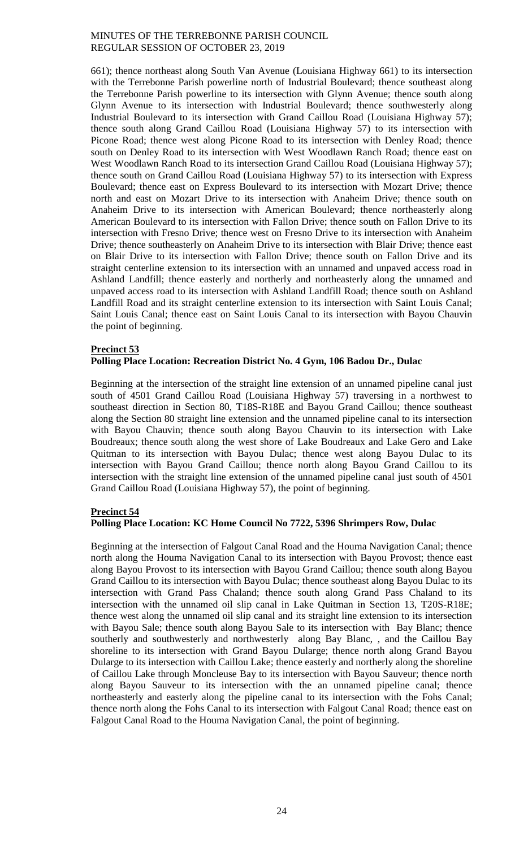661); thence northeast along South Van Avenue (Louisiana Highway 661) to its intersection with the Terrebonne Parish powerline north of Industrial Boulevard; thence southeast along the Terrebonne Parish powerline to its intersection with Glynn Avenue; thence south along Glynn Avenue to its intersection with Industrial Boulevard; thence southwesterly along Industrial Boulevard to its intersection with Grand Caillou Road (Louisiana Highway 57); thence south along Grand Caillou Road (Louisiana Highway 57) to its intersection with Picone Road; thence west along Picone Road to its intersection with Denley Road; thence south on Denley Road to its intersection with West Woodlawn Ranch Road; thence east on West Woodlawn Ranch Road to its intersection Grand Caillou Road (Louisiana Highway 57); thence south on Grand Caillou Road (Louisiana Highway 57) to its intersection with Express Boulevard; thence east on Express Boulevard to its intersection with Mozart Drive; thence north and east on Mozart Drive to its intersection with Anaheim Drive; thence south on Anaheim Drive to its intersection with American Boulevard; thence northeasterly along American Boulevard to its intersection with Fallon Drive; thence south on Fallon Drive to its intersection with Fresno Drive; thence west on Fresno Drive to its intersection with Anaheim Drive; thence southeasterly on Anaheim Drive to its intersection with Blair Drive; thence east on Blair Drive to its intersection with Fallon Drive; thence south on Fallon Drive and its straight centerline extension to its intersection with an unnamed and unpaved access road in Ashland Landfill; thence easterly and northerly and northeasterly along the unnamed and unpaved access road to its intersection with Ashland Landfill Road; thence south on Ashland Landfill Road and its straight centerline extension to its intersection with Saint Louis Canal; Saint Louis Canal; thence east on Saint Louis Canal to its intersection with Bayou Chauvin the point of beginning.

## **Precinct 53**

# **Polling Place Location: Recreation District No. 4 Gym, 106 Badou Dr., Dulac**

Beginning at the intersection of the straight line extension of an unnamed pipeline canal just south of 4501 Grand Caillou Road (Louisiana Highway 57) traversing in a northwest to southeast direction in Section 80, T18S-R18E and Bayou Grand Caillou; thence southeast along the Section 80 straight line extension and the unnamed pipeline canal to its intersection with Bayou Chauvin; thence south along Bayou Chauvin to its intersection with Lake Boudreaux; thence south along the west shore of Lake Boudreaux and Lake Gero and Lake Quitman to its intersection with Bayou Dulac; thence west along Bayou Dulac to its intersection with Bayou Grand Caillou; thence north along Bayou Grand Caillou to its intersection with the straight line extension of the unnamed pipeline canal just south of 4501 Grand Caillou Road (Louisiana Highway 57), the point of beginning.

# **Precinct 54**

# **Polling Place Location: KC Home Council No 7722, 5396 Shrimpers Row, Dulac**

Beginning at the intersection of Falgout Canal Road and the Houma Navigation Canal; thence north along the Houma Navigation Canal to its intersection with Bayou Provost; thence east along Bayou Provost to its intersection with Bayou Grand Caillou; thence south along Bayou Grand Caillou to its intersection with Bayou Dulac; thence southeast along Bayou Dulac to its intersection with Grand Pass Chaland; thence south along Grand Pass Chaland to its intersection with the unnamed oil slip canal in Lake Quitman in Section 13, T20S-R18E; thence west along the unnamed oil slip canal and its straight line extension to its intersection with Bayou Sale; thence south along Bayou Sale to its intersection with Bay Blanc; thence southerly and southwesterly and northwesterly along Bay Blanc, , and the Caillou Bay shoreline to its intersection with Grand Bayou Dularge; thence north along Grand Bayou Dularge to its intersection with Caillou Lake; thence easterly and northerly along the shoreline of Caillou Lake through Moncleuse Bay to its intersection with Bayou Sauveur; thence north along Bayou Sauveur to its intersection with the an unnamed pipeline canal; thence northeasterly and easterly along the pipeline canal to its intersection with the Fohs Canal; thence north along the Fohs Canal to its intersection with Falgout Canal Road; thence east on Falgout Canal Road to the Houma Navigation Canal, the point of beginning.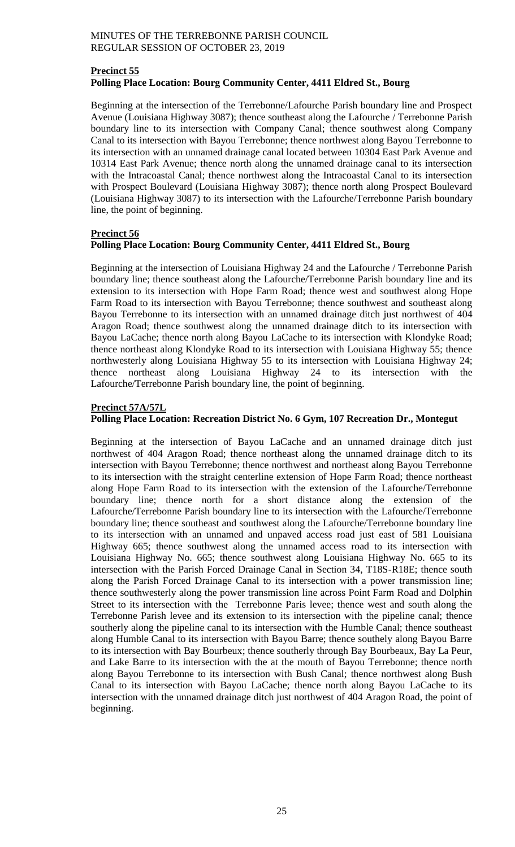# **Precinct 55 Polling Place Location: Bourg Community Center, 4411 Eldred St., Bourg**

Beginning at the intersection of the Terrebonne/Lafourche Parish boundary line and Prospect Avenue (Louisiana Highway 3087); thence southeast along the Lafourche / Terrebonne Parish boundary line to its intersection with Company Canal; thence southwest along Company Canal to its intersection with Bayou Terrebonne; thence northwest along Bayou Terrebonne to its intersection with an unnamed drainage canal located between 10304 East Park Avenue and 10314 East Park Avenue; thence north along the unnamed drainage canal to its intersection with the Intracoastal Canal; thence northwest along the Intracoastal Canal to its intersection with Prospect Boulevard (Louisiana Highway 3087); thence north along Prospect Boulevard (Louisiana Highway 3087) to its intersection with the Lafourche/Terrebonne Parish boundary line, the point of beginning.

# **Precinct 56**

# **Polling Place Location: Bourg Community Center, 4411 Eldred St., Bourg**

Beginning at the intersection of Louisiana Highway 24 and the Lafourche / Terrebonne Parish boundary line; thence southeast along the Lafourche/Terrebonne Parish boundary line and its extension to its intersection with Hope Farm Road; thence west and southwest along Hope Farm Road to its intersection with Bayou Terrebonne; thence southwest and southeast along Bayou Terrebonne to its intersection with an unnamed drainage ditch just northwest of 404 Aragon Road; thence southwest along the unnamed drainage ditch to its intersection with Bayou LaCache; thence north along Bayou LaCache to its intersection with Klondyke Road; thence northeast along Klondyke Road to its intersection with Louisiana Highway 55; thence northwesterly along Louisiana Highway 55 to its intersection with Louisiana Highway 24; thence northeast along Louisiana Highway 24 to its intersection with the Lafourche/Terrebonne Parish boundary line, the point of beginning.

# **Precinct 57A/57L**

# **Polling Place Location: Recreation District No. 6 Gym, 107 Recreation Dr., Montegut**

Beginning at the intersection of Bayou LaCache and an unnamed drainage ditch just northwest of 404 Aragon Road; thence northeast along the unnamed drainage ditch to its intersection with Bayou Terrebonne; thence northwest and northeast along Bayou Terrebonne to its intersection with the straight centerline extension of Hope Farm Road; thence northeast along Hope Farm Road to its intersection with the extension of the Lafourche/Terrebonne boundary line; thence north for a short distance along the extension of the Lafourche/Terrebonne Parish boundary line to its intersection with the Lafourche/Terrebonne boundary line; thence southeast and southwest along the Lafourche/Terrebonne boundary line to its intersection with an unnamed and unpaved access road just east of 581 Louisiana Highway 665; thence southwest along the unnamed access road to its intersection with Louisiana Highway No. 665; thence southwest along Louisiana Highway No. 665 to its intersection with the Parish Forced Drainage Canal in Section 34, T18S-R18E; thence south along the Parish Forced Drainage Canal to its intersection with a power transmission line; thence southwesterly along the power transmission line across Point Farm Road and Dolphin Street to its intersection with the Terrebonne Paris levee; thence west and south along the Terrebonne Parish levee and its extension to its intersection with the pipeline canal; thence southerly along the pipeline canal to its intersection with the Humble Canal; thence southeast along Humble Canal to its intersection with Bayou Barre; thence southely along Bayou Barre to its intersection with Bay Bourbeux; thence southerly through Bay Bourbeaux, Bay La Peur, and Lake Barre to its intersection with the at the mouth of Bayou Terrebonne; thence north along Bayou Terrebonne to its intersection with Bush Canal; thence northwest along Bush Canal to its intersection with Bayou LaCache; thence north along Bayou LaCache to its intersection with the unnamed drainage ditch just northwest of 404 Aragon Road, the point of beginning.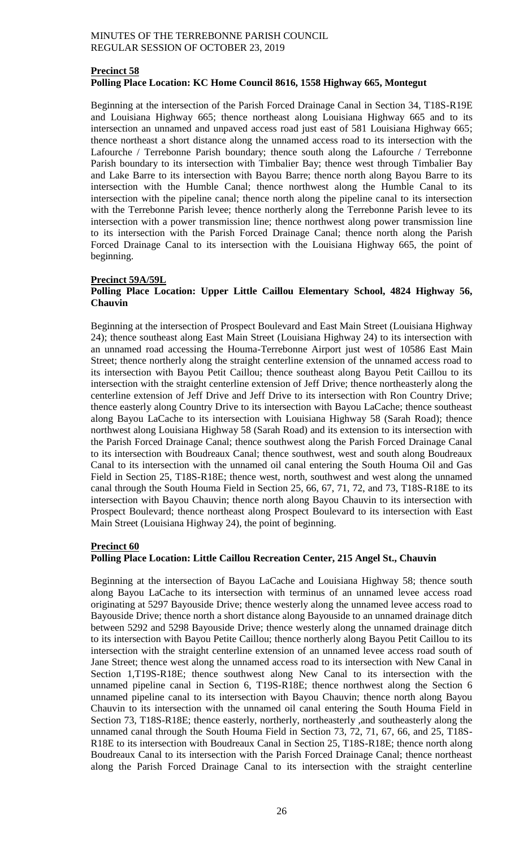## **Precinct 58 Polling Place Location: KC Home Council 8616, 1558 Highway 665, Montegut**

Beginning at the intersection of the Parish Forced Drainage Canal in Section 34, T18S-R19E and Louisiana Highway 665; thence northeast along Louisiana Highway 665 and to its intersection an unnamed and unpaved access road just east of 581 Louisiana Highway 665; thence northeast a short distance along the unnamed access road to its intersection with the Lafourche / Terrebonne Parish boundary; thence south along the Lafourche / Terrebonne Parish boundary to its intersection with Timbalier Bay; thence west through Timbalier Bay and Lake Barre to its intersection with Bayou Barre; thence north along Bayou Barre to its intersection with the Humble Canal; thence northwest along the Humble Canal to its intersection with the pipeline canal; thence north along the pipeline canal to its intersection with the Terrebonne Parish levee; thence northerly along the Terrebonne Parish levee to its intersection with a power transmission line; thence northwest along power transmission line to its intersection with the Parish Forced Drainage Canal; thence north along the Parish Forced Drainage Canal to its intersection with the Louisiana Highway 665, the point of beginning.

## **Precinct 59A/59L**

# **Polling Place Location: Upper Little Caillou Elementary School, 4824 Highway 56, Chauvin**

Beginning at the intersection of Prospect Boulevard and East Main Street (Louisiana Highway 24); thence southeast along East Main Street (Louisiana Highway 24) to its intersection with an unnamed road accessing the Houma-Terrebonne Airport just west of 10586 East Main Street; thence northerly along the straight centerline extension of the unnamed access road to its intersection with Bayou Petit Caillou; thence southeast along Bayou Petit Caillou to its intersection with the straight centerline extension of Jeff Drive; thence northeasterly along the centerline extension of Jeff Drive and Jeff Drive to its intersection with Ron Country Drive; thence easterly along Country Drive to its intersection with Bayou LaCache; thence southeast along Bayou LaCache to its intersection with Louisiana Highway 58 (Sarah Road); thence northwest along Louisiana Highway 58 (Sarah Road) and its extension to its intersection with the Parish Forced Drainage Canal; thence southwest along the Parish Forced Drainage Canal to its intersection with Boudreaux Canal; thence southwest, west and south along Boudreaux Canal to its intersection with the unnamed oil canal entering the South Houma Oil and Gas Field in Section 25, T18S-R18E; thence west, north, southwest and west along the unnamed canal through the South Houma Field in Section 25, 66, 67, 71, 72, and 73, T18S-R18E to its intersection with Bayou Chauvin; thence north along Bayou Chauvin to its intersection with Prospect Boulevard; thence northeast along Prospect Boulevard to its intersection with East Main Street (Louisiana Highway 24), the point of beginning.

#### **Precinct 60**

#### **Polling Place Location: Little Caillou Recreation Center, 215 Angel St., Chauvin**

Beginning at the intersection of Bayou LaCache and Louisiana Highway 58; thence south along Bayou LaCache to its intersection with terminus of an unnamed levee access road originating at 5297 Bayouside Drive; thence westerly along the unnamed levee access road to Bayouside Drive; thence north a short distance along Bayouside to an unnamed drainage ditch between 5292 and 5298 Bayouside Drive; thence westerly along the unnamed drainage ditch to its intersection with Bayou Petite Caillou; thence northerly along Bayou Petit Caillou to its intersection with the straight centerline extension of an unnamed levee access road south of Jane Street; thence west along the unnamed access road to its intersection with New Canal in Section 1,T19S-R18E; thence southwest along New Canal to its intersection with the unnamed pipeline canal in Section 6, T19S-R18E; thence northwest along the Section 6 unnamed pipeline canal to its intersection with Bayou Chauvin; thence north along Bayou Chauvin to its intersection with the unnamed oil canal entering the South Houma Field in Section 73, T18S-R18E; thence easterly, northerly, northeasterly ,and southeasterly along the unnamed canal through the South Houma Field in Section 73, 72, 71, 67, 66, and 25, T18S-R18E to its intersection with Boudreaux Canal in Section 25, T18S-R18E; thence north along Boudreaux Canal to its intersection with the Parish Forced Drainage Canal; thence northeast along the Parish Forced Drainage Canal to its intersection with the straight centerline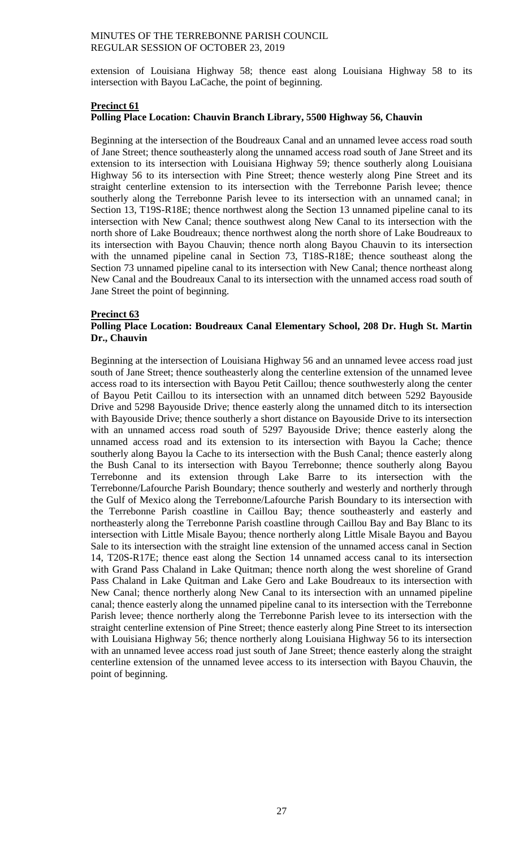extension of Louisiana Highway 58; thence east along Louisiana Highway 58 to its intersection with Bayou LaCache, the point of beginning.

# **Precinct 61**

# **Polling Place Location: Chauvin Branch Library, 5500 Highway 56, Chauvin**

Beginning at the intersection of the Boudreaux Canal and an unnamed levee access road south of Jane Street; thence southeasterly along the unnamed access road south of Jane Street and its extension to its intersection with Louisiana Highway 59; thence southerly along Louisiana Highway 56 to its intersection with Pine Street; thence westerly along Pine Street and its straight centerline extension to its intersection with the Terrebonne Parish levee; thence southerly along the Terrebonne Parish levee to its intersection with an unnamed canal; in Section 13, T19S-R18E; thence northwest along the Section 13 unnamed pipeline canal to its intersection with New Canal; thence southwest along New Canal to its intersection with the north shore of Lake Boudreaux; thence northwest along the north shore of Lake Boudreaux to its intersection with Bayou Chauvin; thence north along Bayou Chauvin to its intersection with the unnamed pipeline canal in Section 73, T18S-R18E; thence southeast along the Section 73 unnamed pipeline canal to its intersection with New Canal; thence northeast along New Canal and the Boudreaux Canal to its intersection with the unnamed access road south of Jane Street the point of beginning.

## **Precinct 63**

## **Polling Place Location: Boudreaux Canal Elementary School, 208 Dr. Hugh St. Martin Dr., Chauvin**

Beginning at the intersection of Louisiana Highway 56 and an unnamed levee access road just south of Jane Street; thence southeasterly along the centerline extension of the unnamed levee access road to its intersection with Bayou Petit Caillou; thence southwesterly along the center of Bayou Petit Caillou to its intersection with an unnamed ditch between 5292 Bayouside Drive and 5298 Bayouside Drive; thence easterly along the unnamed ditch to its intersection with Bayouside Drive; thence southerly a short distance on Bayouside Drive to its intersection with an unnamed access road south of 5297 Bayouside Drive; thence easterly along the unnamed access road and its extension to its intersection with Bayou la Cache; thence southerly along Bayou la Cache to its intersection with the Bush Canal; thence easterly along the Bush Canal to its intersection with Bayou Terrebonne; thence southerly along Bayou Terrebonne and its extension through Lake Barre to its intersection with the Terrebonne/Lafourche Parish Boundary; thence southerly and westerly and northerly through the Gulf of Mexico along the Terrebonne/Lafourche Parish Boundary to its intersection with the Terrebonne Parish coastline in Caillou Bay; thence southeasterly and easterly and northeasterly along the Terrebonne Parish coastline through Caillou Bay and Bay Blanc to its intersection with Little Misale Bayou; thence northerly along Little Misale Bayou and Bayou Sale to its intersection with the straight line extension of the unnamed access canal in Section 14, T20S-R17E; thence east along the Section 14 unnamed access canal to its intersection with Grand Pass Chaland in Lake Quitman; thence north along the west shoreline of Grand Pass Chaland in Lake Quitman and Lake Gero and Lake Boudreaux to its intersection with New Canal; thence northerly along New Canal to its intersection with an unnamed pipeline canal; thence easterly along the unnamed pipeline canal to its intersection with the Terrebonne Parish levee; thence northerly along the Terrebonne Parish levee to its intersection with the straight centerline extension of Pine Street; thence easterly along Pine Street to its intersection with Louisiana Highway 56; thence northerly along Louisiana Highway 56 to its intersection with an unnamed levee access road just south of Jane Street; thence easterly along the straight centerline extension of the unnamed levee access to its intersection with Bayou Chauvin, the point of beginning.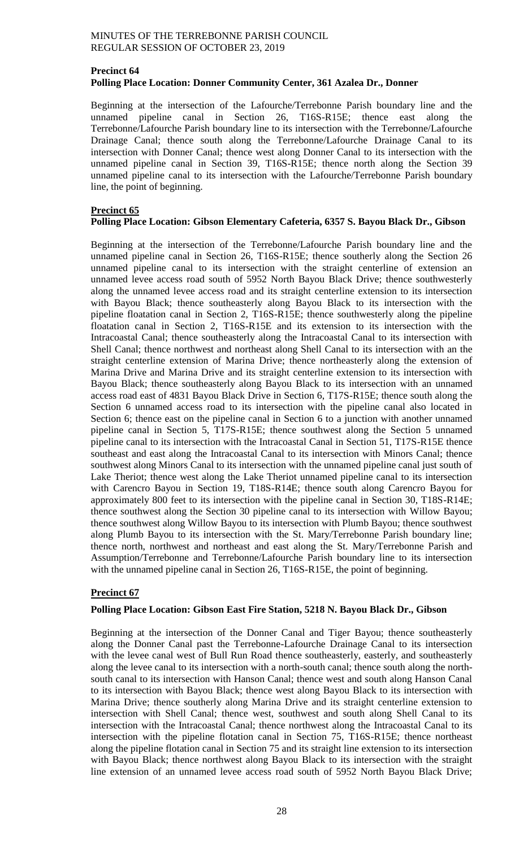# **Precinct 64 Polling Place Location: Donner Community Center, 361 Azalea Dr., Donner**

Beginning at the intersection of the Lafourche/Terrebonne Parish boundary line and the unnamed pipeline canal in Section 26, T16S-R15E; thence east along the Terrebonne/Lafourche Parish boundary line to its intersection with the Terrebonne/Lafourche Drainage Canal; thence south along the Terrebonne/Lafourche Drainage Canal to its intersection with Donner Canal; thence west along Donner Canal to its intersection with the unnamed pipeline canal in Section 39, T16S-R15E; thence north along the Section 39 unnamed pipeline canal to its intersection with the Lafourche/Terrebonne Parish boundary line, the point of beginning.

# **Precinct 65**

# **Polling Place Location: Gibson Elementary Cafeteria, 6357 S. Bayou Black Dr., Gibson**

Beginning at the intersection of the Terrebonne/Lafourche Parish boundary line and the unnamed pipeline canal in Section 26, T16S-R15E; thence southerly along the Section 26 unnamed pipeline canal to its intersection with the straight centerline of extension an unnamed levee access road south of 5952 North Bayou Black Drive; thence southwesterly along the unnamed levee access road and its straight centerline extension to its intersection with Bayou Black; thence southeasterly along Bayou Black to its intersection with the pipeline floatation canal in Section 2, T16S-R15E; thence southwesterly along the pipeline floatation canal in Section 2, T16S-R15E and its extension to its intersection with the Intracoastal Canal; thence southeasterly along the Intracoastal Canal to its intersection with Shell Canal; thence northwest and northeast along Shell Canal to its intersection with an the straight centerline extension of Marina Drive; thence northeasterly along the extension of Marina Drive and Marina Drive and its straight centerline extension to its intersection with Bayou Black; thence southeasterly along Bayou Black to its intersection with an unnamed access road east of 4831 Bayou Black Drive in Section 6, T17S-R15E; thence south along the Section 6 unnamed access road to its intersection with the pipeline canal also located in Section 6; thence east on the pipeline canal in Section 6 to a junction with another unnamed pipeline canal in Section 5, T17S-R15E; thence southwest along the Section 5 unnamed pipeline canal to its intersection with the Intracoastal Canal in Section 51, T17S-R15E thence southeast and east along the Intracoastal Canal to its intersection with Minors Canal; thence southwest along Minors Canal to its intersection with the unnamed pipeline canal just south of Lake Theriot; thence west along the Lake Theriot unnamed pipeline canal to its intersection with Carencro Bayou in Section 19, T18S-R14E; thence south along Carencro Bayou for approximately 800 feet to its intersection with the pipeline canal in Section 30, T18S-R14E; thence southwest along the Section 30 pipeline canal to its intersection with Willow Bayou; thence southwest along Willow Bayou to its intersection with Plumb Bayou; thence southwest along Plumb Bayou to its intersection with the St. Mary/Terrebonne Parish boundary line; thence north, northwest and northeast and east along the St. Mary/Terrebonne Parish and Assumption/Terrebonne and Terrebonne/Lafourche Parish boundary line to its intersection with the unnamed pipeline canal in Section 26, T16S-R15E, the point of beginning.

# **Precinct 67**

# **Polling Place Location: Gibson East Fire Station, 5218 N. Bayou Black Dr., Gibson**

Beginning at the intersection of the Donner Canal and Tiger Bayou; thence southeasterly along the Donner Canal past the Terrebonne-Lafourche Drainage Canal to its intersection with the levee canal west of Bull Run Road thence southeasterly, easterly, and southeasterly along the levee canal to its intersection with a north-south canal; thence south along the northsouth canal to its intersection with Hanson Canal; thence west and south along Hanson Canal to its intersection with Bayou Black; thence west along Bayou Black to its intersection with Marina Drive; thence southerly along Marina Drive and its straight centerline extension to intersection with Shell Canal; thence west, southwest and south along Shell Canal to its intersection with the Intracoastal Canal; thence northwest along the Intracoastal Canal to its intersection with the pipeline flotation canal in Section 75, T16S-R15E; thence northeast along the pipeline flotation canal in Section 75 and its straight line extension to its intersection with Bayou Black; thence northwest along Bayou Black to its intersection with the straight line extension of an unnamed levee access road south of 5952 North Bayou Black Drive;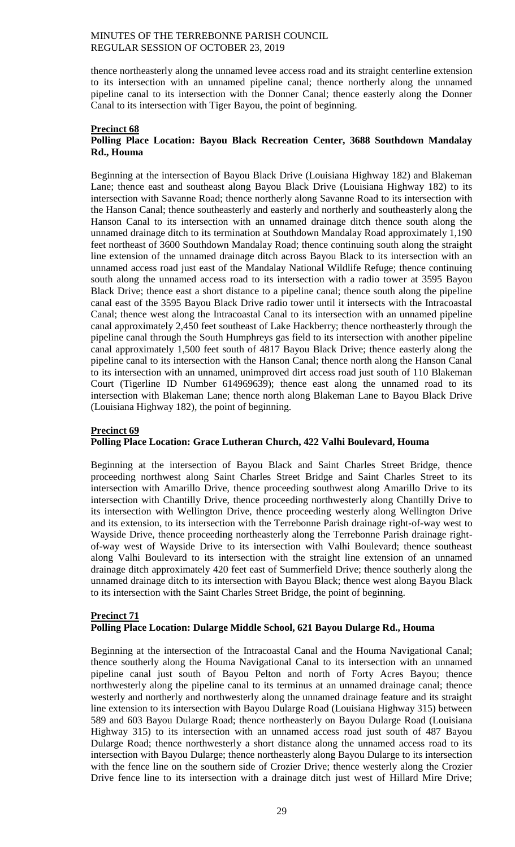thence northeasterly along the unnamed levee access road and its straight centerline extension to its intersection with an unnamed pipeline canal; thence northerly along the unnamed pipeline canal to its intersection with the Donner Canal; thence easterly along the Donner Canal to its intersection with Tiger Bayou, the point of beginning.

#### **Precinct 68 Polling Place Location: Bayou Black Recreation Center, 3688 Southdown Mandalay Rd., Houma**

Beginning at the intersection of Bayou Black Drive (Louisiana Highway 182) and Blakeman Lane; thence east and southeast along Bayou Black Drive (Louisiana Highway 182) to its intersection with Savanne Road; thence northerly along Savanne Road to its intersection with the Hanson Canal; thence southeasterly and easterly and northerly and southeasterly along the Hanson Canal to its intersection with an unnamed drainage ditch thence south along the unnamed drainage ditch to its termination at Southdown Mandalay Road approximately 1,190 feet northeast of 3600 Southdown Mandalay Road; thence continuing south along the straight line extension of the unnamed drainage ditch across Bayou Black to its intersection with an unnamed access road just east of the Mandalay National Wildlife Refuge; thence continuing south along the unnamed access road to its intersection with a radio tower at 3595 Bayou Black Drive; thence east a short distance to a pipeline canal; thence south along the pipeline canal east of the 3595 Bayou Black Drive radio tower until it intersects with the Intracoastal Canal; thence west along the Intracoastal Canal to its intersection with an unnamed pipeline canal approximately 2,450 feet southeast of Lake Hackberry; thence northeasterly through the pipeline canal through the South Humphreys gas field to its intersection with another pipeline canal approximately 1,500 feet south of 4817 Bayou Black Drive; thence easterly along the pipeline canal to its intersection with the Hanson Canal; thence north along the Hanson Canal to its intersection with an unnamed, unimproved dirt access road just south of 110 Blakeman Court (Tigerline ID Number 614969639); thence east along the unnamed road to its intersection with Blakeman Lane; thence north along Blakeman Lane to Bayou Black Drive (Louisiana Highway 182), the point of beginning.

# **Precinct 69**

# **Polling Place Location: Grace Lutheran Church, 422 Valhi Boulevard, Houma**

Beginning at the intersection of Bayou Black and Saint Charles Street Bridge, thence proceeding northwest along Saint Charles Street Bridge and Saint Charles Street to its intersection with Amarillo Drive, thence proceeding southwest along Amarillo Drive to its intersection with Chantilly Drive, thence proceeding northwesterly along Chantilly Drive to its intersection with Wellington Drive, thence proceeding westerly along Wellington Drive and its extension, to its intersection with the Terrebonne Parish drainage right-of-way west to Wayside Drive, thence proceeding northeasterly along the Terrebonne Parish drainage rightof-way west of Wayside Drive to its intersection with Valhi Boulevard; thence southeast along Valhi Boulevard to its intersection with the straight line extension of an unnamed drainage ditch approximately 420 feet east of Summerfield Drive; thence southerly along the unnamed drainage ditch to its intersection with Bayou Black; thence west along Bayou Black to its intersection with the Saint Charles Street Bridge, the point of beginning.

## **Precinct 71 Polling Place Location: Dularge Middle School, 621 Bayou Dularge Rd., Houma**

Beginning at the intersection of the Intracoastal Canal and the Houma Navigational Canal; thence southerly along the Houma Navigational Canal to its intersection with an unnamed pipeline canal just south of Bayou Pelton and north of Forty Acres Bayou; thence northwesterly along the pipeline canal to its terminus at an unnamed drainage canal; thence westerly and northerly and northwesterly along the unnamed drainage feature and its straight line extension to its intersection with Bayou Dularge Road (Louisiana Highway 315) between 589 and 603 Bayou Dularge Road; thence northeasterly on Bayou Dularge Road (Louisiana Highway 315) to its intersection with an unnamed access road just south of 487 Bayou Dularge Road; thence northwesterly a short distance along the unnamed access road to its intersection with Bayou Dularge; thence northeasterly along Bayou Dularge to its intersection with the fence line on the southern side of Crozier Drive; thence westerly along the Crozier Drive fence line to its intersection with a drainage ditch just west of Hillard Mire Drive;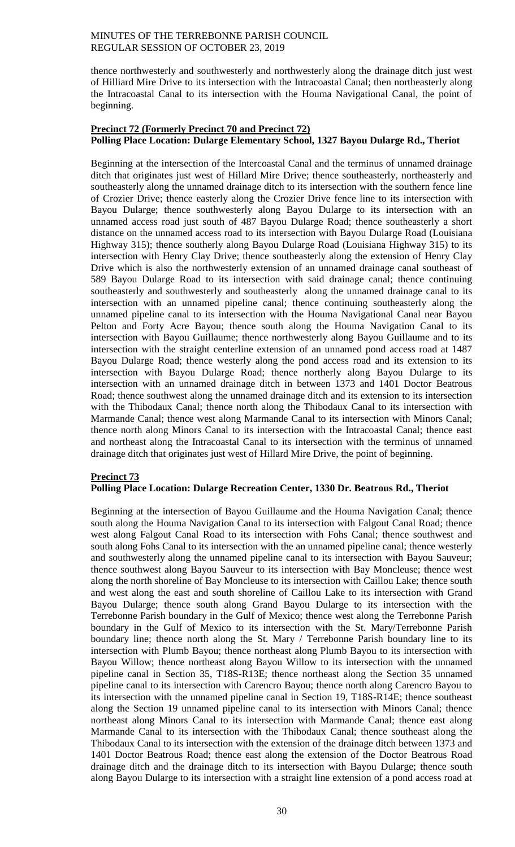thence northwesterly and southwesterly and northwesterly along the drainage ditch just west of Hilliard Mire Drive to its intersection with the Intracoastal Canal; then northeasterly along the Intracoastal Canal to its intersection with the Houma Navigational Canal, the point of beginning.

# **Precinct 72 (Formerly Precinct 70 and Precinct 72) Polling Place Location: Dularge Elementary School, 1327 Bayou Dularge Rd., Theriot**

Beginning at the intersection of the Intercoastal Canal and the terminus of unnamed drainage ditch that originates just west of Hillard Mire Drive; thence southeasterly, northeasterly and southeasterly along the unnamed drainage ditch to its intersection with the southern fence line of Crozier Drive; thence easterly along the Crozier Drive fence line to its intersection with Bayou Dularge; thence southwesterly along Bayou Dularge to its intersection with an unnamed access road just south of 487 Bayou Dularge Road; thence southeasterly a short distance on the unnamed access road to its intersection with Bayou Dularge Road (Louisiana Highway 315); thence southerly along Bayou Dularge Road (Louisiana Highway 315) to its intersection with Henry Clay Drive; thence southeasterly along the extension of Henry Clay Drive which is also the northwesterly extension of an unnamed drainage canal southeast of 589 Bayou Dularge Road to its intersection with said drainage canal; thence continuing southeasterly and southwesterly and southeasterly along the unnamed drainage canal to its intersection with an unnamed pipeline canal; thence continuing southeasterly along the unnamed pipeline canal to its intersection with the Houma Navigational Canal near Bayou Pelton and Forty Acre Bayou; thence south along the Houma Navigation Canal to its intersection with Bayou Guillaume; thence northwesterly along Bayou Guillaume and to its intersection with the straight centerline extension of an unnamed pond access road at 1487 Bayou Dularge Road; thence westerly along the pond access road and its extension to its intersection with Bayou Dularge Road; thence northerly along Bayou Dularge to its intersection with an unnamed drainage ditch in between 1373 and 1401 Doctor Beatrous Road; thence southwest along the unnamed drainage ditch and its extension to its intersection with the Thibodaux Canal; thence north along the Thibodaux Canal to its intersection with Marmande Canal; thence west along Marmande Canal to its intersection with Minors Canal; thence north along Minors Canal to its intersection with the Intracoastal Canal; thence east and northeast along the Intracoastal Canal to its intersection with the terminus of unnamed drainage ditch that originates just west of Hillard Mire Drive, the point of beginning.

# **Precinct 73**

# **Polling Place Location: Dularge Recreation Center, 1330 Dr. Beatrous Rd., Theriot**

Beginning at the intersection of Bayou Guillaume and the Houma Navigation Canal; thence south along the Houma Navigation Canal to its intersection with Falgout Canal Road; thence west along Falgout Canal Road to its intersection with Fohs Canal; thence southwest and south along Fohs Canal to its intersection with the an unnamed pipeline canal; thence westerly and southwesterly along the unnamed pipeline canal to its intersection with Bayou Sauveur; thence southwest along Bayou Sauveur to its intersection with Bay Moncleuse; thence west along the north shoreline of Bay Moncleuse to its intersection with Caillou Lake; thence south and west along the east and south shoreline of Caillou Lake to its intersection with Grand Bayou Dularge; thence south along Grand Bayou Dularge to its intersection with the Terrebonne Parish boundary in the Gulf of Mexico; thence west along the Terrebonne Parish boundary in the Gulf of Mexico to its intersection with the St. Mary/Terrebonne Parish boundary line; thence north along the St. Mary / Terrebonne Parish boundary line to its intersection with Plumb Bayou; thence northeast along Plumb Bayou to its intersection with Bayou Willow; thence northeast along Bayou Willow to its intersection with the unnamed pipeline canal in Section 35, T18S-R13E; thence northeast along the Section 35 unnamed pipeline canal to its intersection with Carencro Bayou; thence north along Carencro Bayou to its intersection with the unnamed pipeline canal in Section 19, T18S-R14E; thence southeast along the Section 19 unnamed pipeline canal to its intersection with Minors Canal; thence northeast along Minors Canal to its intersection with Marmande Canal; thence east along Marmande Canal to its intersection with the Thibodaux Canal; thence southeast along the Thibodaux Canal to its intersection with the extension of the drainage ditch between 1373 and 1401 Doctor Beatrous Road; thence east along the extension of the Doctor Beatrous Road drainage ditch and the drainage ditch to its intersection with Bayou Dularge; thence south along Bayou Dularge to its intersection with a straight line extension of a pond access road at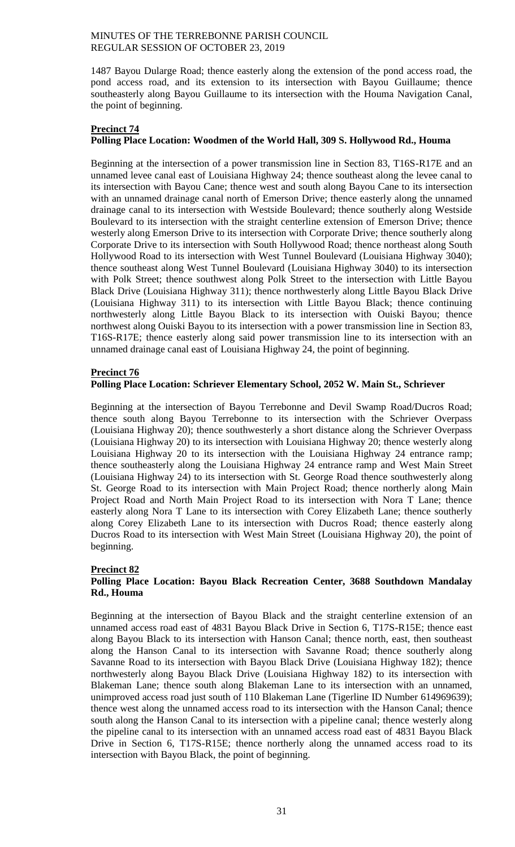1487 Bayou Dularge Road; thence easterly along the extension of the pond access road, the pond access road, and its extension to its intersection with Bayou Guillaume; thence southeasterly along Bayou Guillaume to its intersection with the Houma Navigation Canal, the point of beginning.

# **Precinct 74**

# **Polling Place Location: Woodmen of the World Hall, 309 S. Hollywood Rd., Houma**

Beginning at the intersection of a power transmission line in Section 83, T16S-R17E and an unnamed levee canal east of Louisiana Highway 24; thence southeast along the levee canal to its intersection with Bayou Cane; thence west and south along Bayou Cane to its intersection with an unnamed drainage canal north of Emerson Drive; thence easterly along the unnamed drainage canal to its intersection with Westside Boulevard; thence southerly along Westside Boulevard to its intersection with the straight centerline extension of Emerson Drive; thence westerly along Emerson Drive to its intersection with Corporate Drive; thence southerly along Corporate Drive to its intersection with South Hollywood Road; thence northeast along South Hollywood Road to its intersection with West Tunnel Boulevard (Louisiana Highway 3040); thence southeast along West Tunnel Boulevard (Louisiana Highway 3040) to its intersection with Polk Street; thence southwest along Polk Street to the intersection with Little Bayou Black Drive (Louisiana Highway 311); thence northwesterly along Little Bayou Black Drive (Louisiana Highway 311) to its intersection with Little Bayou Black; thence continuing northwesterly along Little Bayou Black to its intersection with Ouiski Bayou; thence northwest along Ouiski Bayou to its intersection with a power transmission line in Section 83, T16S-R17E; thence easterly along said power transmission line to its intersection with an unnamed drainage canal east of Louisiana Highway 24, the point of beginning.

## **Precinct 76**

## **Polling Place Location: Schriever Elementary School, 2052 W. Main St., Schriever**

Beginning at the intersection of Bayou Terrebonne and Devil Swamp Road/Ducros Road; thence south along Bayou Terrebonne to its intersection with the Schriever Overpass (Louisiana Highway 20); thence southwesterly a short distance along the Schriever Overpass (Louisiana Highway 20) to its intersection with Louisiana Highway 20; thence westerly along Louisiana Highway 20 to its intersection with the Louisiana Highway 24 entrance ramp; thence southeasterly along the Louisiana Highway 24 entrance ramp and West Main Street (Louisiana Highway 24) to its intersection with St. George Road thence southwesterly along St. George Road to its intersection with Main Project Road; thence northerly along Main Project Road and North Main Project Road to its intersection with Nora T Lane; thence easterly along Nora T Lane to its intersection with Corey Elizabeth Lane; thence southerly along Corey Elizabeth Lane to its intersection with Ducros Road; thence easterly along Ducros Road to its intersection with West Main Street (Louisiana Highway 20), the point of beginning.

# **Precinct 82**

## **Polling Place Location: Bayou Black Recreation Center, 3688 Southdown Mandalay Rd., Houma**

Beginning at the intersection of Bayou Black and the straight centerline extension of an unnamed access road east of 4831 Bayou Black Drive in Section 6, T17S-R15E; thence east along Bayou Black to its intersection with Hanson Canal; thence north, east, then southeast along the Hanson Canal to its intersection with Savanne Road; thence southerly along Savanne Road to its intersection with Bayou Black Drive (Louisiana Highway 182); thence northwesterly along Bayou Black Drive (Louisiana Highway 182) to its intersection with Blakeman Lane; thence south along Blakeman Lane to its intersection with an unnamed, unimproved access road just south of 110 Blakeman Lane (Tigerline ID Number 614969639); thence west along the unnamed access road to its intersection with the Hanson Canal; thence south along the Hanson Canal to its intersection with a pipeline canal; thence westerly along the pipeline canal to its intersection with an unnamed access road east of 4831 Bayou Black Drive in Section 6, T17S-R15E; thence northerly along the unnamed access road to its intersection with Bayou Black, the point of beginning.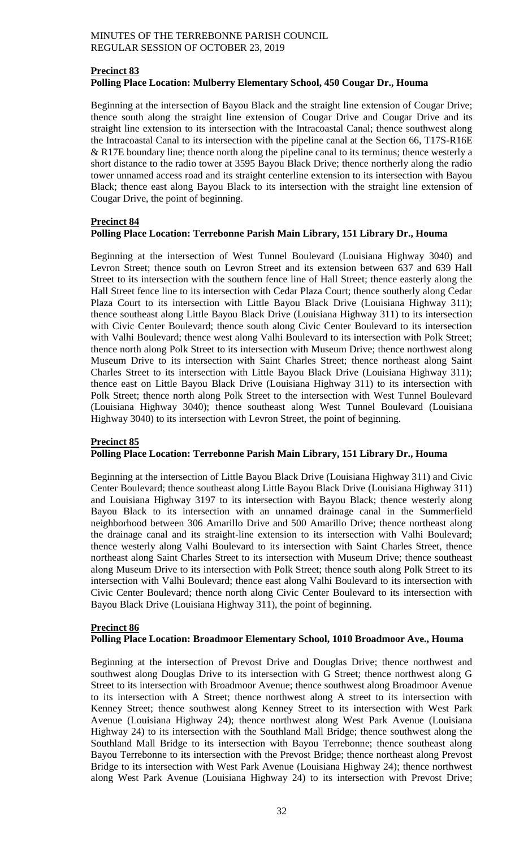# **Precinct 83 Polling Place Location: Mulberry Elementary School, 450 Cougar Dr., Houma**

Beginning at the intersection of Bayou Black and the straight line extension of Cougar Drive; thence south along the straight line extension of Cougar Drive and Cougar Drive and its straight line extension to its intersection with the Intracoastal Canal; thence southwest along the Intracoastal Canal to its intersection with the pipeline canal at the Section 66, T17S-R16E  $&$  R17E boundary line; thence north along the pipeline canal to its terminus; thence westerly a short distance to the radio tower at 3595 Bayou Black Drive; thence northerly along the radio tower unnamed access road and its straight centerline extension to its intersection with Bayou Black; thence east along Bayou Black to its intersection with the straight line extension of Cougar Drive, the point of beginning.

# **Precinct 84**

# **Polling Place Location: Terrebonne Parish Main Library, 151 Library Dr., Houma**

Beginning at the intersection of West Tunnel Boulevard (Louisiana Highway 3040) and Levron Street; thence south on Levron Street and its extension between 637 and 639 Hall Street to its intersection with the southern fence line of Hall Street; thence easterly along the Hall Street fence line to its intersection with Cedar Plaza Court; thence southerly along Cedar Plaza Court to its intersection with Little Bayou Black Drive (Louisiana Highway 311); thence southeast along Little Bayou Black Drive (Louisiana Highway 311) to its intersection with Civic Center Boulevard; thence south along Civic Center Boulevard to its intersection with Valhi Boulevard; thence west along Valhi Boulevard to its intersection with Polk Street; thence north along Polk Street to its intersection with Museum Drive; thence northwest along Museum Drive to its intersection with Saint Charles Street; thence northeast along Saint Charles Street to its intersection with Little Bayou Black Drive (Louisiana Highway 311); thence east on Little Bayou Black Drive (Louisiana Highway 311) to its intersection with Polk Street; thence north along Polk Street to the intersection with West Tunnel Boulevard (Louisiana Highway 3040); thence southeast along West Tunnel Boulevard (Louisiana Highway 3040) to its intersection with Levron Street, the point of beginning.

# **Precinct 85**

# **Polling Place Location: Terrebonne Parish Main Library, 151 Library Dr., Houma**

Beginning at the intersection of Little Bayou Black Drive (Louisiana Highway 311) and Civic Center Boulevard; thence southeast along Little Bayou Black Drive (Louisiana Highway 311) and Louisiana Highway 3197 to its intersection with Bayou Black; thence westerly along Bayou Black to its intersection with an unnamed drainage canal in the Summerfield neighborhood between 306 Amarillo Drive and 500 Amarillo Drive; thence northeast along the drainage canal and its straight-line extension to its intersection with Valhi Boulevard; thence westerly along Valhi Boulevard to its intersection with Saint Charles Street, thence northeast along Saint Charles Street to its intersection with Museum Drive; thence southeast along Museum Drive to its intersection with Polk Street; thence south along Polk Street to its intersection with Valhi Boulevard; thence east along Valhi Boulevard to its intersection with Civic Center Boulevard; thence north along Civic Center Boulevard to its intersection with Bayou Black Drive (Louisiana Highway 311), the point of beginning.

# **Precinct 86**

# **Polling Place Location: Broadmoor Elementary School, 1010 Broadmoor Ave., Houma**

Beginning at the intersection of Prevost Drive and Douglas Drive; thence northwest and southwest along Douglas Drive to its intersection with G Street; thence northwest along G Street to its intersection with Broadmoor Avenue; thence southwest along Broadmoor Avenue to its intersection with A Street; thence northwest along A street to its intersection with Kenney Street; thence southwest along Kenney Street to its intersection with West Park Avenue (Louisiana Highway 24); thence northwest along West Park Avenue (Louisiana Highway 24) to its intersection with the Southland Mall Bridge; thence southwest along the Southland Mall Bridge to its intersection with Bayou Terrebonne; thence southeast along Bayou Terrebonne to its intersection with the Prevost Bridge; thence northeast along Prevost Bridge to its intersection with West Park Avenue (Louisiana Highway 24); thence northwest along West Park Avenue (Louisiana Highway 24) to its intersection with Prevost Drive;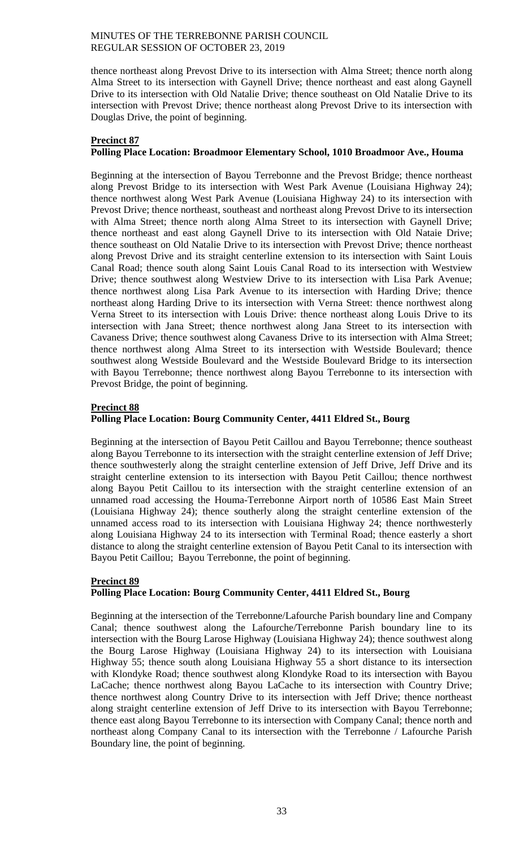thence northeast along Prevost Drive to its intersection with Alma Street; thence north along Alma Street to its intersection with Gaynell Drive; thence northeast and east along Gaynell Drive to its intersection with Old Natalie Drive; thence southeast on Old Natalie Drive to its intersection with Prevost Drive; thence northeast along Prevost Drive to its intersection with Douglas Drive, the point of beginning.

## **Precinct 87**

# **Polling Place Location: Broadmoor Elementary School, 1010 Broadmoor Ave., Houma**

Beginning at the intersection of Bayou Terrebonne and the Prevost Bridge; thence northeast along Prevost Bridge to its intersection with West Park Avenue (Louisiana Highway 24); thence northwest along West Park Avenue (Louisiana Highway 24) to its intersection with Prevost Drive; thence northeast, southeast and northeast along Prevost Drive to its intersection with Alma Street; thence north along Alma Street to its intersection with Gaynell Drive; thence northeast and east along Gaynell Drive to its intersection with Old Nataie Drive; thence southeast on Old Natalie Drive to its intersection with Prevost Drive; thence northeast along Prevost Drive and its straight centerline extension to its intersection with Saint Louis Canal Road; thence south along Saint Louis Canal Road to its intersection with Westview Drive; thence southwest along Westview Drive to its intersection with Lisa Park Avenue; thence northwest along Lisa Park Avenue to its intersection with Harding Drive; thence northeast along Harding Drive to its intersection with Verna Street: thence northwest along Verna Street to its intersection with Louis Drive: thence northeast along Louis Drive to its intersection with Jana Street; thence northwest along Jana Street to its intersection with Cavaness Drive; thence southwest along Cavaness Drive to its intersection with Alma Street; thence northwest along Alma Street to its intersection with Westside Boulevard; thence southwest along Westside Boulevard and the Westside Boulevard Bridge to its intersection with Bayou Terrebonne; thence northwest along Bayou Terrebonne to its intersection with Prevost Bridge, the point of beginning.

# **Precinct 88**

# **Polling Place Location: Bourg Community Center, 4411 Eldred St., Bourg**

Beginning at the intersection of Bayou Petit Caillou and Bayou Terrebonne; thence southeast along Bayou Terrebonne to its intersection with the straight centerline extension of Jeff Drive; thence southwesterly along the straight centerline extension of Jeff Drive, Jeff Drive and its straight centerline extension to its intersection with Bayou Petit Caillou; thence northwest along Bayou Petit Caillou to its intersection with the straight centerline extension of an unnamed road accessing the Houma-Terrebonne Airport north of 10586 East Main Street (Louisiana Highway 24); thence southerly along the straight centerline extension of the unnamed access road to its intersection with Louisiana Highway 24; thence northwesterly along Louisiana Highway 24 to its intersection with Terminal Road; thence easterly a short distance to along the straight centerline extension of Bayou Petit Canal to its intersection with Bayou Petit Caillou; Bayou Terrebonne, the point of beginning.

# **Precinct 89 Polling Place Location: Bourg Community Center, 4411 Eldred St., Bourg**

Beginning at the intersection of the Terrebonne/Lafourche Parish boundary line and Company Canal; thence southwest along the Lafourche/Terrebonne Parish boundary line to its intersection with the Bourg Larose Highway (Louisiana Highway 24); thence southwest along the Bourg Larose Highway (Louisiana Highway 24) to its intersection with Louisiana Highway 55; thence south along Louisiana Highway 55 a short distance to its intersection with Klondyke Road; thence southwest along Klondyke Road to its intersection with Bayou LaCache; thence northwest along Bayou LaCache to its intersection with Country Drive; thence northwest along Country Drive to its intersection with Jeff Drive; thence northeast along straight centerline extension of Jeff Drive to its intersection with Bayou Terrebonne; thence east along Bayou Terrebonne to its intersection with Company Canal; thence north and northeast along Company Canal to its intersection with the Terrebonne / Lafourche Parish Boundary line, the point of beginning.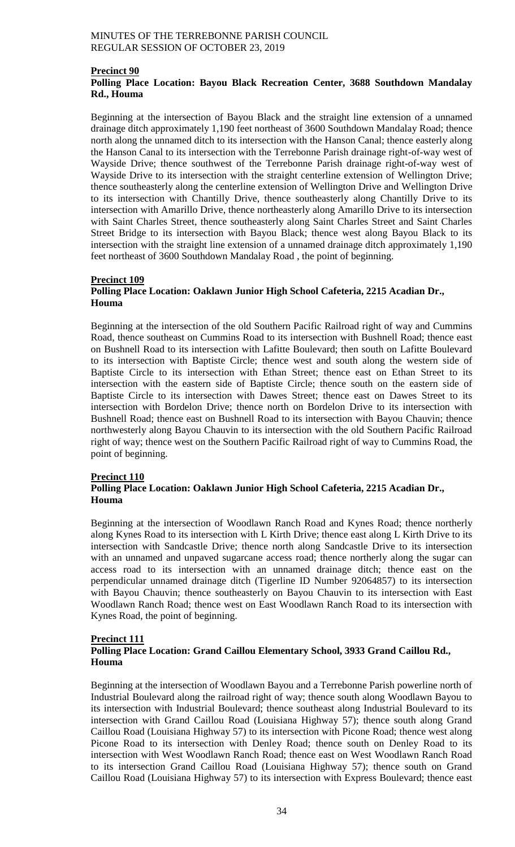# **Precinct 90**

# **Polling Place Location: Bayou Black Recreation Center, 3688 Southdown Mandalay Rd., Houma**

Beginning at the intersection of Bayou Black and the straight line extension of a unnamed drainage ditch approximately 1,190 feet northeast of 3600 Southdown Mandalay Road; thence north along the unnamed ditch to its intersection with the Hanson Canal; thence easterly along the Hanson Canal to its intersection with the Terrebonne Parish drainage right-of-way west of Wayside Drive; thence southwest of the Terrebonne Parish drainage right-of-way west of Wayside Drive to its intersection with the straight centerline extension of Wellington Drive; thence southeasterly along the centerline extension of Wellington Drive and Wellington Drive to its intersection with Chantilly Drive, thence southeasterly along Chantilly Drive to its intersection with Amarillo Drive, thence northeasterly along Amarillo Drive to its intersection with Saint Charles Street, thence southeasterly along Saint Charles Street and Saint Charles Street Bridge to its intersection with Bayou Black; thence west along Bayou Black to its intersection with the straight line extension of a unnamed drainage ditch approximately 1,190 feet northeast of 3600 Southdown Mandalay Road , the point of beginning.

# **Precinct 109**

# **Polling Place Location: Oaklawn Junior High School Cafeteria, 2215 Acadian Dr., Houma**

Beginning at the intersection of the old Southern Pacific Railroad right of way and Cummins Road, thence southeast on Cummins Road to its intersection with Bushnell Road; thence east on Bushnell Road to its intersection with Lafitte Boulevard; then south on Lafitte Boulevard to its intersection with Baptiste Circle; thence west and south along the western side of Baptiste Circle to its intersection with Ethan Street; thence east on Ethan Street to its intersection with the eastern side of Baptiste Circle; thence south on the eastern side of Baptiste Circle to its intersection with Dawes Street; thence east on Dawes Street to its intersection with Bordelon Drive; thence north on Bordelon Drive to its intersection with Bushnell Road; thence east on Bushnell Road to its intersection with Bayou Chauvin; thence northwesterly along Bayou Chauvin to its intersection with the old Southern Pacific Railroad right of way; thence west on the Southern Pacific Railroad right of way to Cummins Road, the point of beginning.

#### **Precinct 110**

# **Polling Place Location: Oaklawn Junior High School Cafeteria, 2215 Acadian Dr., Houma**

Beginning at the intersection of Woodlawn Ranch Road and Kynes Road; thence northerly along Kynes Road to its intersection with L Kirth Drive; thence east along L Kirth Drive to its intersection with Sandcastle Drive; thence north along Sandcastle Drive to its intersection with an unnamed and unpaved sugarcane access road; thence northerly along the sugar can access road to its intersection with an unnamed drainage ditch; thence east on the perpendicular unnamed drainage ditch (Tigerline ID Number 92064857) to its intersection with Bayou Chauvin; thence southeasterly on Bayou Chauvin to its intersection with East Woodlawn Ranch Road; thence west on East Woodlawn Ranch Road to its intersection with Kynes Road, the point of beginning.

# **Precinct 111**

# **Polling Place Location: Grand Caillou Elementary School, 3933 Grand Caillou Rd., Houma**

Beginning at the intersection of Woodlawn Bayou and a Terrebonne Parish powerline north of Industrial Boulevard along the railroad right of way; thence south along Woodlawn Bayou to its intersection with Industrial Boulevard; thence southeast along Industrial Boulevard to its intersection with Grand Caillou Road (Louisiana Highway 57); thence south along Grand Caillou Road (Louisiana Highway 57) to its intersection with Picone Road; thence west along Picone Road to its intersection with Denley Road; thence south on Denley Road to its intersection with West Woodlawn Ranch Road; thence east on West Woodlawn Ranch Road to its intersection Grand Caillou Road (Louisiana Highway 57); thence south on Grand Caillou Road (Louisiana Highway 57) to its intersection with Express Boulevard; thence east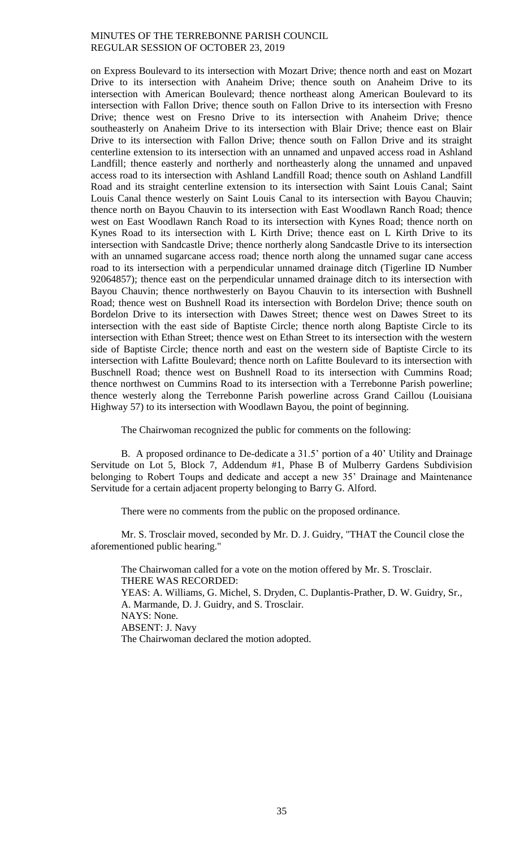on Express Boulevard to its intersection with Mozart Drive; thence north and east on Mozart Drive to its intersection with Anaheim Drive; thence south on Anaheim Drive to its intersection with American Boulevard; thence northeast along American Boulevard to its intersection with Fallon Drive; thence south on Fallon Drive to its intersection with Fresno Drive; thence west on Fresno Drive to its intersection with Anaheim Drive; thence southeasterly on Anaheim Drive to its intersection with Blair Drive; thence east on Blair Drive to its intersection with Fallon Drive; thence south on Fallon Drive and its straight centerline extension to its intersection with an unnamed and unpaved access road in Ashland Landfill; thence easterly and northerly and northeasterly along the unnamed and unpaved access road to its intersection with Ashland Landfill Road; thence south on Ashland Landfill Road and its straight centerline extension to its intersection with Saint Louis Canal; Saint Louis Canal thence westerly on Saint Louis Canal to its intersection with Bayou Chauvin; thence north on Bayou Chauvin to its intersection with East Woodlawn Ranch Road; thence west on East Woodlawn Ranch Road to its intersection with Kynes Road; thence north on Kynes Road to its intersection with L Kirth Drive; thence east on L Kirth Drive to its intersection with Sandcastle Drive; thence northerly along Sandcastle Drive to its intersection with an unnamed sugarcane access road; thence north along the unnamed sugar cane access road to its intersection with a perpendicular unnamed drainage ditch (Tigerline ID Number 92064857); thence east on the perpendicular unnamed drainage ditch to its intersection with Bayou Chauvin; thence northwesterly on Bayou Chauvin to its intersection with Bushnell Road; thence west on Bushnell Road its intersection with Bordelon Drive; thence south on Bordelon Drive to its intersection with Dawes Street; thence west on Dawes Street to its intersection with the east side of Baptiste Circle; thence north along Baptiste Circle to its intersection with Ethan Street; thence west on Ethan Street to its intersection with the western side of Baptiste Circle; thence north and east on the western side of Baptiste Circle to its intersection with Lafitte Boulevard; thence north on Lafitte Boulevard to its intersection with Buschnell Road; thence west on Bushnell Road to its intersection with Cummins Road; thence northwest on Cummins Road to its intersection with a Terrebonne Parish powerline; thence westerly along the Terrebonne Parish powerline across Grand Caillou (Louisiana Highway 57) to its intersection with Woodlawn Bayou, the point of beginning.

The Chairwoman recognized the public for comments on the following:

B. A proposed ordinance to De-dedicate a 31.5' portion of a 40' Utility and Drainage Servitude on Lot 5, Block 7, Addendum #1, Phase B of Mulberry Gardens Subdivision belonging to Robert Toups and dedicate and accept a new 35' Drainage and Maintenance Servitude for a certain adjacent property belonging to Barry G. Alford.

There were no comments from the public on the proposed ordinance.

Mr. S. Trosclair moved, seconded by Mr. D. J. Guidry, "THAT the Council close the aforementioned public hearing."

The Chairwoman called for a vote on the motion offered by Mr. S. Trosclair. THERE WAS RECORDED: YEAS: A. Williams, G. Michel, S. Dryden, C. Duplantis-Prather, D. W. Guidry, Sr., A. Marmande, D. J. Guidry, and S. Trosclair. NAYS: None. ABSENT: J. Navy The Chairwoman declared the motion adopted.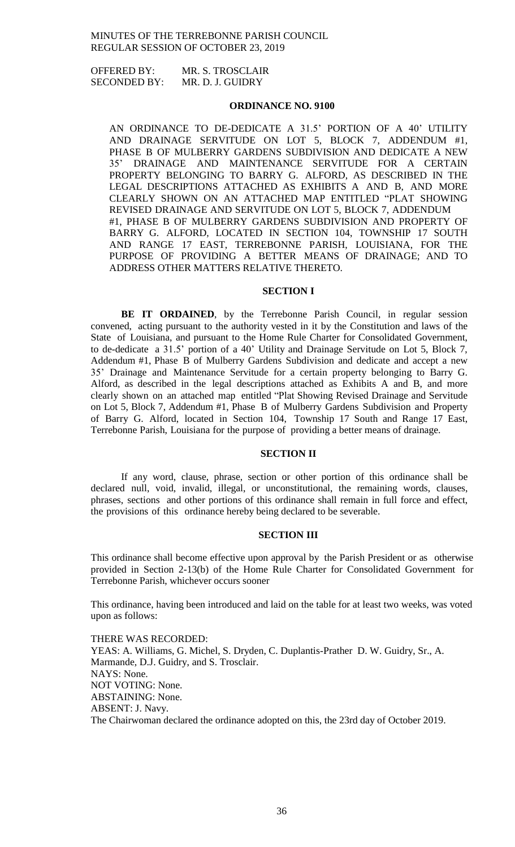OFFERED BY: MR. S. TROSCLAIR SECONDED BY: MR. D. J. GUIDRY

#### **ORDINANCE NO. 9100**

AN ORDINANCE TO DE-DEDICATE A 31.5' PORTION OF A 40' UTILITY AND DRAINAGE SERVITUDE ON LOT 5, BLOCK 7, ADDENDUM #1, PHASE B OF MULBERRY GARDENS SUBDIVISION AND DEDICATE A NEW 35' DRAINAGE AND MAINTENANCE SERVITUDE FOR A CERTAIN PROPERTY BELONGING TO BARRY G. ALFORD, AS DESCRIBED IN THE LEGAL DESCRIPTIONS ATTACHED AS EXHIBITS A AND B, AND MORE CLEARLY SHOWN ON AN ATTACHED MAP ENTITLED "PLAT SHOWING REVISED DRAINAGE AND SERVITUDE ON LOT 5, BLOCK 7, ADDENDUM #1, PHASE B OF MULBERRY GARDENS SUBDIVISION AND PROPERTY OF BARRY G. ALFORD, LOCATED IN SECTION 104, TOWNSHIP 17 SOUTH AND RANGE 17 EAST, TERREBONNE PARISH, LOUISIANA, FOR THE PURPOSE OF PROVIDING A BETTER MEANS OF DRAINAGE; AND TO ADDRESS OTHER MATTERS RELATIVE THERETO.

## **SECTION I**

**BE IT ORDAINED**, by the Terrebonne Parish Council, in regular session convened, acting pursuant to the authority vested in it by the Constitution and laws of the State of Louisiana, and pursuant to the Home Rule Charter for Consolidated Government, to de-dedicate a 31.5' portion of a 40' Utility and Drainage Servitude on Lot 5, Block 7, Addendum #1, Phase B of Mulberry Gardens Subdivision and dedicate and accept a new 35' Drainage and Maintenance Servitude for a certain property belonging to Barry G. Alford, as described in the legal descriptions attached as Exhibits A and B, and more clearly shown on an attached map entitled "Plat Showing Revised Drainage and Servitude on Lot 5, Block 7, Addendum #1, Phase B of Mulberry Gardens Subdivision and Property of Barry G. Alford, located in Section 104, Township 17 South and Range 17 East, Terrebonne Parish, Louisiana for the purpose of providing a better means of drainage.

#### **SECTION II**

If any word, clause, phrase, section or other portion of this ordinance shall be declared null, void, invalid, illegal, or unconstitutional, the remaining words, clauses, phrases, sections and other portions of this ordinance shall remain in full force and effect, the provisions of this ordinance hereby being declared to be severable.

#### **SECTION III**

This ordinance shall become effective upon approval by the Parish President or as otherwise provided in Section 2-13(b) of the Home Rule Charter for Consolidated Government for Terrebonne Parish, whichever occurs sooner

This ordinance, having been introduced and laid on the table for at least two weeks, was voted upon as follows:

THERE WAS RECORDED: YEAS: A. Williams, G. Michel, S. Dryden, C. Duplantis-Prather D. W. Guidry, Sr., A. Marmande, D.J. Guidry, and S. Trosclair. NAYS: None. NOT VOTING: None. ABSTAINING: None. ABSENT: J. Navy. The Chairwoman declared the ordinance adopted on this, the 23rd day of October 2019.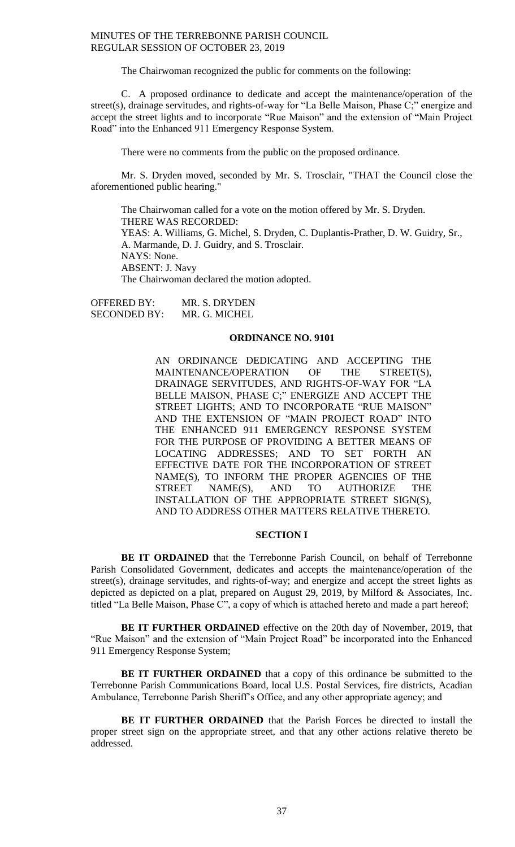The Chairwoman recognized the public for comments on the following:

C. A proposed ordinance to dedicate and accept the maintenance/operation of the street(s), drainage servitudes, and rights-of-way for "La Belle Maison, Phase C;" energize and accept the street lights and to incorporate "Rue Maison" and the extension of "Main Project Road" into the Enhanced 911 Emergency Response System.

There were no comments from the public on the proposed ordinance.

Mr. S. Dryden moved, seconded by Mr. S. Trosclair, "THAT the Council close the aforementioned public hearing."

The Chairwoman called for a vote on the motion offered by Mr. S. Dryden. THERE WAS RECORDED: YEAS: A. Williams, G. Michel, S. Dryden, C. Duplantis-Prather, D. W. Guidry, Sr., A. Marmande, D. J. Guidry, and S. Trosclair. NAYS: None. ABSENT: J. Navy The Chairwoman declared the motion adopted.

OFFERED BY: MR. S. DRYDEN SECONDED BY: MR. G. MICHEL

#### **ORDINANCE NO. 9101**

AN ORDINANCE DEDICATING AND ACCEPTING THE MAINTENANCE/OPERATION OF THE STREET(S), DRAINAGE SERVITUDES, AND RIGHTS-OF-WAY FOR "LA BELLE MAISON, PHASE C;" ENERGIZE AND ACCEPT THE STREET LIGHTS; AND TO INCORPORATE "RUE MAISON" AND THE EXTENSION OF "MAIN PROJECT ROAD" INTO THE ENHANCED 911 EMERGENCY RESPONSE SYSTEM FOR THE PURPOSE OF PROVIDING A BETTER MEANS OF LOCATING ADDRESSES; AND TO SET FORTH AN EFFECTIVE DATE FOR THE INCORPORATION OF STREET NAME(S), TO INFORM THE PROPER AGENCIES OF THE STREET NAME(S), AND TO AUTHORIZE THE INSTALLATION OF THE APPROPRIATE STREET SIGN(S), AND TO ADDRESS OTHER MATTERS RELATIVE THERETO.

#### **SECTION I**

**BE IT ORDAINED** that the Terrebonne Parish Council, on behalf of Terrebonne Parish Consolidated Government, dedicates and accepts the maintenance/operation of the street(s), drainage servitudes, and rights-of-way; and energize and accept the street lights as depicted as depicted on a plat, prepared on August 29, 2019, by Milford & Associates, Inc. titled "La Belle Maison, Phase  $\ddot{C}$ ", a copy of which is attached hereto and made a part hereof;

**BE IT FURTHER ORDAINED** effective on the 20th day of November, 2019, that "Rue Maison" and the extension of "Main Project Road" be incorporated into the Enhanced 911 Emergency Response System;

**BE IT FURTHER ORDAINED** that a copy of this ordinance be submitted to the Terrebonne Parish Communications Board, local U.S. Postal Services, fire districts, Acadian Ambulance, Terrebonne Parish Sheriff's Office, and any other appropriate agency; and

**BE IT FURTHER ORDAINED** that the Parish Forces be directed to install the proper street sign on the appropriate street, and that any other actions relative thereto be addressed.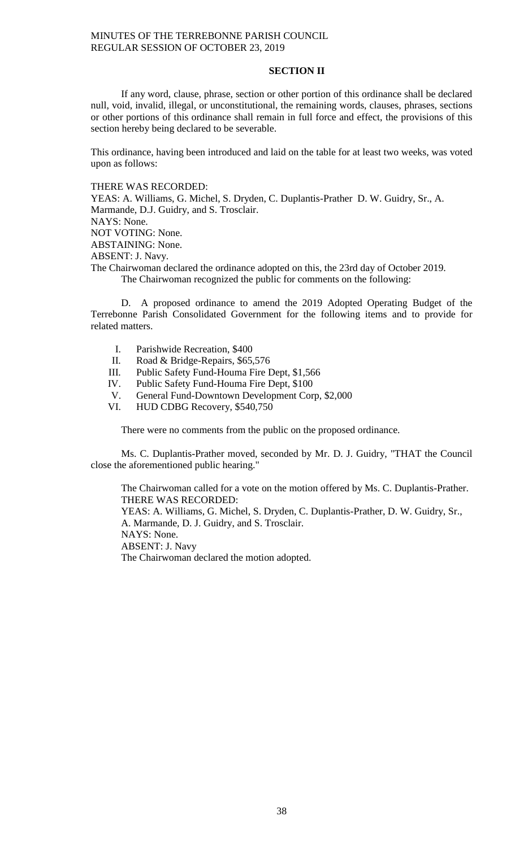## **SECTION II**

If any word, clause, phrase, section or other portion of this ordinance shall be declared null, void, invalid, illegal, or unconstitutional, the remaining words, clauses, phrases, sections or other portions of this ordinance shall remain in full force and effect, the provisions of this section hereby being declared to be severable.

This ordinance, having been introduced and laid on the table for at least two weeks, was voted upon as follows:

# THERE WAS RECORDED:

YEAS: A. Williams, G. Michel, S. Dryden, C. Duplantis-Prather D. W. Guidry, Sr., A. Marmande, D.J. Guidry, and S. Trosclair. NAYS: None.

NOT VOTING: None.

ABSTAINING: None.

ABSENT: J. Navy.

The Chairwoman declared the ordinance adopted on this, the 23rd day of October 2019. The Chairwoman recognized the public for comments on the following:

D. A proposed ordinance to amend the 2019 Adopted Operating Budget of the Terrebonne Parish Consolidated Government for the following items and to provide for related matters.

- I. Parishwide Recreation, \$400
- II. Road & Bridge-Repairs, \$65,576
- III. Public Safety Fund-Houma Fire Dept, \$1,566
- IV. Public Safety Fund-Houma Fire Dept, \$100
- V. General Fund-Downtown Development Corp, \$2,000
- VI. HUD CDBG Recovery, \$540,750

There were no comments from the public on the proposed ordinance.

Ms. C. Duplantis-Prather moved, seconded by Mr. D. J. Guidry, "THAT the Council close the aforementioned public hearing."

The Chairwoman called for a vote on the motion offered by Ms. C. Duplantis-Prather. THERE WAS RECORDED: YEAS: A. Williams, G. Michel, S. Dryden, C. Duplantis-Prather, D. W. Guidry, Sr., A. Marmande, D. J. Guidry, and S. Trosclair. NAYS: None. ABSENT: J. Navy The Chairwoman declared the motion adopted.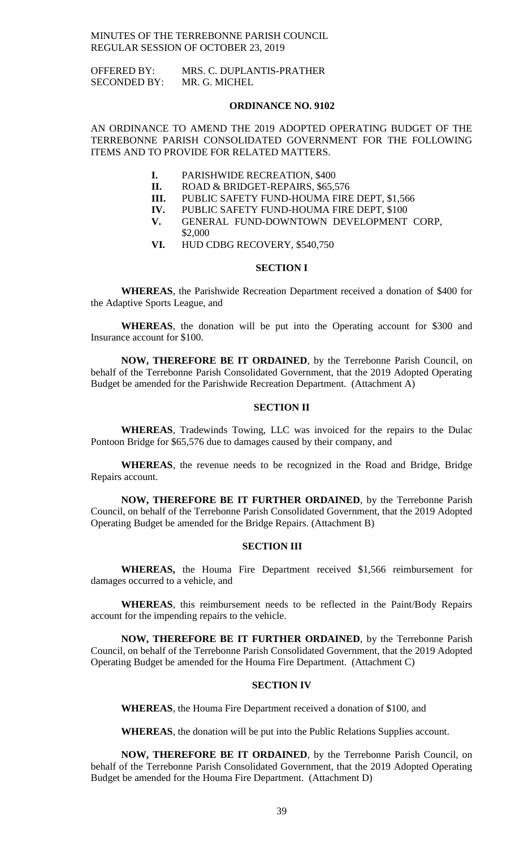OFFERED BY: MRS. C. DUPLANTIS-PRATHER SECONDED BY: MR. G. MICHEL

#### **ORDINANCE NO. 9102**

AN ORDINANCE TO AMEND THE 2019 ADOPTED OPERATING BUDGET OF THE TERREBONNE PARISH CONSOLIDATED GOVERNMENT FOR THE FOLLOWING ITEMS AND TO PROVIDE FOR RELATED MATTERS.

- **I.** PARISHWIDE RECREATION, \$400
- **II.** ROAD & BRIDGET-REPAIRS, \$65,576
- **III.** PUBLIC SAFETY FUND-HOUMA FIRE DEPT, \$1,566
- **IV.** PUBLIC SAFETY FUND-HOUMA FIRE DEPT, \$100
- **V.** GENERAL FUND-DOWNTOWN DEVELOPMENT CORP, \$2,000
- **VI.** HUD CDBG RECOVERY, \$540,750

#### **SECTION I**

**WHEREAS**, the Parishwide Recreation Department received a donation of \$400 for the Adaptive Sports League, and

**WHEREAS**, the donation will be put into the Operating account for \$300 and Insurance account for \$100.

**NOW, THEREFORE BE IT ORDAINED**, by the Terrebonne Parish Council, on behalf of the Terrebonne Parish Consolidated Government, that the 2019 Adopted Operating Budget be amended for the Parishwide Recreation Department. (Attachment A)

## **SECTION II**

**WHEREAS**, Tradewinds Towing, LLC was invoiced for the repairs to the Dulac Pontoon Bridge for \$65,576 due to damages caused by their company, and

**WHEREAS**, the revenue needs to be recognized in the Road and Bridge, Bridge Repairs account.

**NOW, THEREFORE BE IT FURTHER ORDAINED**, by the Terrebonne Parish Council, on behalf of the Terrebonne Parish Consolidated Government, that the 2019 Adopted Operating Budget be amended for the Bridge Repairs. (Attachment B)

#### **SECTION III**

**WHEREAS,** the Houma Fire Department received \$1,566 reimbursement for damages occurred to a vehicle, and

**WHEREAS**, this reimbursement needs to be reflected in the Paint/Body Repairs account for the impending repairs to the vehicle.

**NOW, THEREFORE BE IT FURTHER ORDAINED**, by the Terrebonne Parish Council, on behalf of the Terrebonne Parish Consolidated Government, that the 2019 Adopted Operating Budget be amended for the Houma Fire Department. (Attachment C)

#### **SECTION IV**

**WHEREAS**, the Houma Fire Department received a donation of \$100, and

**WHEREAS**, the donation will be put into the Public Relations Supplies account.

**NOW, THEREFORE BE IT ORDAINED**, by the Terrebonne Parish Council, on behalf of the Terrebonne Parish Consolidated Government, that the 2019 Adopted Operating Budget be amended for the Houma Fire Department. (Attachment D)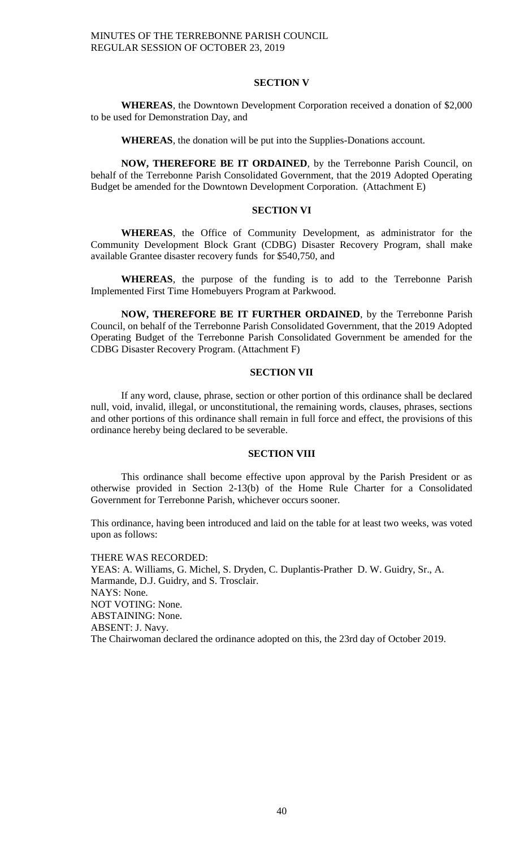#### **SECTION V**

**WHEREAS**, the Downtown Development Corporation received a donation of \$2,000 to be used for Demonstration Day, and

**WHEREAS**, the donation will be put into the Supplies-Donations account.

**NOW, THEREFORE BE IT ORDAINED**, by the Terrebonne Parish Council, on behalf of the Terrebonne Parish Consolidated Government, that the 2019 Adopted Operating Budget be amended for the Downtown Development Corporation. (Attachment E)

# **SECTION VI**

**WHEREAS**, the Office of Community Development, as administrator for the Community Development Block Grant (CDBG) Disaster Recovery Program, shall make available Grantee disaster recovery funds for \$540,750, and

**WHEREAS**, the purpose of the funding is to add to the Terrebonne Parish Implemented First Time Homebuyers Program at Parkwood.

**NOW, THEREFORE BE IT FURTHER ORDAINED**, by the Terrebonne Parish Council, on behalf of the Terrebonne Parish Consolidated Government, that the 2019 Adopted Operating Budget of the Terrebonne Parish Consolidated Government be amended for the CDBG Disaster Recovery Program. (Attachment F)

#### **SECTION VII**

If any word, clause, phrase, section or other portion of this ordinance shall be declared null, void, invalid, illegal, or unconstitutional, the remaining words, clauses, phrases, sections and other portions of this ordinance shall remain in full force and effect, the provisions of this ordinance hereby being declared to be severable.

#### **SECTION VIII**

This ordinance shall become effective upon approval by the Parish President or as otherwise provided in Section 2-13(b) of the Home Rule Charter for a Consolidated Government for Terrebonne Parish, whichever occurs sooner.

This ordinance, having been introduced and laid on the table for at least two weeks, was voted upon as follows:

#### THERE WAS RECORDED:

YEAS: A. Williams, G. Michel, S. Dryden, C. Duplantis-Prather D. W. Guidry, Sr., A. Marmande, D.J. Guidry, and S. Trosclair. NAYS: None. NOT VOTING: None. ABSTAINING: None. ABSENT: J. Navy. The Chairwoman declared the ordinance adopted on this, the 23rd day of October 2019.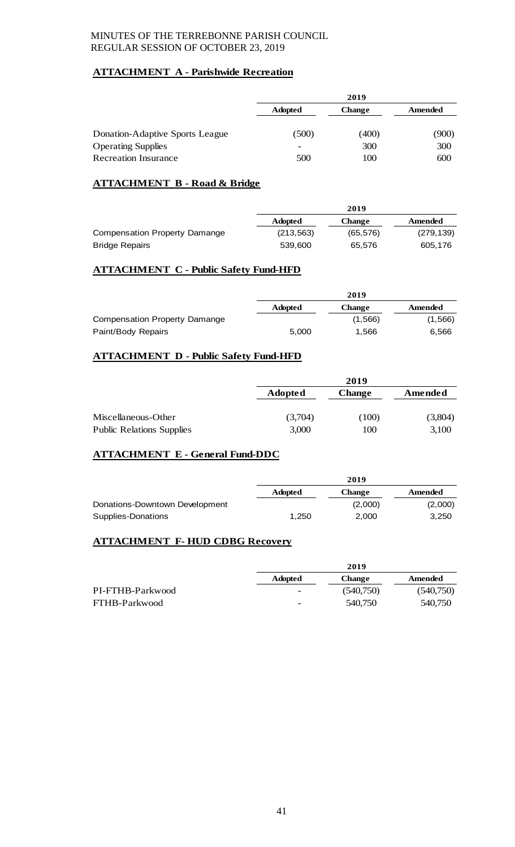# **ATTACHMENT A - Parishwide Recreation**

|                                 | 2019                     |               |         |
|---------------------------------|--------------------------|---------------|---------|
|                                 | <b>Adopted</b>           | <b>Change</b> | Amended |
| Donation-Adaptive Sports League | (500)                    | (400)         | (900)   |
| <b>Operating Supplies</b>       | $\overline{\phantom{a}}$ | 300           | 300     |
| <b>Recreation Insurance</b>     | 500                      | 100           | 600     |

# **ATTACHMENT B - Road & Bridge**

|                               | 2019           |               |            |
|-------------------------------|----------------|---------------|------------|
|                               | <b>Adopted</b> | <b>Change</b> | Amended    |
| Compensation Property Damange | (213, 563)     | (65, 576)     | (279, 139) |
| <b>Bridge Repairs</b>         | 539,600        | 65.576        | 605.176    |

# **ATTACHMENT C - Public Safety Fund-HFD**

|                               | 2019           |               |         |
|-------------------------------|----------------|---------------|---------|
|                               | <b>Adopted</b> | <b>Change</b> | Amended |
| Compensation Property Damange |                | (1,566)       | (1,566) |
| Paint/Body Repairs            | 5.000          | 1.566         | 6,566   |

# **ATTACHMENT D - Public Safety Fund-HFD**

|                                  |                | 2019          |         |  |
|----------------------------------|----------------|---------------|---------|--|
|                                  | <b>Adopted</b> | <b>Change</b> | Amended |  |
|                                  |                |               |         |  |
| Miscellaneous-Other              | (3,704)        | (100)         | (3,804) |  |
| <b>Public Relations Supplies</b> | 3,000          | 100           | 3,100   |  |

# **ATTACHMENT E - General Fund-DDC**

|                                | 2019           |               |         |
|--------------------------------|----------------|---------------|---------|
|                                | <b>Adopted</b> | <b>Change</b> | Amended |
| Donations-Downtown Development |                | (2,000)       | (2,000) |
| Supplies-Donations             | 1.250          | 2.000         | 3.250   |

# **ATTACHMENT F- HUD CDBG Recovery**

|                  | 2019                     |               |           |
|------------------|--------------------------|---------------|-----------|
|                  | <b>Adopted</b>           | <b>Change</b> | Amended   |
| PI-FTHB-Parkwood | $\overline{\phantom{0}}$ | (540,750)     | (540,750) |
| FTHB-Parkwood    | $\overline{\phantom{0}}$ | 540,750       | 540.750   |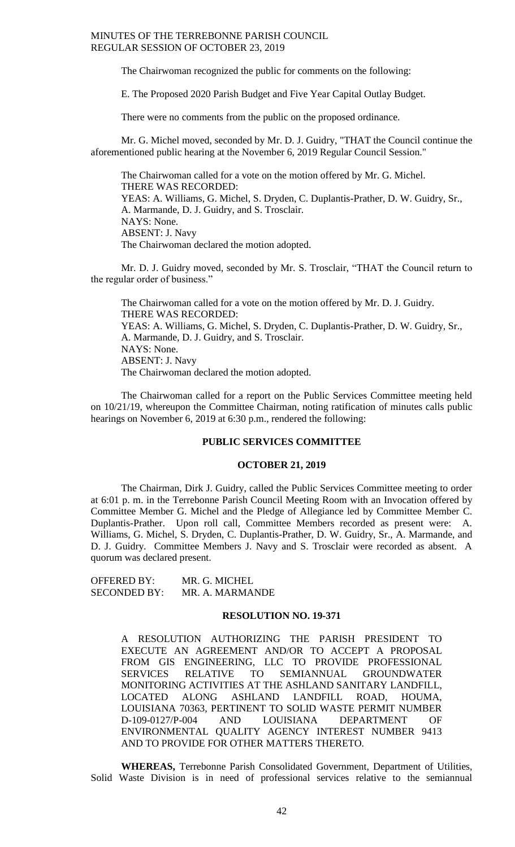The Chairwoman recognized the public for comments on the following:

E. The Proposed 2020 Parish Budget and Five Year Capital Outlay Budget.

There were no comments from the public on the proposed ordinance.

Mr. G. Michel moved, seconded by Mr. D. J. Guidry, "THAT the Council continue the aforementioned public hearing at the November 6, 2019 Regular Council Session."

The Chairwoman called for a vote on the motion offered by Mr. G. Michel. THERE WAS RECORDED: YEAS: A. Williams, G. Michel, S. Dryden, C. Duplantis-Prather, D. W. Guidry, Sr., A. Marmande, D. J. Guidry, and S. Trosclair. NAYS: None. ABSENT: J. Navy The Chairwoman declared the motion adopted.

Mr. D. J. Guidry moved, seconded by Mr. S. Trosclair, "THAT the Council return to the regular order of business."

The Chairwoman called for a vote on the motion offered by Mr. D. J. Guidry. THERE WAS RECORDED: YEAS: A. Williams, G. Michel, S. Dryden, C. Duplantis-Prather, D. W. Guidry, Sr., A. Marmande, D. J. Guidry, and S. Trosclair. NAYS: None. ABSENT: J. Navy The Chairwoman declared the motion adopted.

The Chairwoman called for a report on the Public Services Committee meeting held on 10/21/19, whereupon the Committee Chairman, noting ratification of minutes calls public hearings on November 6, 2019 at 6:30 p.m., rendered the following:

## **PUBLIC SERVICES COMMITTEE**

#### **OCTOBER 21, 2019**

The Chairman, Dirk J. Guidry, called the Public Services Committee meeting to order at 6:01 p. m. in the Terrebonne Parish Council Meeting Room with an Invocation offered by Committee Member G. Michel and the Pledge of Allegiance led by Committee Member C. Duplantis-Prather. Upon roll call, Committee Members recorded as present were: A. Williams, G. Michel, S. Dryden, C. Duplantis-Prather, D. W. Guidry, Sr., A. Marmande, and D. J. Guidry. Committee Members J. Navy and S. Trosclair were recorded as absent. A quorum was declared present.

OFFERED BY: MR. G. MICHEL SECONDED BY: MR. A. MARMANDE

# **RESOLUTION NO. 19-371**

A RESOLUTION AUTHORIZING THE PARISH PRESIDENT TO EXECUTE AN AGREEMENT AND/OR TO ACCEPT A PROPOSAL FROM GIS ENGINEERING, LLC TO PROVIDE PROFESSIONAL SERVICES RELATIVE TO SEMIANNUAL GROUNDWATER MONITORING ACTIVITIES AT THE ASHLAND SANITARY LANDFILL, LOCATED ALONG ASHLAND LANDFILL ROAD, HOUMA, LOUISIANA 70363, PERTINENT TO SOLID WASTE PERMIT NUMBER D-109-0127/P-004 AND LOUISIANA DEPARTMENT OF ENVIRONMENTAL QUALITY AGENCY INTEREST NUMBER 9413 AND TO PROVIDE FOR OTHER MATTERS THERETO.

**WHEREAS,** Terrebonne Parish Consolidated Government, Department of Utilities, Solid Waste Division is in need of professional services relative to the semiannual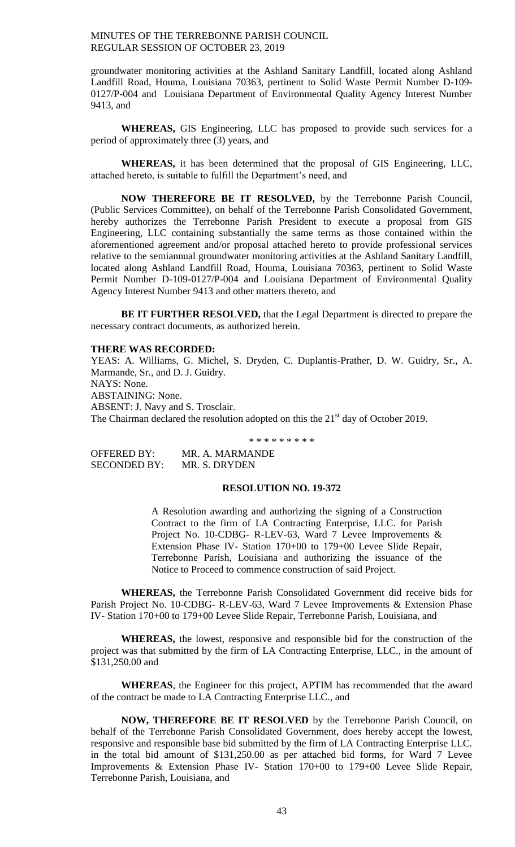groundwater monitoring activities at the Ashland Sanitary Landfill, located along Ashland Landfill Road, Houma, Louisiana 70363, pertinent to Solid Waste Permit Number D-109- 0127/P-004 and Louisiana Department of Environmental Quality Agency Interest Number 9413, and

**WHEREAS,** GIS Engineering, LLC has proposed to provide such services for a period of approximately three (3) years, and

**WHEREAS,** it has been determined that the proposal of GIS Engineering, LLC, attached hereto, is suitable to fulfill the Department's need, and

**NOW THEREFORE BE IT RESOLVED,** by the Terrebonne Parish Council, (Public Services Committee), on behalf of the Terrebonne Parish Consolidated Government, hereby authorizes the Terrebonne Parish President to execute a proposal from GIS Engineering, LLC containing substantially the same terms as those contained within the aforementioned agreement and/or proposal attached hereto to provide professional services relative to the semiannual groundwater monitoring activities at the Ashland Sanitary Landfill, located along Ashland Landfill Road, Houma, Louisiana 70363, pertinent to Solid Waste Permit Number D-109-0127/P-004 and Louisiana Department of Environmental Quality Agency Interest Number 9413 and other matters thereto, and

**BE IT FURTHER RESOLVED,** that the Legal Department is directed to prepare the necessary contract documents, as authorized herein.

#### **THERE WAS RECORDED:**

YEAS: A. Williams, G. Michel, S. Dryden, C. Duplantis-Prather, D. W. Guidry, Sr., A. Marmande, Sr., and D. J. Guidry. NAYS: None. ABSTAINING: None. ABSENT: J. Navy and S. Trosclair. The Chairman declared the resolution adopted on this the  $21<sup>st</sup>$  day of October 2019.

\* \* \* \* \* \* \* \* \*

OFFERED BY: MR. A. MARMANDE SECONDED BY: MR. S. DRYDEN

#### **RESOLUTION NO. 19-372**

A Resolution awarding and authorizing the signing of a Construction Contract to the firm of LA Contracting Enterprise, LLC. for Parish Project No. 10-CDBG- R-LEV-63, Ward 7 Levee Improvements & Extension Phase IV- Station 170+00 to 179+00 Levee Slide Repair, Terrebonne Parish, Louisiana and authorizing the issuance of the Notice to Proceed to commence construction of said Project.

**WHEREAS,** the Terrebonne Parish Consolidated Government did receive bids for Parish Project No. 10-CDBG- R-LEV-63, Ward 7 Levee Improvements & Extension Phase IV- Station 170+00 to 179+00 Levee Slide Repair, Terrebonne Parish, Louisiana, and

**WHEREAS,** the lowest, responsive and responsible bid for the construction of the project was that submitted by the firm of LA Contracting Enterprise, LLC., in the amount of \$131,250.00 and

**WHEREAS**, the Engineer for this project, APTIM has recommended that the award of the contract be made to LA Contracting Enterprise LLC., and

**NOW, THEREFORE BE IT RESOLVED** by the Terrebonne Parish Council, on behalf of the Terrebonne Parish Consolidated Government, does hereby accept the lowest, responsive and responsible base bid submitted by the firm of LA Contracting Enterprise LLC. in the total bid amount of \$131,250.00 as per attached bid forms, for Ward 7 Levee Improvements & Extension Phase IV- Station 170+00 to 179+00 Levee Slide Repair, Terrebonne Parish, Louisiana, and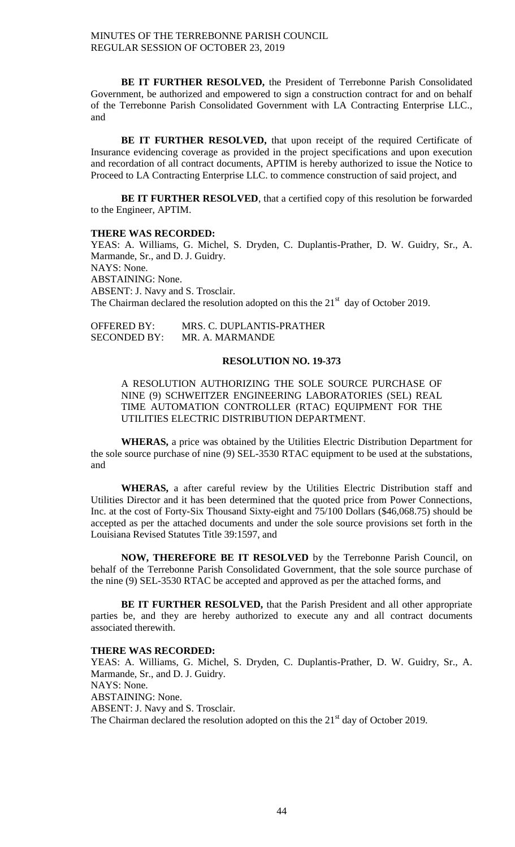**BE IT FURTHER RESOLVED,** the President of Terrebonne Parish Consolidated Government, be authorized and empowered to sign a construction contract for and on behalf of the Terrebonne Parish Consolidated Government with LA Contracting Enterprise LLC., and

BE IT FURTHER RESOLVED, that upon receipt of the required Certificate of Insurance evidencing coverage as provided in the project specifications and upon execution and recordation of all contract documents, APTIM is hereby authorized to issue the Notice to Proceed to LA Contracting Enterprise LLC. to commence construction of said project, and

**BE IT FURTHER RESOLVED**, that a certified copy of this resolution be forwarded to the Engineer, APTIM.

#### **THERE WAS RECORDED:**

YEAS: A. Williams, G. Michel, S. Dryden, C. Duplantis-Prather, D. W. Guidry, Sr., A. Marmande, Sr., and D. J. Guidry. NAYS: None. ABSTAINING: None. ABSENT: J. Navy and S. Trosclair. The Chairman declared the resolution adopted on this the  $21<sup>st</sup>$  day of October 2019.

| <b>OFFERED BY:</b>  | MRS. C. DUPLANTIS-PRATHER |
|---------------------|---------------------------|
| <b>SECONDED BY:</b> | MR. A. MARMANDE           |

#### **RESOLUTION NO. 19-373**

A RESOLUTION AUTHORIZING THE SOLE SOURCE PURCHASE OF NINE (9) SCHWEITZER ENGINEERING LABORATORIES (SEL) REAL TIME AUTOMATION CONTROLLER (RTAC) EQUIPMENT FOR THE UTILITIES ELECTRIC DISTRIBUTION DEPARTMENT.

**WHERAS,** a price was obtained by the Utilities Electric Distribution Department for the sole source purchase of nine (9) SEL-3530 RTAC equipment to be used at the substations, and

**WHERAS,** a after careful review by the Utilities Electric Distribution staff and Utilities Director and it has been determined that the quoted price from Power Connections, Inc. at the cost of Forty-Six Thousand Sixty-eight and 75/100 Dollars (\$46,068.75) should be accepted as per the attached documents and under the sole source provisions set forth in the Louisiana Revised Statutes Title 39:1597, and

**NOW, THEREFORE BE IT RESOLVED** by the Terrebonne Parish Council, on behalf of the Terrebonne Parish Consolidated Government, that the sole source purchase of the nine (9) SEL-3530 RTAC be accepted and approved as per the attached forms, and

**BE IT FURTHER RESOLVED,** that the Parish President and all other appropriate parties be, and they are hereby authorized to execute any and all contract documents associated therewith.

#### **THERE WAS RECORDED:**

YEAS: A. Williams, G. Michel, S. Dryden, C. Duplantis-Prather, D. W. Guidry, Sr., A. Marmande, Sr., and D. J. Guidry. NAYS: None. ABSTAINING: None. ABSENT: J. Navy and S. Trosclair. The Chairman declared the resolution adopted on this the  $21<sup>st</sup>$  day of October 2019.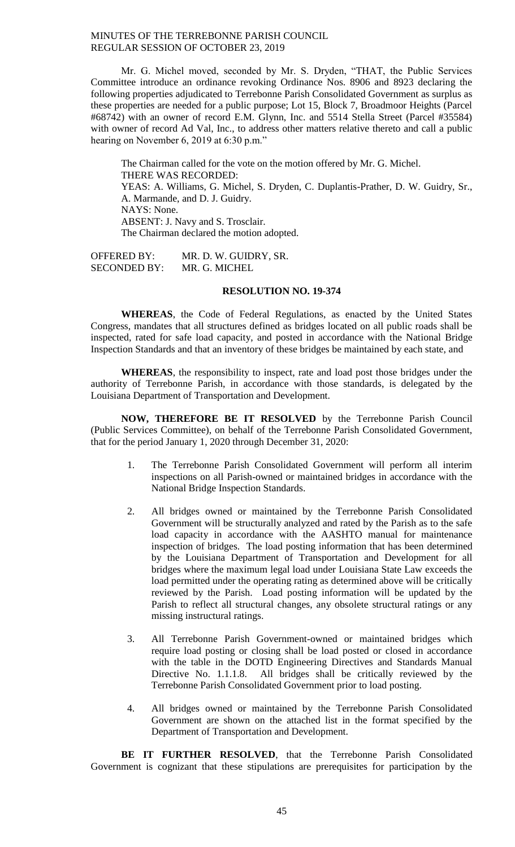Mr. G. Michel moved, seconded by Mr. S. Dryden, "THAT, the Public Services Committee introduce an ordinance revoking Ordinance Nos. 8906 and 8923 declaring the following properties adjudicated to Terrebonne Parish Consolidated Government as surplus as these properties are needed for a public purpose; Lot 15, Block 7, Broadmoor Heights (Parcel #68742) with an owner of record E.M. Glynn, Inc. and 5514 Stella Street (Parcel #35584) with owner of record Ad Val, Inc., to address other matters relative thereto and call a public hearing on November 6, 2019 at 6:30 p.m."

The Chairman called for the vote on the motion offered by Mr. G. Michel. THERE WAS RECORDED: YEAS: A. Williams, G. Michel, S. Dryden, C. Duplantis-Prather, D. W. Guidry, Sr., A. Marmande, and D. J. Guidry. NAYS: None. ABSENT: J. Navy and S. Trosclair. The Chairman declared the motion adopted.

OFFERED BY: MR. D. W. GUIDRY, SR. SECONDED BY: MR. G. MICHEL

# **RESOLUTION NO. 19-374**

**WHEREAS**, the Code of Federal Regulations, as enacted by the United States Congress, mandates that all structures defined as bridges located on all public roads shall be inspected, rated for safe load capacity, and posted in accordance with the National Bridge Inspection Standards and that an inventory of these bridges be maintained by each state, and

**WHEREAS**, the responsibility to inspect, rate and load post those bridges under the authority of Terrebonne Parish, in accordance with those standards, is delegated by the Louisiana Department of Transportation and Development.

**NOW, THEREFORE BE IT RESOLVED** by the Terrebonne Parish Council (Public Services Committee), on behalf of the Terrebonne Parish Consolidated Government, that for the period January 1, 2020 through December 31, 2020:

- 1. The Terrebonne Parish Consolidated Government will perform all interim inspections on all Parish-owned or maintained bridges in accordance with the National Bridge Inspection Standards.
- 2. All bridges owned or maintained by the Terrebonne Parish Consolidated Government will be structurally analyzed and rated by the Parish as to the safe load capacity in accordance with the AASHTO manual for maintenance inspection of bridges. The load posting information that has been determined by the Louisiana Department of Transportation and Development for all bridges where the maximum legal load under Louisiana State Law exceeds the load permitted under the operating rating as determined above will be critically reviewed by the Parish. Load posting information will be updated by the Parish to reflect all structural changes, any obsolete structural ratings or any missing instructural ratings.
- 3. All Terrebonne Parish Government-owned or maintained bridges which require load posting or closing shall be load posted or closed in accordance with the table in the DOTD Engineering Directives and Standards Manual Directive No. 1.1.1.8. All bridges shall be critically reviewed by the Terrebonne Parish Consolidated Government prior to load posting.
- 4. All bridges owned or maintained by the Terrebonne Parish Consolidated Government are shown on the attached list in the format specified by the Department of Transportation and Development.

**BE IT FURTHER RESOLVED**, that the Terrebonne Parish Consolidated Government is cognizant that these stipulations are prerequisites for participation by the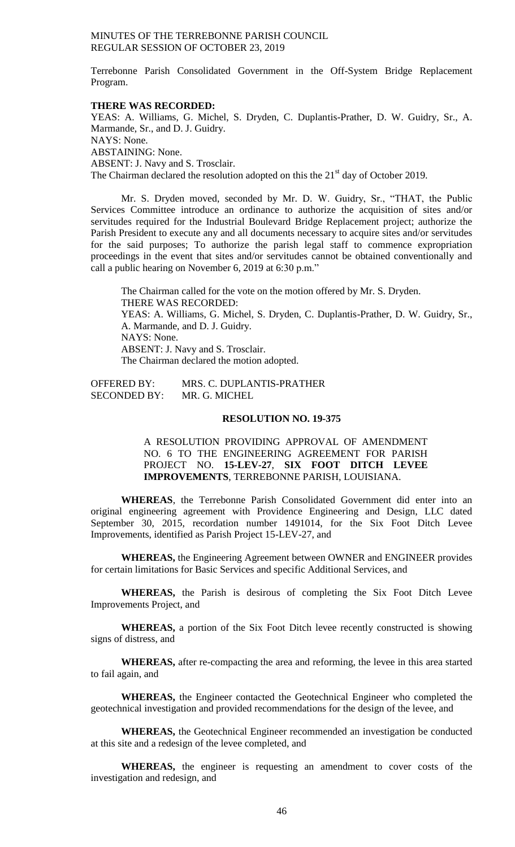Terrebonne Parish Consolidated Government in the Off-System Bridge Replacement Program.

#### **THERE WAS RECORDED:**

YEAS: A. Williams, G. Michel, S. Dryden, C. Duplantis-Prather, D. W. Guidry, Sr., A. Marmande, Sr., and D. J. Guidry. NAYS: None. ABSTAINING: None. ABSENT: J. Navy and S. Trosclair. The Chairman declared the resolution adopted on this the 21<sup>st</sup> day of October 2019.

Mr. S. Dryden moved, seconded by Mr. D. W. Guidry, Sr., "THAT, the Public Services Committee introduce an ordinance to authorize the acquisition of sites and/or servitudes required for the Industrial Boulevard Bridge Replacement project; authorize the Parish President to execute any and all documents necessary to acquire sites and/or servitudes for the said purposes; To authorize the parish legal staff to commence expropriation proceedings in the event that sites and/or servitudes cannot be obtained conventionally and call a public hearing on November 6, 2019 at 6:30 p.m."

The Chairman called for the vote on the motion offered by Mr. S. Dryden. THERE WAS RECORDED: YEAS: A. Williams, G. Michel, S. Dryden, C. Duplantis-Prather, D. W. Guidry, Sr., A. Marmande, and D. J. Guidry. NAYS: None. ABSENT: J. Navy and S. Trosclair. The Chairman declared the motion adopted.

OFFERED BY: MRS. C. DUPLANTIS-PRATHER SECONDED BY: MR. G. MICHEL

## **RESOLUTION NO. 19-375**

A RESOLUTION PROVIDING APPROVAL OF AMENDMENT NO. 6 TO THE ENGINEERING AGREEMENT FOR PARISH PROJECT NO. **15-LEV-27**, **SIX FOOT DITCH LEVEE IMPROVEMENTS**, TERREBONNE PARISH, LOUISIANA.

**WHEREAS**, the Terrebonne Parish Consolidated Government did enter into an original engineering agreement with Providence Engineering and Design, LLC dated September 30, 2015, recordation number 1491014, for the Six Foot Ditch Levee Improvements, identified as Parish Project 15-LEV-27, and

**WHEREAS,** the Engineering Agreement between OWNER and ENGINEER provides for certain limitations for Basic Services and specific Additional Services, and

**WHEREAS,** the Parish is desirous of completing the Six Foot Ditch Levee Improvements Project, and

**WHEREAS,** a portion of the Six Foot Ditch levee recently constructed is showing signs of distress, and

**WHEREAS,** after re-compacting the area and reforming, the levee in this area started to fail again, and

**WHEREAS,** the Engineer contacted the Geotechnical Engineer who completed the geotechnical investigation and provided recommendations for the design of the levee, and

**WHEREAS,** the Geotechnical Engineer recommended an investigation be conducted at this site and a redesign of the levee completed, and

**WHEREAS,** the engineer is requesting an amendment to cover costs of the investigation and redesign, and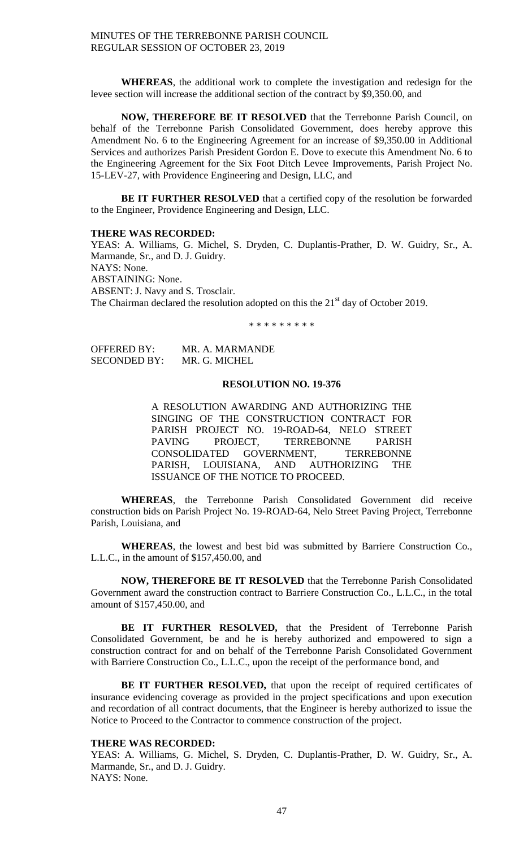**WHEREAS**, the additional work to complete the investigation and redesign for the levee section will increase the additional section of the contract by \$9,350.00, and

**NOW, THEREFORE BE IT RESOLVED** that the Terrebonne Parish Council, on behalf of the Terrebonne Parish Consolidated Government, does hereby approve this Amendment No. 6 to the Engineering Agreement for an increase of \$9,350.00 in Additional Services and authorizes Parish President Gordon E. Dove to execute this Amendment No. 6 to the Engineering Agreement for the Six Foot Ditch Levee Improvements, Parish Project No. 15-LEV-27, with Providence Engineering and Design, LLC, and

**BE IT FURTHER RESOLVED** that a certified copy of the resolution be forwarded to the Engineer, Providence Engineering and Design, LLC.

#### **THERE WAS RECORDED:**

YEAS: A. Williams, G. Michel, S. Dryden, C. Duplantis-Prather, D. W. Guidry, Sr., A. Marmande, Sr., and D. J. Guidry. NAYS: None. ABSTAINING: None. ABSENT: J. Navy and S. Trosclair. The Chairman declared the resolution adopted on this the  $21<sup>st</sup>$  day of October 2019.

\* \* \* \* \* \* \* \* \*

OFFERED BY: MR. A. MARMANDE SECONDED BY: MR. G. MICHEL

#### **RESOLUTION NO. 19-376**

A RESOLUTION AWARDING AND AUTHORIZING THE SINGING OF THE CONSTRUCTION CONTRACT FOR PARISH PROJECT NO. 19-ROAD-64, NELO STREET<br>PAVING PROJECT, TERREBONNE PARISH PROJECT, TERREBONNE PARISH CONSOLIDATED GOVERNMENT, TERREBONNE PARISH, LOUISIANA, AND AUTHORIZING THE ISSUANCE OF THE NOTICE TO PROCEED.

**WHEREAS**, the Terrebonne Parish Consolidated Government did receive construction bids on Parish Project No. 19-ROAD-64, Nelo Street Paving Project, Terrebonne Parish, Louisiana, and

**WHEREAS**, the lowest and best bid was submitted by Barriere Construction Co., L.L.C., in the amount of \$157,450.00, and

**NOW, THEREFORE BE IT RESOLVED** that the Terrebonne Parish Consolidated Government award the construction contract to Barriere Construction Co., L.L.C., in the total amount of \$157,450.00, and

**BE IT FURTHER RESOLVED,** that the President of Terrebonne Parish Consolidated Government, be and he is hereby authorized and empowered to sign a construction contract for and on behalf of the Terrebonne Parish Consolidated Government with Barriere Construction Co., L.L.C., upon the receipt of the performance bond, and

**BE IT FURTHER RESOLVED,** that upon the receipt of required certificates of insurance evidencing coverage as provided in the project specifications and upon execution and recordation of all contract documents, that the Engineer is hereby authorized to issue the Notice to Proceed to the Contractor to commence construction of the project.

#### **THERE WAS RECORDED:**

YEAS: A. Williams, G. Michel, S. Dryden, C. Duplantis-Prather, D. W. Guidry, Sr., A. Marmande, Sr., and D. J. Guidry. NAYS: None.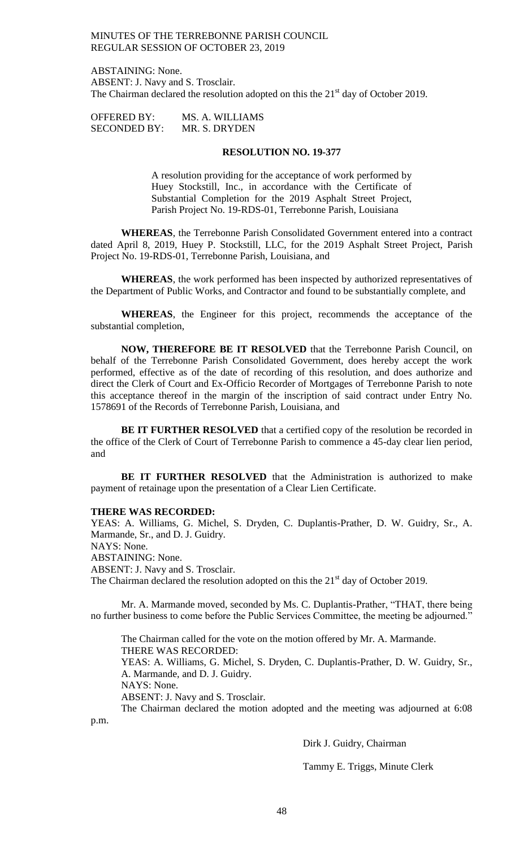ABSTAINING: None. ABSENT: J. Navy and S. Trosclair. The Chairman declared the resolution adopted on this the  $21<sup>st</sup>$  day of October 2019.

| <b>OFFERED BY:</b>  | MS. A. WILLIAMS |
|---------------------|-----------------|
| <b>SECONDED BY:</b> | MR. S. DRYDEN   |

#### **RESOLUTION NO. 19-377**

A resolution providing for the acceptance of work performed by Huey Stockstill, Inc., in accordance with the Certificate of Substantial Completion for the 2019 Asphalt Street Project, Parish Project No. 19-RDS-01, Terrebonne Parish, Louisiana

**WHEREAS**, the Terrebonne Parish Consolidated Government entered into a contract dated April 8, 2019, Huey P. Stockstill, LLC, for the 2019 Asphalt Street Project, Parish Project No. 19-RDS-01, Terrebonne Parish, Louisiana, and

**WHEREAS**, the work performed has been inspected by authorized representatives of the Department of Public Works, and Contractor and found to be substantially complete, and

**WHEREAS**, the Engineer for this project, recommends the acceptance of the substantial completion,

**NOW, THEREFORE BE IT RESOLVED** that the Terrebonne Parish Council, on behalf of the Terrebonne Parish Consolidated Government, does hereby accept the work performed, effective as of the date of recording of this resolution, and does authorize and direct the Clerk of Court and Ex-Officio Recorder of Mortgages of Terrebonne Parish to note this acceptance thereof in the margin of the inscription of said contract under Entry No. 1578691 of the Records of Terrebonne Parish, Louisiana, and

**BE IT FURTHER RESOLVED** that a certified copy of the resolution be recorded in the office of the Clerk of Court of Terrebonne Parish to commence a 45-day clear lien period, and

**BE IT FURTHER RESOLVED** that the Administration is authorized to make payment of retainage upon the presentation of a Clear Lien Certificate.

#### **THERE WAS RECORDED:**

YEAS: A. Williams, G. Michel, S. Dryden, C. Duplantis-Prather, D. W. Guidry, Sr., A. Marmande, Sr., and D. J. Guidry. NAYS: None. ABSTAINING: None. ABSENT: J. Navy and S. Trosclair. The Chairman declared the resolution adopted on this the  $21<sup>st</sup>$  day of October 2019.

Mr. A. Marmande moved, seconded by Ms. C. Duplantis-Prather, "THAT, there being no further business to come before the Public Services Committee, the meeting be adjourned."

The Chairman called for the vote on the motion offered by Mr. A. Marmande. THERE WAS RECORDED: YEAS: A. Williams, G. Michel, S. Dryden, C. Duplantis-Prather, D. W. Guidry, Sr., A. Marmande, and D. J. Guidry. NAYS: None. ABSENT: J. Navy and S. Trosclair. The Chairman declared the motion adopted and the meeting was adjourned at 6:08

p.m.

Dirk J. Guidry, Chairman

Tammy E. Triggs, Minute Clerk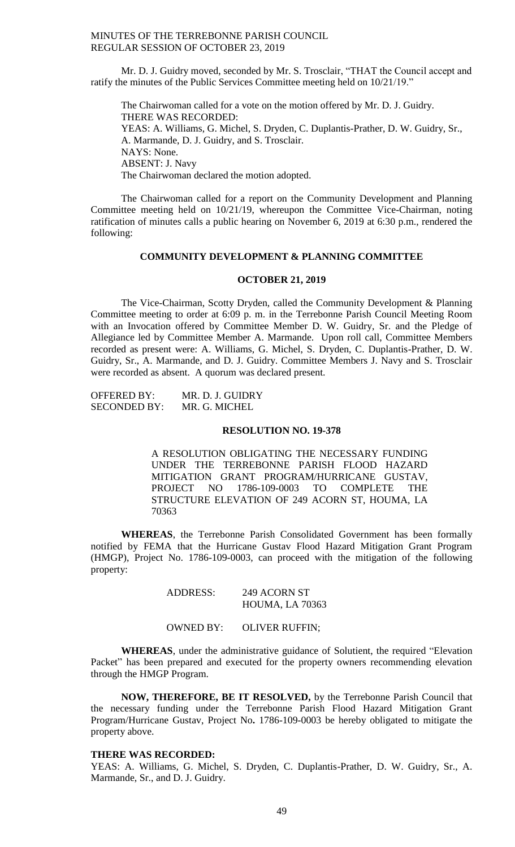Mr. D. J. Guidry moved, seconded by Mr. S. Trosclair, "THAT the Council accept and ratify the minutes of the Public Services Committee meeting held on 10/21/19."

The Chairwoman called for a vote on the motion offered by Mr. D. J. Guidry. THERE WAS RECORDED: YEAS: A. Williams, G. Michel, S. Dryden, C. Duplantis-Prather, D. W. Guidry, Sr., A. Marmande, D. J. Guidry, and S. Trosclair. NAYS: None. ABSENT: J. Navy The Chairwoman declared the motion adopted.

The Chairwoman called for a report on the Community Development and Planning Committee meeting held on 10/21/19, whereupon the Committee Vice-Chairman, noting ratification of minutes calls a public hearing on November 6, 2019 at 6:30 p.m., rendered the following:

#### **COMMUNITY DEVELOPMENT & PLANNING COMMITTEE**

#### **OCTOBER 21, 2019**

The Vice-Chairman, Scotty Dryden, called the Community Development & Planning Committee meeting to order at 6:09 p. m. in the Terrebonne Parish Council Meeting Room with an Invocation offered by Committee Member D. W. Guidry, Sr. and the Pledge of Allegiance led by Committee Member A. Marmande. Upon roll call, Committee Members recorded as present were: A. Williams, G. Michel, S. Dryden, C. Duplantis-Prather, D. W. Guidry, Sr., A. Marmande, and D. J. Guidry. Committee Members J. Navy and S. Trosclair were recorded as absent. A quorum was declared present.

| <b>OFFERED BY:</b>  | MR. D. J. GUIDRY |
|---------------------|------------------|
| <b>SECONDED BY:</b> | MR. G. MICHEL    |

#### **RESOLUTION NO. 19-378**

A RESOLUTION OBLIGATING THE NECESSARY FUNDING UNDER THE TERREBONNE PARISH FLOOD HAZARD MITIGATION GRANT PROGRAM/HURRICANE GUSTAV, PROJECT NO 1786-109-0003 TO COMPLETE THE STRUCTURE ELEVATION OF 249 ACORN ST, HOUMA, LA 70363

**WHEREAS**, the Terrebonne Parish Consolidated Government has been formally notified by FEMA that the Hurricane Gustav Flood Hazard Mitigation Grant Program (HMGP), Project No. 1786-109-0003, can proceed with the mitigation of the following property:

#### ADDRESS: 249 ACORN ST HOUMA, LA 70363

#### OWNED BY: OLIVER RUFFIN;

**WHEREAS**, under the administrative guidance of Solutient, the required "Elevation Packet" has been prepared and executed for the property owners recommending elevation through the HMGP Program.

**NOW, THEREFORE, BE IT RESOLVED,** by the Terrebonne Parish Council that the necessary funding under the Terrebonne Parish Flood Hazard Mitigation Grant Program/Hurricane Gustav, Project No**.** 1786-109-0003 be hereby obligated to mitigate the property above.

#### **THERE WAS RECORDED:**

YEAS: A. Williams, G. Michel, S. Dryden, C. Duplantis-Prather, D. W. Guidry, Sr., A. Marmande, Sr., and D. J. Guidry.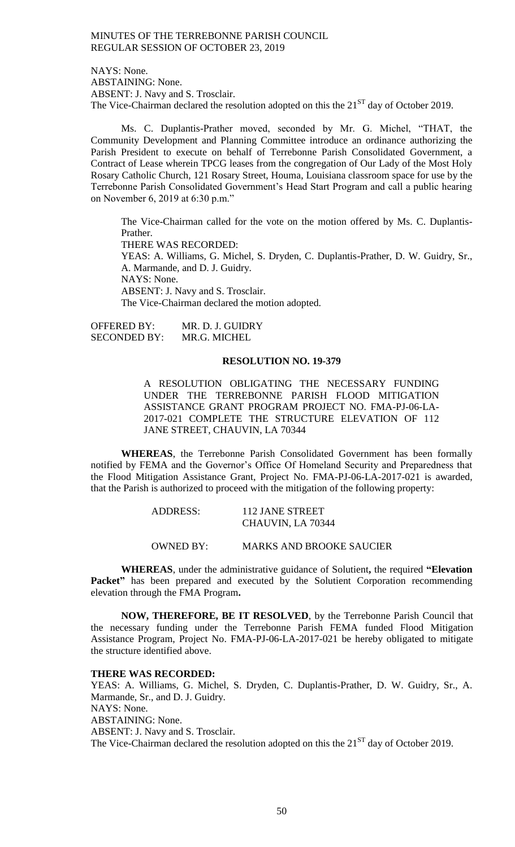NAYS: None. ABSTAINING: None. ABSENT: J. Navy and S. Trosclair. The Vice-Chairman declared the resolution adopted on this the  $21<sup>ST</sup>$  day of October 2019.

Ms. C. Duplantis-Prather moved, seconded by Mr. G. Michel, "THAT, the Community Development and Planning Committee introduce an ordinance authorizing the Parish President to execute on behalf of Terrebonne Parish Consolidated Government, a Contract of Lease wherein TPCG leases from the congregation of Our Lady of the Most Holy Rosary Catholic Church, 121 Rosary Street, Houma, Louisiana classroom space for use by the Terrebonne Parish Consolidated Government's Head Start Program and call a public hearing on November 6, 2019 at 6:30 p.m."

The Vice-Chairman called for the vote on the motion offered by Ms. C. Duplantis-Prather. THERE WAS RECORDED: YEAS: A. Williams, G. Michel, S. Dryden, C. Duplantis-Prather, D. W. Guidry, Sr., A. Marmande, and D. J. Guidry. NAYS: None. ABSENT: J. Navy and S. Trosclair. The Vice-Chairman declared the motion adopted.

OFFERED BY: MR. D. J. GUIDRY SECONDED BY: MR.G. MICHEL

#### **RESOLUTION NO. 19-379**

A RESOLUTION OBLIGATING THE NECESSARY FUNDING UNDER THE TERREBONNE PARISH FLOOD MITIGATION ASSISTANCE GRANT PROGRAM PROJECT NO. FMA-PJ-06-LA-2017-021 COMPLETE THE STRUCTURE ELEVATION OF 112 JANE STREET, CHAUVIN, LA 70344

**WHEREAS**, the Terrebonne Parish Consolidated Government has been formally notified by FEMA and the Governor's Office Of Homeland Security and Preparedness that the Flood Mitigation Assistance Grant, Project No. FMA-PJ-06-LA-2017-021 is awarded, that the Parish is authorized to proceed with the mitigation of the following property:

| <b>ADDRESS:</b>  | 112 JANE STREET<br>CHAUVIN, LA 70344 |
|------------------|--------------------------------------|
| <b>OWNED BY:</b> | <b>MARKS AND BROOKE SAUCIER</b>      |

**WHEREAS**, under the administrative guidance of Solutient**,** the required **"Elevation Packet**" has been prepared and executed by the Solutient Corporation recommending elevation through the FMA Program**.**

**NOW, THEREFORE, BE IT RESOLVED**, by the Terrebonne Parish Council that the necessary funding under the Terrebonne Parish FEMA funded Flood Mitigation Assistance Program, Project No. FMA-PJ-06-LA-2017-021 be hereby obligated to mitigate the structure identified above.

#### **THERE WAS RECORDED:**

YEAS: A. Williams, G. Michel, S. Dryden, C. Duplantis-Prather, D. W. Guidry, Sr., A. Marmande, Sr., and D. J. Guidry. NAYS: None. ABSTAINING: None. ABSENT: J. Navy and S. Trosclair. The Vice-Chairman declared the resolution adopted on this the  $21<sup>ST</sup>$  day of October 2019.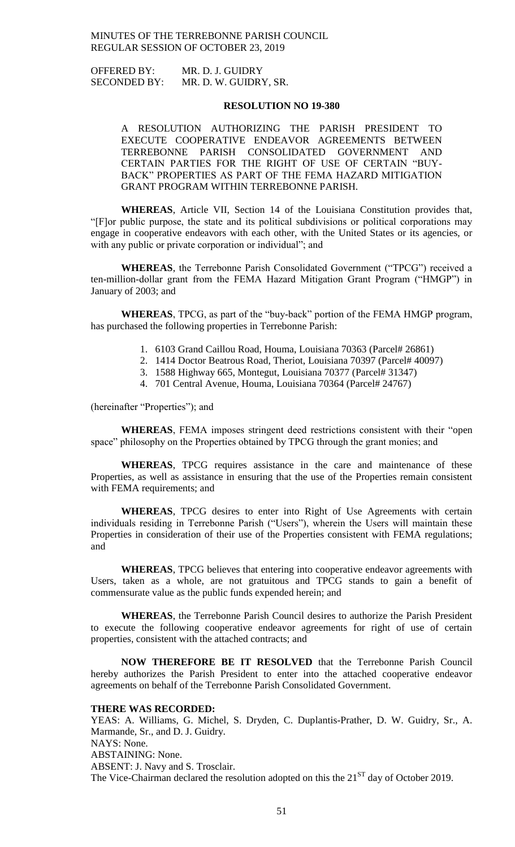OFFERED BY: MR. D. J. GUIDRY SECONDED BY: MR. D. W. GUIDRY, SR.

#### **RESOLUTION NO 19-380**

A RESOLUTION AUTHORIZING THE PARISH PRESIDENT TO EXECUTE COOPERATIVE ENDEAVOR AGREEMENTS BETWEEN TERREBONNE PARISH CONSOLIDATED GOVERNMENT AND CERTAIN PARTIES FOR THE RIGHT OF USE OF CERTAIN "BUY-BACK" PROPERTIES AS PART OF THE FEMA HAZARD MITIGATION GRANT PROGRAM WITHIN TERREBONNE PARISH.

**WHEREAS**, Article VII, Section 14 of the Louisiana Constitution provides that, "[F]or public purpose, the state and its political subdivisions or political corporations may engage in cooperative endeavors with each other, with the United States or its agencies, or with any public or private corporation or individual"; and

**WHEREAS**, the Terrebonne Parish Consolidated Government ("TPCG") received a ten-million-dollar grant from the FEMA Hazard Mitigation Grant Program ("HMGP") in January of 2003; and

**WHEREAS**, TPCG, as part of the "buy-back" portion of the FEMA HMGP program, has purchased the following properties in Terrebonne Parish:

- 1. 6103 Grand Caillou Road, Houma, Louisiana 70363 (Parcel# 26861)
- 2. 1414 Doctor Beatrous Road, Theriot, Louisiana 70397 (Parcel# 40097)
- 3. 1588 Highway 665, Montegut, Louisiana 70377 (Parcel# 31347)
- 4. 701 Central Avenue, Houma, Louisiana 70364 (Parcel# 24767)

(hereinafter "Properties"); and

**WHEREAS**, FEMA imposes stringent deed restrictions consistent with their "open space" philosophy on the Properties obtained by TPCG through the grant monies; and

**WHEREAS**, TPCG requires assistance in the care and maintenance of these Properties, as well as assistance in ensuring that the use of the Properties remain consistent with FEMA requirements; and

**WHEREAS**, TPCG desires to enter into Right of Use Agreements with certain individuals residing in Terrebonne Parish ("Users"), wherein the Users will maintain these Properties in consideration of their use of the Properties consistent with FEMA regulations; and

**WHEREAS**, TPCG believes that entering into cooperative endeavor agreements with Users, taken as a whole, are not gratuitous and TPCG stands to gain a benefit of commensurate value as the public funds expended herein; and

**WHEREAS**, the Terrebonne Parish Council desires to authorize the Parish President to execute the following cooperative endeavor agreements for right of use of certain properties, consistent with the attached contracts; and

**NOW THEREFORE BE IT RESOLVED** that the Terrebonne Parish Council hereby authorizes the Parish President to enter into the attached cooperative endeavor agreements on behalf of the Terrebonne Parish Consolidated Government.

#### **THERE WAS RECORDED:**

YEAS: A. Williams, G. Michel, S. Dryden, C. Duplantis-Prather, D. W. Guidry, Sr., A. Marmande, Sr., and D. J. Guidry. NAYS: None. ABSTAINING: None. ABSENT: J. Navy and S. Trosclair. The Vice-Chairman declared the resolution adopted on this the  $21<sup>ST</sup>$  day of October 2019.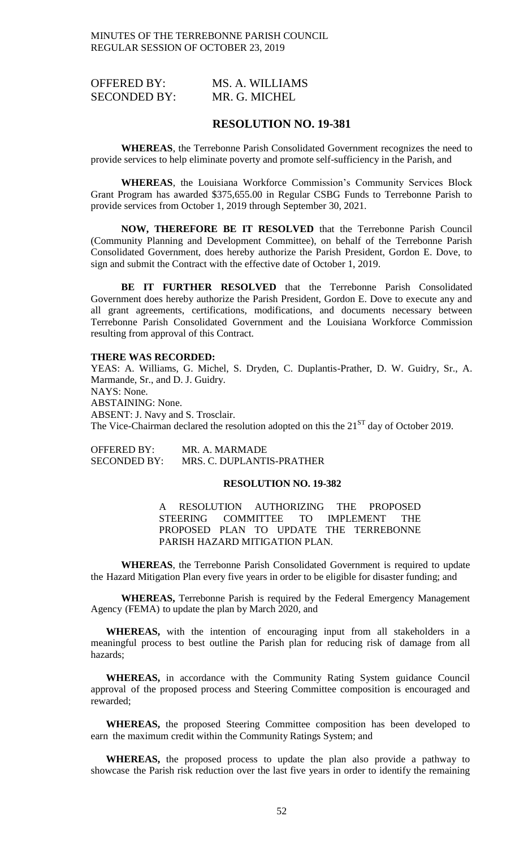| <b>OFFERED BY:</b>  | MS. A. WILLIAMS |
|---------------------|-----------------|
| <b>SECONDED BY:</b> | MR. G. MICHEL   |

#### **RESOLUTION NO. 19-381**

**WHEREAS**, the Terrebonne Parish Consolidated Government recognizes the need to provide services to help eliminate poverty and promote self-sufficiency in the Parish, and

**WHEREAS**, the Louisiana Workforce Commission's Community Services Block Grant Program has awarded \$375,655.00 in Regular CSBG Funds to Terrebonne Parish to provide services from October 1, 2019 through September 30, 2021.

**NOW, THEREFORE BE IT RESOLVED** that the Terrebonne Parish Council (Community Planning and Development Committee), on behalf of the Terrebonne Parish Consolidated Government, does hereby authorize the Parish President, Gordon E. Dove, to sign and submit the Contract with the effective date of October 1, 2019.

**BE IT FURTHER RESOLVED** that the Terrebonne Parish Consolidated Government does hereby authorize the Parish President, Gordon E. Dove to execute any and all grant agreements, certifications, modifications, and documents necessary between Terrebonne Parish Consolidated Government and the Louisiana Workforce Commission resulting from approval of this Contract.

#### **THERE WAS RECORDED:**

YEAS: A. Williams, G. Michel, S. Dryden, C. Duplantis-Prather, D. W. Guidry, Sr., A. Marmande, Sr., and D. J. Guidry. NAYS: None. ABSTAINING: None. ABSENT: J. Navy and S. Trosclair. The Vice-Chairman declared the resolution adopted on this the  $21<sup>ST</sup>$  day of October 2019.

OFFERED BY: MR. A. MARMADE SECONDED BY: MRS. C. DUPLANTIS-PRATHER

## **RESOLUTION NO. 19-382**

A RESOLUTION AUTHORIZING THE PROPOSED STEERING COMMITTEE TO IMPLEMENT THE PROPOSED PLAN TO UPDATE THE TERREBONNE PARISH HAZARD MITIGATION PLAN.

**WHEREAS**, the Terrebonne Parish Consolidated Government is required to update the Hazard Mitigation Plan every five years in order to be eligible for disaster funding; and

**WHEREAS,** Terrebonne Parish is required by the Federal Emergency Management Agency (FEMA) to update the plan by March 2020, and

**WHEREAS,** with the intention of encouraging input from all stakeholders in a meaningful process to best outline the Parish plan for reducing risk of damage from all hazards;

**WHEREAS,** in accordance with the Community Rating System guidance Council approval of the proposed process and Steering Committee composition is encouraged and rewarded;

**WHEREAS,** the proposed Steering Committee composition has been developed to earn the maximum credit within the Community Ratings System; and

**WHEREAS,** the proposed process to update the plan also provide a pathway to showcase the Parish risk reduction over the last five years in order to identify the remaining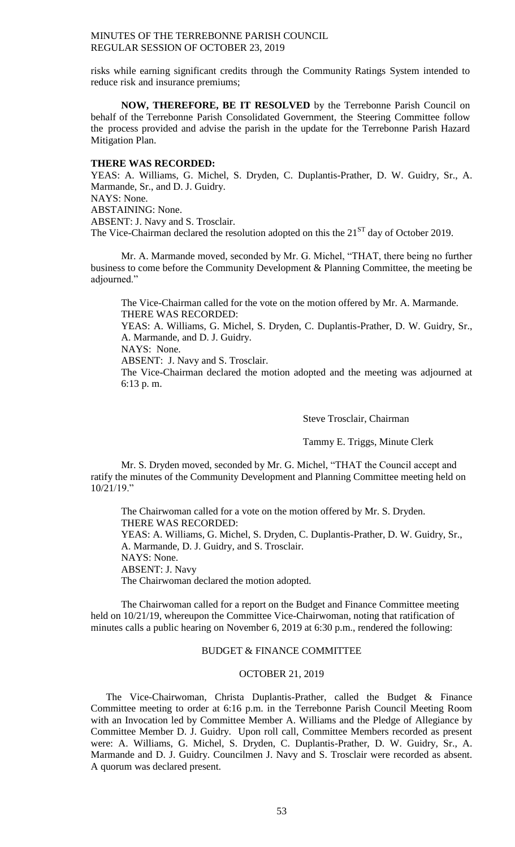risks while earning significant credits through the Community Ratings System intended to reduce risk and insurance premiums;

**NOW, THEREFORE, BE IT RESOLVED** by the Terrebonne Parish Council on behalf of the Terrebonne Parish Consolidated Government, the Steering Committee follow the process provided and advise the parish in the update for the Terrebonne Parish Hazard Mitigation Plan.

#### **THERE WAS RECORDED:**

YEAS: A. Williams, G. Michel, S. Dryden, C. Duplantis-Prather, D. W. Guidry, Sr., A. Marmande, Sr., and D. J. Guidry. NAYS: None. ABSTAINING: None. ABSENT: J. Navy and S. Trosclair. The Vice-Chairman declared the resolution adopted on this the  $21<sup>ST</sup>$  day of October 2019.

Mr. A. Marmande moved, seconded by Mr. G. Michel, "THAT, there being no further business to come before the Community Development & Planning Committee, the meeting be adjourned."

The Vice-Chairman called for the vote on the motion offered by Mr. A. Marmande. THERE WAS RECORDED: YEAS: A. Williams, G. Michel, S. Dryden, C. Duplantis-Prather, D. W. Guidry, Sr.,

A. Marmande, and D. J. Guidry.

NAYS: None.

ABSENT: J. Navy and S. Trosclair.

The Vice-Chairman declared the motion adopted and the meeting was adjourned at 6:13 p. m.

Steve Trosclair, Chairman

Tammy E. Triggs, Minute Clerk

Mr. S. Dryden moved, seconded by Mr. G. Michel, "THAT the Council accept and ratify the minutes of the Community Development and Planning Committee meeting held on 10/21/19."

The Chairwoman called for a vote on the motion offered by Mr. S. Dryden. THERE WAS RECORDED: YEAS: A. Williams, G. Michel, S. Dryden, C. Duplantis-Prather, D. W. Guidry, Sr., A. Marmande, D. J. Guidry, and S. Trosclair. NAYS: None. ABSENT: J. Navy The Chairwoman declared the motion adopted.

The Chairwoman called for a report on the Budget and Finance Committee meeting held on 10/21/19, whereupon the Committee Vice-Chairwoman, noting that ratification of minutes calls a public hearing on November 6, 2019 at 6:30 p.m., rendered the following:

# BUDGET & FINANCE COMMITTEE

# OCTOBER 21, 2019

The Vice-Chairwoman, Christa Duplantis-Prather, called the Budget & Finance Committee meeting to order at 6:16 p.m. in the Terrebonne Parish Council Meeting Room with an Invocation led by Committee Member A. Williams and the Pledge of Allegiance by Committee Member D. J. Guidry. Upon roll call, Committee Members recorded as present were: A. Williams, G. Michel, S. Dryden, C. Duplantis-Prather, D. W. Guidry, Sr., A. Marmande and D. J. Guidry. Councilmen J. Navy and S. Trosclair were recorded as absent. A quorum was declared present.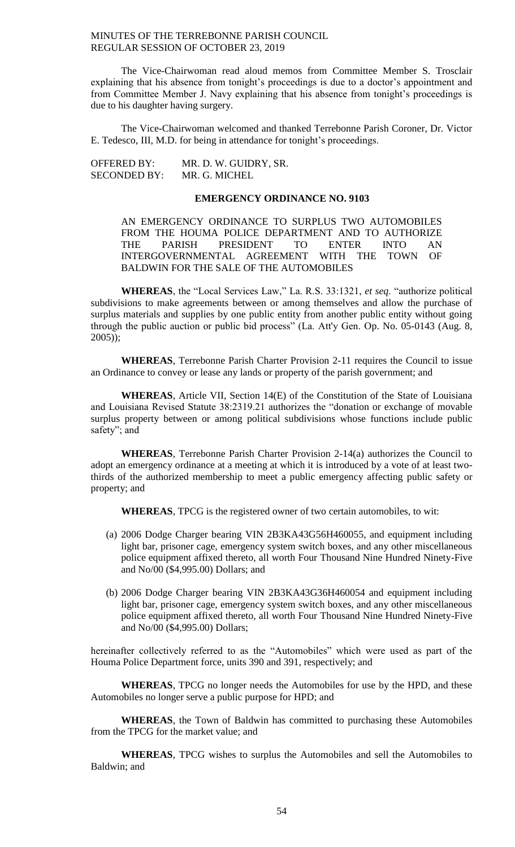The Vice-Chairwoman read aloud memos from Committee Member S. Trosclair explaining that his absence from tonight's proceedings is due to a doctor's appointment and from Committee Member J. Navy explaining that his absence from tonight's proceedings is due to his daughter having surgery.

The Vice-Chairwoman welcomed and thanked Terrebonne Parish Coroner, Dr. Victor E. Tedesco, III, M.D. for being in attendance for tonight's proceedings.

OFFERED BY: MR. D. W. GUIDRY, SR. SECONDED BY: MR. G. MICHEL

# **EMERGENCY ORDINANCE NO. 9103**

AN EMERGENCY ORDINANCE TO SURPLUS TWO AUTOMOBILES FROM THE HOUMA POLICE DEPARTMENT AND TO AUTHORIZE THE PARISH PRESIDENT TO ENTER INTO AN INTERGOVERNMENTAL AGREEMENT WITH THE TOWN OF BALDWIN FOR THE SALE OF THE AUTOMOBILES

**WHEREAS**, the "Local Services Law," La. R.S. 33:1321, *et seq*. "authorize political subdivisions to make agreements between or among themselves and allow the purchase of surplus materials and supplies by one public entity from another public entity without going through the public auction or public bid process" (La. Att'y Gen. Op. No. 05-0143 (Aug. 8, 2005));

**WHEREAS**, Terrebonne Parish Charter Provision 2-11 requires the Council to issue an Ordinance to convey or lease any lands or property of the parish government; and

**WHEREAS**, Article VII, Section 14(E) of the Constitution of the State of Louisiana and Louisiana Revised Statute 38:2319.21 authorizes the "donation or exchange of movable surplus property between or among political subdivisions whose functions include public safety"; and

**WHEREAS**, Terrebonne Parish Charter Provision 2-14(a) authorizes the Council to adopt an emergency ordinance at a meeting at which it is introduced by a vote of at least twothirds of the authorized membership to meet a public emergency affecting public safety or property; and

**WHEREAS**, TPCG is the registered owner of two certain automobiles, to wit:

- (a) 2006 Dodge Charger bearing VIN 2B3KA43G56H460055, and equipment including light bar, prisoner cage, emergency system switch boxes, and any other miscellaneous police equipment affixed thereto, all worth Four Thousand Nine Hundred Ninety-Five and No/00 (\$4,995.00) Dollars; and
- (b) 2006 Dodge Charger bearing VIN 2B3KA43G36H460054 and equipment including light bar, prisoner cage, emergency system switch boxes, and any other miscellaneous police equipment affixed thereto, all worth Four Thousand Nine Hundred Ninety-Five and No/00 (\$4,995.00) Dollars;

hereinafter collectively referred to as the "Automobiles" which were used as part of the Houma Police Department force, units 390 and 391, respectively; and

**WHEREAS**, TPCG no longer needs the Automobiles for use by the HPD, and these Automobiles no longer serve a public purpose for HPD; and

**WHEREAS**, the Town of Baldwin has committed to purchasing these Automobiles from the TPCG for the market value; and

**WHEREAS**, TPCG wishes to surplus the Automobiles and sell the Automobiles to Baldwin; and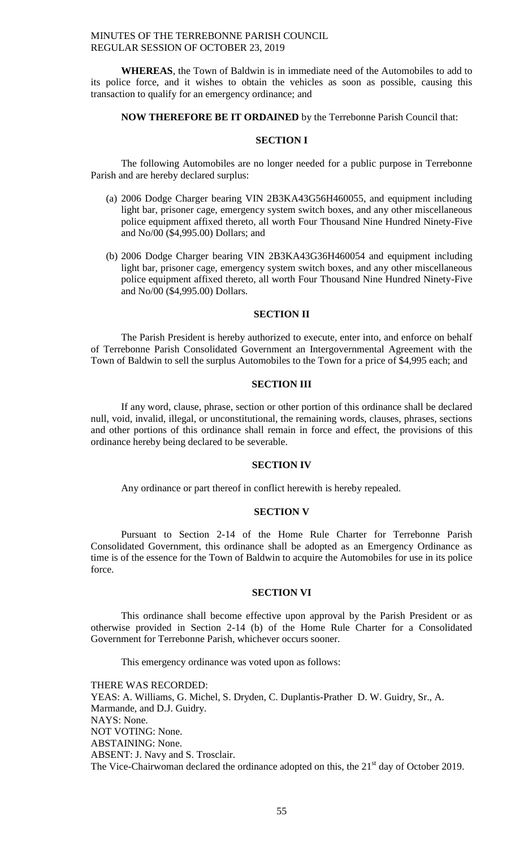**WHEREAS**, the Town of Baldwin is in immediate need of the Automobiles to add to its police force, and it wishes to obtain the vehicles as soon as possible, causing this transaction to qualify for an emergency ordinance; and

#### **NOW THEREFORE BE IT ORDAINED** by the Terrebonne Parish Council that:

## **SECTION I**

The following Automobiles are no longer needed for a public purpose in Terrebonne Parish and are hereby declared surplus:

- (a) 2006 Dodge Charger bearing VIN 2B3KA43G56H460055, and equipment including light bar, prisoner cage, emergency system switch boxes, and any other miscellaneous police equipment affixed thereto, all worth Four Thousand Nine Hundred Ninety-Five and No/00 (\$4,995.00) Dollars; and
- (b) 2006 Dodge Charger bearing VIN 2B3KA43G36H460054 and equipment including light bar, prisoner cage, emergency system switch boxes, and any other miscellaneous police equipment affixed thereto, all worth Four Thousand Nine Hundred Ninety-Five and No/00 (\$4,995.00) Dollars.

# **SECTION II**

The Parish President is hereby authorized to execute, enter into, and enforce on behalf of Terrebonne Parish Consolidated Government an Intergovernmental Agreement with the Town of Baldwin to sell the surplus Automobiles to the Town for a price of \$4,995 each; and

#### **SECTION III**

If any word, clause, phrase, section or other portion of this ordinance shall be declared null, void, invalid, illegal, or unconstitutional, the remaining words, clauses, phrases, sections and other portions of this ordinance shall remain in force and effect, the provisions of this ordinance hereby being declared to be severable.

#### **SECTION IV**

Any ordinance or part thereof in conflict herewith is hereby repealed.

#### **SECTION V**

Pursuant to Section 2-14 of the Home Rule Charter for Terrebonne Parish Consolidated Government, this ordinance shall be adopted as an Emergency Ordinance as time is of the essence for the Town of Baldwin to acquire the Automobiles for use in its police force.

#### **SECTION VI**

This ordinance shall become effective upon approval by the Parish President or as otherwise provided in Section 2-14 (b) of the Home Rule Charter for a Consolidated Government for Terrebonne Parish, whichever occurs sooner.

This emergency ordinance was voted upon as follows:

THERE WAS RECORDED: YEAS: A. Williams, G. Michel, S. Dryden, C. Duplantis-Prather D. W. Guidry, Sr., A. Marmande, and D.J. Guidry. NAYS: None. NOT VOTING: None. ABSTAINING: None. ABSENT: J. Navy and S. Trosclair. The Vice-Chairwoman declared the ordinance adopted on this, the 21<sup>st</sup> day of October 2019.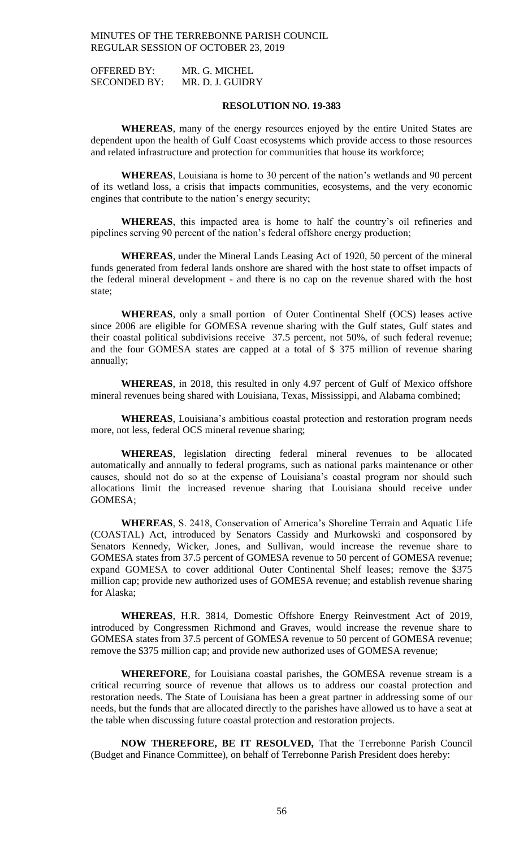OFFERED BY: MR. G. MICHEL SECONDED BY: MR. D. J. GUIDRY

#### **RESOLUTION NO. 19-383**

**WHEREAS**, many of the energy resources enjoyed by the entire United States are dependent upon the health of Gulf Coast ecosystems which provide access to those resources and related infrastructure and protection for communities that house its workforce;

**WHEREAS**, Louisiana is home to 30 percent of the nation's wetlands and 90 percent of its wetland loss, a crisis that impacts communities, ecosystems, and the very economic engines that contribute to the nation's energy security;

**WHEREAS**, this impacted area is home to half the country's oil refineries and pipelines serving 90 percent of the nation's federal offshore energy production;

**WHEREAS**, under the Mineral Lands Leasing Act of 1920, 50 percent of the mineral funds generated from federal lands onshore are shared with the host state to offset impacts of the federal mineral development - and there is no cap on the revenue shared with the host state;

**WHEREAS**, only a small portion of Outer Continental Shelf (OCS) leases active since 2006 are eligible for GOMESA revenue sharing with the Gulf states, Gulf states and their coastal political subdivisions receive 37.5 percent, not 50%, of such federal revenue; and the four GOMESA states are capped at a total of \$ 375 million of revenue sharing annually;

**WHEREAS**, in 2018, this resulted in only 4.97 percent of Gulf of Mexico offshore mineral revenues being shared with Louisiana, Texas, Mississippi, and Alabama combined;

**WHEREAS**, Louisiana's ambitious coastal protection and restoration program needs more, not less, federal OCS mineral revenue sharing;

**WHEREAS**, legislation directing federal mineral revenues to be allocated automatically and annually to federal programs, such as national parks maintenance or other causes, should not do so at the expense of Louisiana's coastal program nor should such allocations limit the increased revenue sharing that Louisiana should receive under GOMESA;

**WHEREAS**, S. 2418, Conservation of America's Shoreline Terrain and Aquatic Life (COASTAL) Act, introduced by Senators Cassidy and Murkowski and cosponsored by Senators Kennedy, Wicker, Jones, and Sullivan, would increase the revenue share to GOMESA states from 37.5 percent of GOMESA revenue to 50 percent of GOMESA revenue; expand GOMESA to cover additional Outer Continental Shelf leases; remove the \$375 million cap; provide new authorized uses of GOMESA revenue; and establish revenue sharing for Alaska;

**WHEREAS**, H.R. 3814, Domestic Offshore Energy Reinvestment Act of 2019, introduced by Congressmen Richmond and Graves, would increase the revenue share to GOMESA states from 37.5 percent of GOMESA revenue to 50 percent of GOMESA revenue; remove the \$375 million cap; and provide new authorized uses of GOMESA revenue;

**WHEREFORE**, for Louisiana coastal parishes, the GOMESA revenue stream is a critical recurring source of revenue that allows us to address our coastal protection and restoration needs. The State of Louisiana has been a great partner in addressing some of our needs, but the funds that are allocated directly to the parishes have allowed us to have a seat at the table when discussing future coastal protection and restoration projects.

**NOW THEREFORE, BE IT RESOLVED,** That the Terrebonne Parish Council (Budget and Finance Committee), on behalf of Terrebonne Parish President does hereby: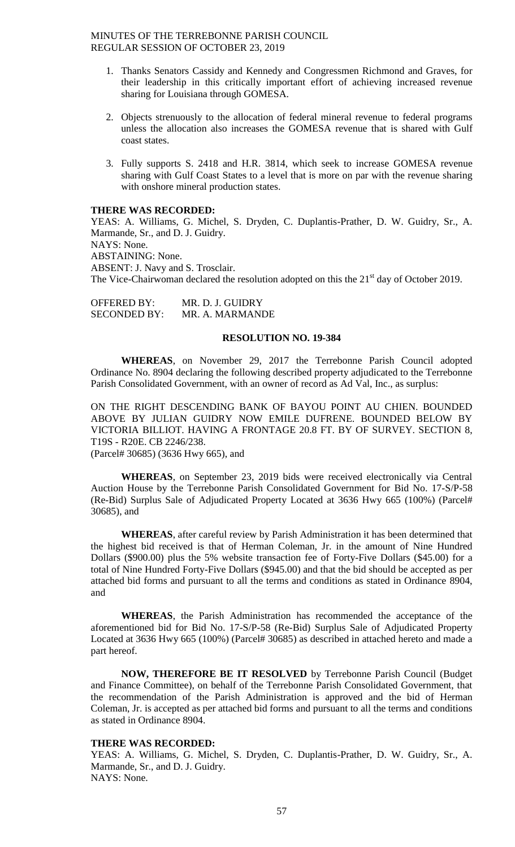- 1. Thanks Senators Cassidy and Kennedy and Congressmen Richmond and Graves, for their leadership in this critically important effort of achieving increased revenue sharing for Louisiana through GOMESA.
- 2. Objects strenuously to the allocation of federal mineral revenue to federal programs unless the allocation also increases the GOMESA revenue that is shared with Gulf coast states.
- 3. Fully supports S. 2418 and H.R. 3814, which seek to increase GOMESA revenue sharing with Gulf Coast States to a level that is more on par with the revenue sharing with onshore mineral production states.

#### **THERE WAS RECORDED:**

YEAS: A. Williams, G. Michel, S. Dryden, C. Duplantis-Prather, D. W. Guidry, Sr., A. Marmande, Sr., and D. J. Guidry. NAYS: None. ABSTAINING: None. ABSENT: J. Navy and S. Trosclair. The Vice-Chairwoman declared the resolution adopted on this the  $21<sup>st</sup>$  day of October 2019.

OFFERED BY: MR. D. J. GUIDRY SECONDED BY: MR. A. MARMANDE

## **RESOLUTION NO. 19-384**

**WHEREAS**, on November 29, 2017 the Terrebonne Parish Council adopted Ordinance No. 8904 declaring the following described property adjudicated to the Terrebonne Parish Consolidated Government, with an owner of record as Ad Val, Inc., as surplus:

ON THE RIGHT DESCENDING BANK OF BAYOU POINT AU CHIEN. BOUNDED ABOVE BY JULIAN GUIDRY NOW EMILE DUFRENE. BOUNDED BELOW BY VICTORIA BILLIOT. HAVING A FRONTAGE 20.8 FT. BY OF SURVEY. SECTION 8, T19S - R20E. CB 2246/238.

(Parcel# 30685) (3636 Hwy 665), and

**WHEREAS**, on September 23, 2019 bids were received electronically via Central Auction House by the Terrebonne Parish Consolidated Government for Bid No. 17-S/P-58 (Re-Bid) Surplus Sale of Adjudicated Property Located at 3636 Hwy 665 (100%) (Parcel# 30685), and

**WHEREAS**, after careful review by Parish Administration it has been determined that the highest bid received is that of Herman Coleman, Jr. in the amount of Nine Hundred Dollars (\$900.00) plus the 5% website transaction fee of Forty-Five Dollars (\$45.00) for a total of Nine Hundred Forty-Five Dollars (\$945.00) and that the bid should be accepted as per attached bid forms and pursuant to all the terms and conditions as stated in Ordinance 8904, and

**WHEREAS**, the Parish Administration has recommended the acceptance of the aforementioned bid for Bid No. 17-S/P-58 (Re-Bid) Surplus Sale of Adjudicated Property Located at 3636 Hwy 665 (100%) (Parcel# 30685) as described in attached hereto and made a part hereof.

**NOW, THEREFORE BE IT RESOLVED** by Terrebonne Parish Council (Budget and Finance Committee), on behalf of the Terrebonne Parish Consolidated Government, that the recommendation of the Parish Administration is approved and the bid of Herman Coleman, Jr. is accepted as per attached bid forms and pursuant to all the terms and conditions as stated in Ordinance 8904.

## **THERE WAS RECORDED:**

YEAS: A. Williams, G. Michel, S. Dryden, C. Duplantis-Prather, D. W. Guidry, Sr., A. Marmande, Sr., and D. J. Guidry. NAYS: None.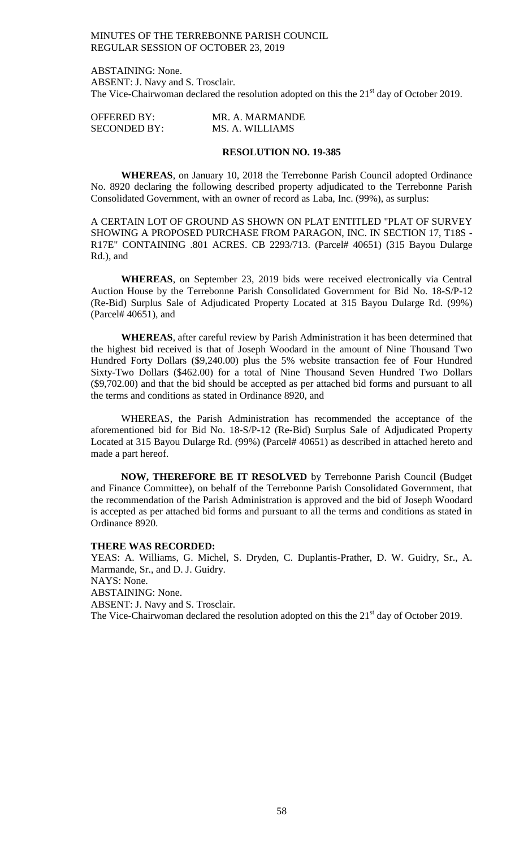ABSTAINING: None. ABSENT: J. Navy and S. Trosclair. The Vice-Chairwoman declared the resolution adopted on this the 21<sup>st</sup> day of October 2019.

| <b>OFFERED BY:</b>  | MR. A. MARMANDE |
|---------------------|-----------------|
| <b>SECONDED BY:</b> | MS. A. WILLIAMS |

#### **RESOLUTION NO. 19-385**

**WHEREAS**, on January 10, 2018 the Terrebonne Parish Council adopted Ordinance No. 8920 declaring the following described property adjudicated to the Terrebonne Parish Consolidated Government, with an owner of record as Laba, Inc. (99%), as surplus:

A CERTAIN LOT OF GROUND AS SHOWN ON PLAT ENTITLED "PLAT OF SURVEY SHOWING A PROPOSED PURCHASE FROM PARAGON, INC. IN SECTION 17, T18S - R17E" CONTAINING .801 ACRES. CB 2293/713. (Parcel# 40651) (315 Bayou Dularge Rd.), and

**WHEREAS**, on September 23, 2019 bids were received electronically via Central Auction House by the Terrebonne Parish Consolidated Government for Bid No. 18-S/P-12 (Re-Bid) Surplus Sale of Adjudicated Property Located at 315 Bayou Dularge Rd. (99%) (Parcel# 40651), and

**WHEREAS**, after careful review by Parish Administration it has been determined that the highest bid received is that of Joseph Woodard in the amount of Nine Thousand Two Hundred Forty Dollars (\$9,240.00) plus the 5% website transaction fee of Four Hundred Sixty-Two Dollars (\$462.00) for a total of Nine Thousand Seven Hundred Two Dollars (\$9,702.00) and that the bid should be accepted as per attached bid forms and pursuant to all the terms and conditions as stated in Ordinance 8920, and

WHEREAS, the Parish Administration has recommended the acceptance of the aforementioned bid for Bid No. 18-S/P-12 (Re-Bid) Surplus Sale of Adjudicated Property Located at 315 Bayou Dularge Rd. (99%) (Parcel# 40651) as described in attached hereto and made a part hereof.

**NOW, THEREFORE BE IT RESOLVED** by Terrebonne Parish Council (Budget and Finance Committee), on behalf of the Terrebonne Parish Consolidated Government, that the recommendation of the Parish Administration is approved and the bid of Joseph Woodard is accepted as per attached bid forms and pursuant to all the terms and conditions as stated in Ordinance 8920.

#### **THERE WAS RECORDED:**

YEAS: A. Williams, G. Michel, S. Dryden, C. Duplantis-Prather, D. W. Guidry, Sr., A. Marmande, Sr., and D. J. Guidry. NAYS: None. ABSTAINING: None. ABSENT: J. Navy and S. Trosclair. The Vice-Chairwoman declared the resolution adopted on this the  $21<sup>st</sup>$  day of October 2019.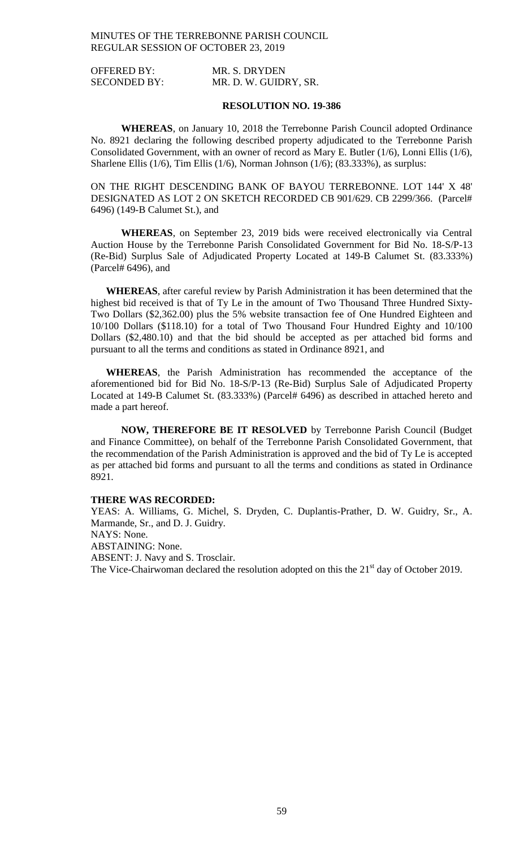| <b>OFFERED BY:</b>  | MR. S. DRYDEN         |
|---------------------|-----------------------|
| <b>SECONDED BY:</b> | MR. D. W. GUIDRY, SR. |

#### **RESOLUTION NO. 19-386**

**WHEREAS**, on January 10, 2018 the Terrebonne Parish Council adopted Ordinance No. 8921 declaring the following described property adjudicated to the Terrebonne Parish Consolidated Government, with an owner of record as Mary E. Butler (1/6), Lonni Ellis (1/6), Sharlene Ellis (1/6), Tim Ellis (1/6), Norman Johnson (1/6); (83.333%), as surplus:

ON THE RIGHT DESCENDING BANK OF BAYOU TERREBONNE. LOT 144' X 48' DESIGNATED AS LOT 2 ON SKETCH RECORDED CB 901/629. CB 2299/366. (Parcel# 6496) (149-B Calumet St.), and

**WHEREAS**, on September 23, 2019 bids were received electronically via Central Auction House by the Terrebonne Parish Consolidated Government for Bid No. 18-S/P-13 (Re-Bid) Surplus Sale of Adjudicated Property Located at 149-B Calumet St. (83.333%) (Parcel# 6496), and

**WHEREAS**, after careful review by Parish Administration it has been determined that the highest bid received is that of Ty Le in the amount of Two Thousand Three Hundred Sixty-Two Dollars (\$2,362.00) plus the 5% website transaction fee of One Hundred Eighteen and 10/100 Dollars (\$118.10) for a total of Two Thousand Four Hundred Eighty and 10/100 Dollars (\$2,480.10) and that the bid should be accepted as per attached bid forms and pursuant to all the terms and conditions as stated in Ordinance 8921, and

**WHEREAS**, the Parish Administration has recommended the acceptance of the aforementioned bid for Bid No. 18-S/P-13 (Re-Bid) Surplus Sale of Adjudicated Property Located at 149-B Calumet St. (83.333%) (Parcel# 6496) as described in attached hereto and made a part hereof.

**NOW, THEREFORE BE IT RESOLVED** by Terrebonne Parish Council (Budget and Finance Committee), on behalf of the Terrebonne Parish Consolidated Government, that the recommendation of the Parish Administration is approved and the bid of Ty Le is accepted as per attached bid forms and pursuant to all the terms and conditions as stated in Ordinance 8921.

#### **THERE WAS RECORDED:**

YEAS: A. Williams, G. Michel, S. Dryden, C. Duplantis-Prather, D. W. Guidry, Sr., A. Marmande, Sr., and D. J. Guidry. NAYS: None. ABSTAINING: None. ABSENT: J. Navy and S. Trosclair. The Vice-Chairwoman declared the resolution adopted on this the  $21<sup>st</sup>$  day of October 2019.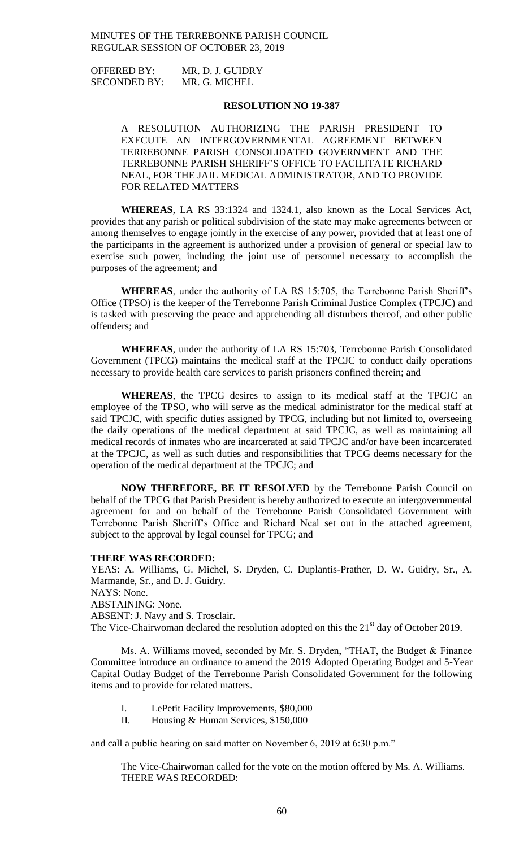OFFERED BY: MR. D. J. GUIDRY SECONDED BY: MR. G. MICHEL

#### **RESOLUTION NO 19-387**

A RESOLUTION AUTHORIZING THE PARISH PRESIDENT TO EXECUTE AN INTERGOVERNMENTAL AGREEMENT BETWEEN TERREBONNE PARISH CONSOLIDATED GOVERNMENT AND THE TERREBONNE PARISH SHERIFF'S OFFICE TO FACILITATE RICHARD NEAL, FOR THE JAIL MEDICAL ADMINISTRATOR, AND TO PROVIDE FOR RELATED MATTERS

**WHEREAS**, LA RS 33:1324 and 1324.1, also known as the Local Services Act, provides that any parish or political subdivision of the state may make agreements between or among themselves to engage jointly in the exercise of any power, provided that at least one of the participants in the agreement is authorized under a provision of general or special law to exercise such power, including the joint use of personnel necessary to accomplish the purposes of the agreement; and

**WHEREAS**, under the authority of LA RS 15:705, the Terrebonne Parish Sheriff's Office (TPSO) is the keeper of the Terrebonne Parish Criminal Justice Complex (TPCJC) and is tasked with preserving the peace and apprehending all disturbers thereof, and other public offenders; and

**WHEREAS**, under the authority of LA RS 15:703, Terrebonne Parish Consolidated Government (TPCG) maintains the medical staff at the TPCJC to conduct daily operations necessary to provide health care services to parish prisoners confined therein; and

**WHEREAS**, the TPCG desires to assign to its medical staff at the TPCJC an employee of the TPSO, who will serve as the medical administrator for the medical staff at said TPCJC, with specific duties assigned by TPCG, including but not limited to, overseeing the daily operations of the medical department at said TPCJC, as well as maintaining all medical records of inmates who are incarcerated at said TPCJC and/or have been incarcerated at the TPCJC, as well as such duties and responsibilities that TPCG deems necessary for the operation of the medical department at the TPCJC; and

**NOW THEREFORE, BE IT RESOLVED** by the Terrebonne Parish Council on behalf of the TPCG that Parish President is hereby authorized to execute an intergovernmental agreement for and on behalf of the Terrebonne Parish Consolidated Government with Terrebonne Parish Sheriff's Office and Richard Neal set out in the attached agreement, subject to the approval by legal counsel for TPCG; and

#### **THERE WAS RECORDED:**

YEAS: A. Williams, G. Michel, S. Dryden, C. Duplantis-Prather, D. W. Guidry, Sr., A. Marmande, Sr., and D. J. Guidry. NAYS: None. ABSTAINING: None. ABSENT: J. Navy and S. Trosclair. The Vice-Chairwoman declared the resolution adopted on this the  $21<sup>st</sup>$  day of October 2019.

Ms. A. Williams moved, seconded by Mr. S. Dryden, "THAT, the Budget & Finance Committee introduce an ordinance to amend the 2019 Adopted Operating Budget and 5-Year Capital Outlay Budget of the Terrebonne Parish Consolidated Government for the following items and to provide for related matters.

- I. LePetit Facility Improvements, \$80,000
- II. Housing & Human Services, \$150,000

and call a public hearing on said matter on November 6, 2019 at 6:30 p.m."

The Vice-Chairwoman called for the vote on the motion offered by Ms. A. Williams. THERE WAS RECORDED: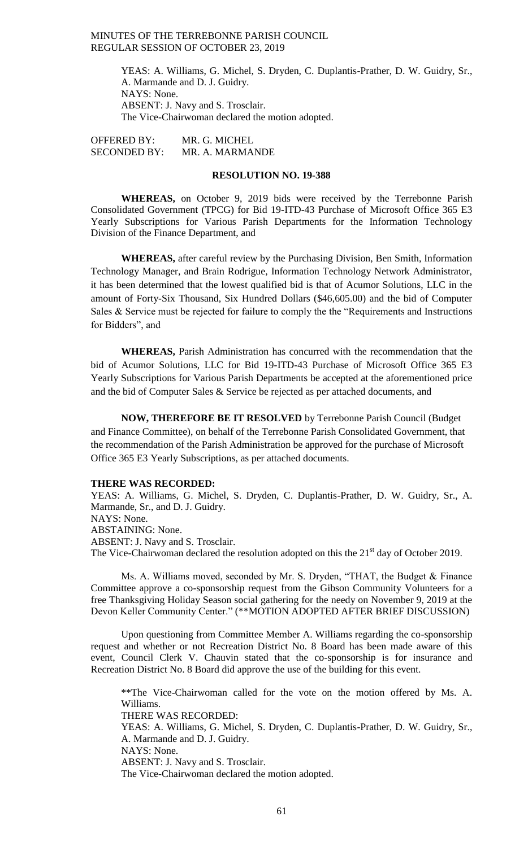YEAS: A. Williams, G. Michel, S. Dryden, C. Duplantis-Prather, D. W. Guidry, Sr., A. Marmande and D. J. Guidry. NAYS: None. ABSENT: J. Navy and S. Trosclair. The Vice-Chairwoman declared the motion adopted.

OFFERED BY: MR. G. MICHEL SECONDED BY: MR. A. MARMANDE

#### **RESOLUTION NO. 19-388**

**WHEREAS,** on October 9, 2019 bids were received by the Terrebonne Parish Consolidated Government (TPCG) for Bid 19-ITD-43 Purchase of Microsoft Office 365 E3 Yearly Subscriptions for Various Parish Departments for the Information Technology Division of the Finance Department, and

**WHEREAS,** after careful review by the Purchasing Division, Ben Smith, Information Technology Manager, and Brain Rodrigue, Information Technology Network Administrator, it has been determined that the lowest qualified bid is that of Acumor Solutions, LLC in the amount of Forty-Six Thousand, Six Hundred Dollars (\$46,605.00) and the bid of Computer Sales & Service must be rejected for failure to comply the the "Requirements and Instructions for Bidders", and

**WHEREAS,** Parish Administration has concurred with the recommendation that the bid of Acumor Solutions, LLC for Bid 19-ITD-43 Purchase of Microsoft Office 365 E3 Yearly Subscriptions for Various Parish Departments be accepted at the aforementioned price and the bid of Computer Sales & Service be rejected as per attached documents, and

**NOW, THEREFORE BE IT RESOLVED** by Terrebonne Parish Council (Budget and Finance Committee), on behalf of the Terrebonne Parish Consolidated Government, that the recommendation of the Parish Administration be approved for the purchase of Microsoft Office 365 E3 Yearly Subscriptions, as per attached documents.

#### **THERE WAS RECORDED:**

YEAS: A. Williams, G. Michel, S. Dryden, C. Duplantis-Prather, D. W. Guidry, Sr., A. Marmande, Sr., and D. J. Guidry. NAYS: None. ABSTAINING: None. ABSENT: J. Navy and S. Trosclair. The Vice-Chairwoman declared the resolution adopted on this the 21<sup>st</sup> day of October 2019.

Ms. A. Williams moved, seconded by Mr. S. Dryden, "THAT, the Budget & Finance Committee approve a co-sponsorship request from the Gibson Community Volunteers for a free Thanksgiving Holiday Season social gathering for the needy on November 9, 2019 at the Devon Keller Community Center." (\*\*MOTION ADOPTED AFTER BRIEF DISCUSSION)

Upon questioning from Committee Member A. Williams regarding the co-sponsorship request and whether or not Recreation District No. 8 Board has been made aware of this event, Council Clerk V. Chauvin stated that the co-sponsorship is for insurance and Recreation District No. 8 Board did approve the use of the building for this event.

\*\*The Vice-Chairwoman called for the vote on the motion offered by Ms. A. Williams. THERE WAS RECORDED: YEAS: A. Williams, G. Michel, S. Dryden, C. Duplantis-Prather, D. W. Guidry, Sr., A. Marmande and D. J. Guidry. NAYS: None. ABSENT: J. Navy and S. Trosclair. The Vice-Chairwoman declared the motion adopted.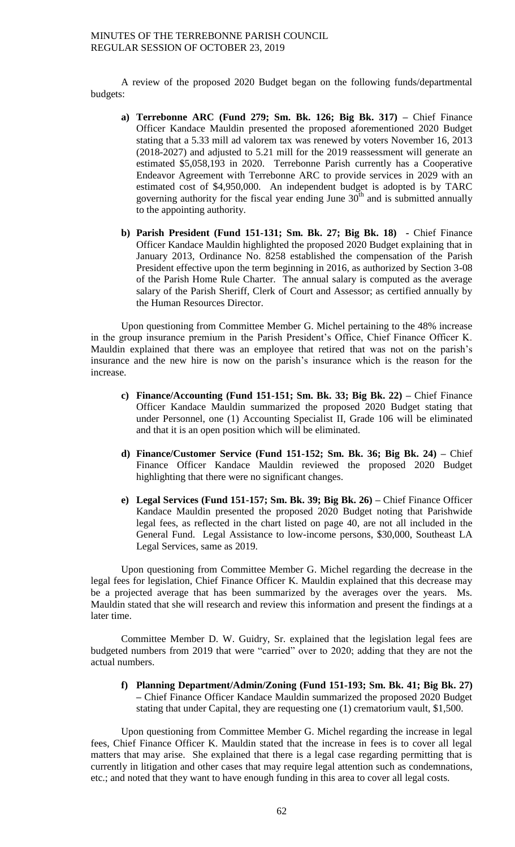A review of the proposed 2020 Budget began on the following funds/departmental budgets:

- **a) Terrebonne ARC (Fund 279; Sm. Bk. 126; Big Bk. 317) –** Chief Finance Officer Kandace Mauldin presented the proposed aforementioned 2020 Budget stating that a 5.33 mill ad valorem tax was renewed by voters November 16, 2013 (2018-2027) and adjusted to 5.21 mill for the 2019 reassessment will generate an estimated \$5,058,193 in 2020. Terrebonne Parish currently has a Cooperative Endeavor Agreement with Terrebonne ARC to provide services in 2029 with an estimated cost of \$4,950,000. An independent budget is adopted is by TARC governing authority for the fiscal year ending June  $30<sup>th</sup>$  and is submitted annually to the appointing authority.
- **b) Parish President (Fund 151-131; Sm. Bk. 27; Big Bk. 18) -** Chief Finance Officer Kandace Mauldin highlighted the proposed 2020 Budget explaining that in January 2013, Ordinance No. 8258 established the compensation of the Parish President effective upon the term beginning in 2016, as authorized by Section 3-08 of the Parish Home Rule Charter. The annual salary is computed as the average salary of the Parish Sheriff, Clerk of Court and Assessor; as certified annually by the Human Resources Director.

Upon questioning from Committee Member G. Michel pertaining to the 48% increase in the group insurance premium in the Parish President's Office, Chief Finance Officer K. Mauldin explained that there was an employee that retired that was not on the parish's insurance and the new hire is now on the parish's insurance which is the reason for the increase.

- **c) Finance/Accounting (Fund 151-151; Sm. Bk. 33; Big Bk. 22) –** Chief Finance Officer Kandace Mauldin summarized the proposed 2020 Budget stating that under Personnel, one (1) Accounting Specialist II, Grade 106 will be eliminated and that it is an open position which will be eliminated.
- **d) Finance/Customer Service (Fund 151-152; Sm. Bk. 36; Big Bk. 24) –** Chief Finance Officer Kandace Mauldin reviewed the proposed 2020 Budget highlighting that there were no significant changes.
- **e) Legal Services (Fund 151-157; Sm. Bk. 39; Big Bk. 26) –** Chief Finance Officer Kandace Mauldin presented the proposed 2020 Budget noting that Parishwide legal fees, as reflected in the chart listed on page 40, are not all included in the General Fund. Legal Assistance to low-income persons, \$30,000, Southeast LA Legal Services, same as 2019.

Upon questioning from Committee Member G. Michel regarding the decrease in the legal fees for legislation, Chief Finance Officer K. Mauldin explained that this decrease may be a projected average that has been summarized by the averages over the years. Ms. Mauldin stated that she will research and review this information and present the findings at a later time.

Committee Member D. W. Guidry, Sr. explained that the legislation legal fees are budgeted numbers from 2019 that were "carried" over to 2020; adding that they are not the actual numbers.

**f) Planning Department/Admin/Zoning (Fund 151-193; Sm. Bk. 41; Big Bk. 27) –** Chief Finance Officer Kandace Mauldin summarized the proposed 2020 Budget stating that under Capital, they are requesting one (1) crematorium vault, \$1,500.

Upon questioning from Committee Member G. Michel regarding the increase in legal fees, Chief Finance Officer K. Mauldin stated that the increase in fees is to cover all legal matters that may arise. She explained that there is a legal case regarding permitting that is currently in litigation and other cases that may require legal attention such as condemnations, etc.; and noted that they want to have enough funding in this area to cover all legal costs.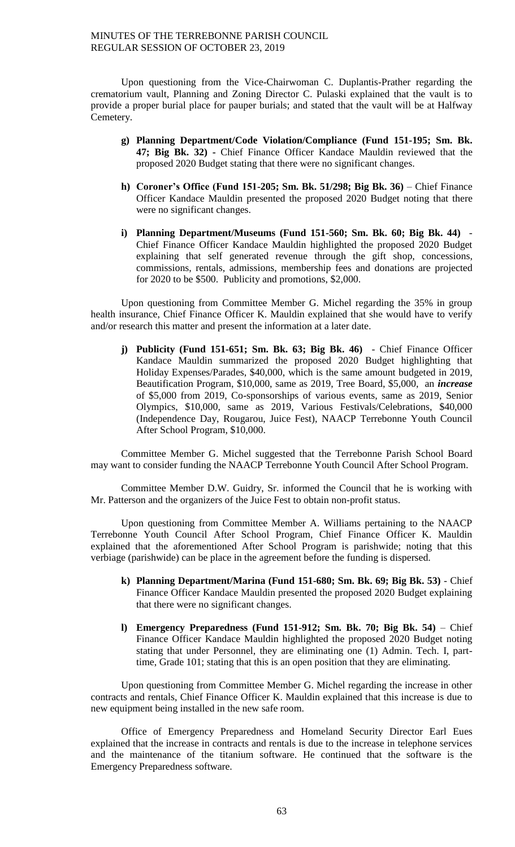Upon questioning from the Vice-Chairwoman C. Duplantis-Prather regarding the crematorium vault, Planning and Zoning Director C. Pulaski explained that the vault is to provide a proper burial place for pauper burials; and stated that the vault will be at Halfway Cemetery.

- **g) Planning Department/Code Violation/Compliance (Fund 151-195; Sm. Bk. 47; Big Bk. 32) -** Chief Finance Officer Kandace Mauldin reviewed that the proposed 2020 Budget stating that there were no significant changes.
- **h) Coroner's Office (Fund 151-205; Sm. Bk. 51/298; Big Bk. 36)** Chief Finance Officer Kandace Mauldin presented the proposed 2020 Budget noting that there were no significant changes.
- **i) Planning Department/Museums (Fund 151-560; Sm. Bk. 60; Big Bk. 44)**  Chief Finance Officer Kandace Mauldin highlighted the proposed 2020 Budget explaining that self generated revenue through the gift shop, concessions, commissions, rentals, admissions, membership fees and donations are projected for 2020 to be \$500. Publicity and promotions, \$2,000.

Upon questioning from Committee Member G. Michel regarding the 35% in group health insurance, Chief Finance Officer K. Mauldin explained that she would have to verify and/or research this matter and present the information at a later date.

**j) Publicity (Fund 151-651; Sm. Bk. 63; Big Bk. 46)** - Chief Finance Officer Kandace Mauldin summarized the proposed 2020 Budget highlighting that Holiday Expenses/Parades, \$40,000, which is the same amount budgeted in 2019, Beautification Program, \$10,000, same as 2019, Tree Board, \$5,000, an *increase* of \$5,000 from 2019, Co-sponsorships of various events, same as 2019, Senior Olympics, \$10,000, same as 2019, Various Festivals/Celebrations, \$40,000 (Independence Day, Rougarou, Juice Fest), NAACP Terrebonne Youth Council After School Program, \$10,000.

Committee Member G. Michel suggested that the Terrebonne Parish School Board may want to consider funding the NAACP Terrebonne Youth Council After School Program.

Committee Member D.W. Guidry, Sr. informed the Council that he is working with Mr. Patterson and the organizers of the Juice Fest to obtain non-profit status.

Upon questioning from Committee Member A. Williams pertaining to the NAACP Terrebonne Youth Council After School Program, Chief Finance Officer K. Mauldin explained that the aforementioned After School Program is parishwide; noting that this verbiage (parishwide) can be place in the agreement before the funding is dispersed.

- **k) Planning Department/Marina (Fund 151-680; Sm. Bk. 69; Big Bk. 53)** Chief Finance Officer Kandace Mauldin presented the proposed 2020 Budget explaining that there were no significant changes.
- **l) Emergency Preparedness (Fund 151-912; Sm. Bk. 70; Big Bk. 54)** Chief Finance Officer Kandace Mauldin highlighted the proposed 2020 Budget noting stating that under Personnel, they are eliminating one (1) Admin. Tech. I, parttime, Grade 101; stating that this is an open position that they are eliminating.

Upon questioning from Committee Member G. Michel regarding the increase in other contracts and rentals, Chief Finance Officer K. Mauldin explained that this increase is due to new equipment being installed in the new safe room.

Office of Emergency Preparedness and Homeland Security Director Earl Eues explained that the increase in contracts and rentals is due to the increase in telephone services and the maintenance of the titanium software. He continued that the software is the Emergency Preparedness software.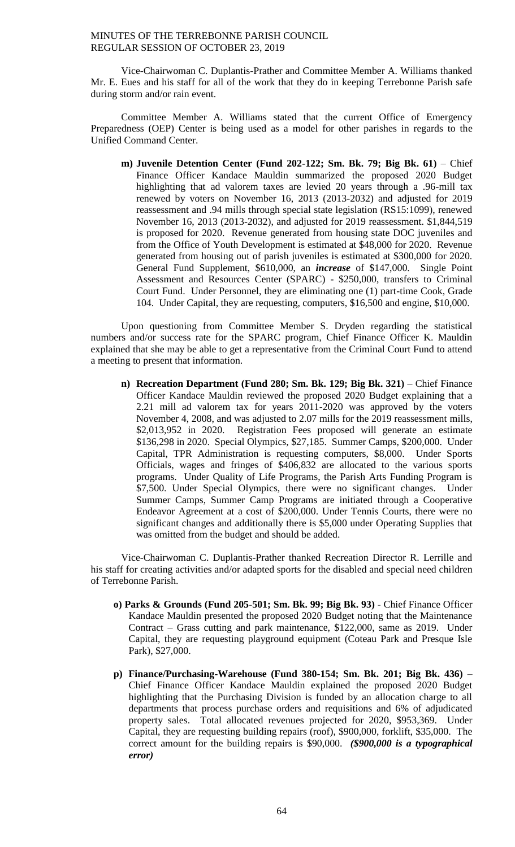Vice-Chairwoman C. Duplantis-Prather and Committee Member A. Williams thanked Mr. E. Eues and his staff for all of the work that they do in keeping Terrebonne Parish safe during storm and/or rain event.

Committee Member A. Williams stated that the current Office of Emergency Preparedness (OEP) Center is being used as a model for other parishes in regards to the Unified Command Center.

**m) Juvenile Detention Center (Fund 202-122; Sm. Bk. 79; Big Bk. 61)** – Chief Finance Officer Kandace Mauldin summarized the proposed 2020 Budget highlighting that ad valorem taxes are levied 20 years through a .96-mill tax renewed by voters on November 16, 2013 (2013-2032) and adjusted for 2019 reassessment and .94 mills through special state legislation (RS15:1099), renewed November 16, 2013 (2013-2032), and adjusted for 2019 reassessment. \$1,844,519 is proposed for 2020. Revenue generated from housing state DOC juveniles and from the Office of Youth Development is estimated at \$48,000 for 2020. Revenue generated from housing out of parish juveniles is estimated at \$300,000 for 2020. General Fund Supplement, \$610,000, an *increase* of \$147,000. Single Point Assessment and Resources Center (SPARC) - \$250,000, transfers to Criminal Court Fund. Under Personnel, they are eliminating one (1) part-time Cook, Grade 104. Under Capital, they are requesting, computers, \$16,500 and engine, \$10,000.

Upon questioning from Committee Member S. Dryden regarding the statistical numbers and/or success rate for the SPARC program, Chief Finance Officer K. Mauldin explained that she may be able to get a representative from the Criminal Court Fund to attend a meeting to present that information.

**n) Recreation Department (Fund 280; Sm. Bk. 129; Big Bk. 321)** – Chief Finance Officer Kandace Mauldin reviewed the proposed 2020 Budget explaining that a 2.21 mill ad valorem tax for years 2011-2020 was approved by the voters November 4, 2008, and was adjusted to 2.07 mills for the 2019 reassessment mills, \$2,013,952 in 2020. Registration Fees proposed will generate an estimate \$136,298 in 2020. Special Olympics, \$27,185. Summer Camps, \$200,000. Under Capital, TPR Administration is requesting computers, \$8,000. Under Sports Officials, wages and fringes of \$406,832 are allocated to the various sports programs. Under Quality of Life Programs, the Parish Arts Funding Program is \$7,500. Under Special Olympics, there were no significant changes. Under Summer Camps, Summer Camp Programs are initiated through a Cooperative Endeavor Agreement at a cost of \$200,000. Under Tennis Courts, there were no significant changes and additionally there is \$5,000 under Operating Supplies that was omitted from the budget and should be added.

Vice-Chairwoman C. Duplantis-Prather thanked Recreation Director R. Lerrille and his staff for creating activities and/or adapted sports for the disabled and special need children of Terrebonne Parish.

- **o) Parks & Grounds (Fund 205-501; Sm. Bk. 99; Big Bk. 93)**  Chief Finance Officer Kandace Mauldin presented the proposed 2020 Budget noting that the Maintenance Contract – Grass cutting and park maintenance, \$122,000, same as 2019. Under Capital, they are requesting playground equipment (Coteau Park and Presque Isle Park), \$27,000.
- **p) Finance/Purchasing-Warehouse (Fund 380-154; Sm. Bk. 201; Big Bk. 436)** Chief Finance Officer Kandace Mauldin explained the proposed 2020 Budget highlighting that the Purchasing Division is funded by an allocation charge to all departments that process purchase orders and requisitions and 6% of adjudicated property sales. Total allocated revenues projected for 2020, \$953,369. Under Capital, they are requesting building repairs (roof), \$900,000, forklift, \$35,000. The correct amount for the building repairs is \$90,000. *(\$900,000 is a typographical error)*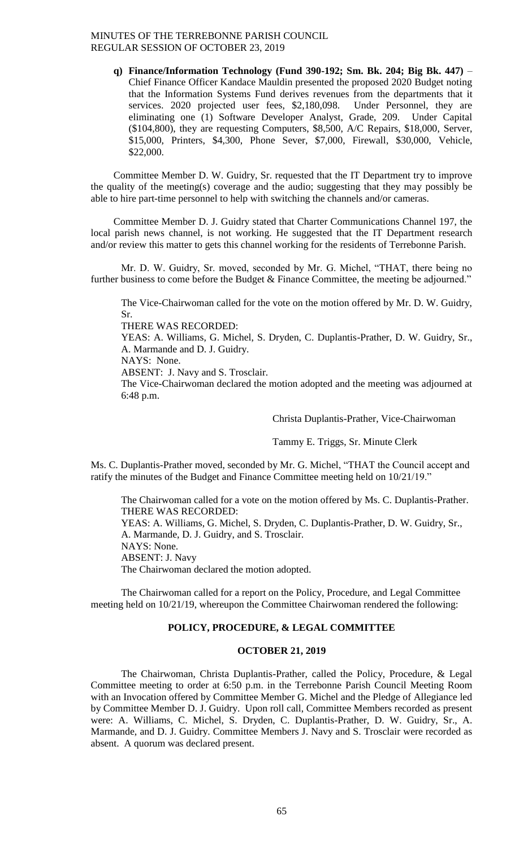**q) Finance/Information Technology (Fund 390-192; Sm. Bk. 204; Big Bk. 447)** – Chief Finance Officer Kandace Mauldin presented the proposed 2020 Budget noting that the Information Systems Fund derives revenues from the departments that it services. 2020 projected user fees, \$2,180,098. Under Personnel, they are eliminating one (1) Software Developer Analyst, Grade, 209. Under Capital (\$104,800), they are requesting Computers, \$8,500, A/C Repairs, \$18,000, Server, \$15,000, Printers, \$4,300, Phone Sever, \$7,000, Firewall, \$30,000, Vehicle, \$22,000.

Committee Member D. W. Guidry, Sr. requested that the IT Department try to improve the quality of the meeting(s) coverage and the audio; suggesting that they may possibly be able to hire part-time personnel to help with switching the channels and/or cameras.

Committee Member D. J. Guidry stated that Charter Communications Channel 197, the local parish news channel, is not working. He suggested that the IT Department research and/or review this matter to gets this channel working for the residents of Terrebonne Parish.

Mr. D. W. Guidry, Sr. moved, seconded by Mr. G. Michel, "THAT, there being no further business to come before the Budget & Finance Committee, the meeting be adjourned."

The Vice-Chairwoman called for the vote on the motion offered by Mr. D. W. Guidry, Sr.

THERE WAS RECORDED:

YEAS: A. Williams, G. Michel, S. Dryden, C. Duplantis-Prather, D. W. Guidry, Sr., A. Marmande and D. J. Guidry.

NAYS: None.

ABSENT: J. Navy and S. Trosclair.

The Vice-Chairwoman declared the motion adopted and the meeting was adjourned at 6:48 p.m.

Christa Duplantis-Prather, Vice-Chairwoman

Tammy E. Triggs, Sr. Minute Clerk

Ms. C. Duplantis-Prather moved, seconded by Mr. G. Michel, "THAT the Council accept and ratify the minutes of the Budget and Finance Committee meeting held on 10/21/19."

The Chairwoman called for a vote on the motion offered by Ms. C. Duplantis-Prather. THERE WAS RECORDED: YEAS: A. Williams, G. Michel, S. Dryden, C. Duplantis-Prather, D. W. Guidry, Sr., A. Marmande, D. J. Guidry, and S. Trosclair. NAYS: None. ABSENT: J. Navy The Chairwoman declared the motion adopted.

The Chairwoman called for a report on the Policy, Procedure, and Legal Committee meeting held on 10/21/19, whereupon the Committee Chairwoman rendered the following:

## **POLICY, PROCEDURE, & LEGAL COMMITTEE**

#### **OCTOBER 21, 2019**

The Chairwoman, Christa Duplantis-Prather, called the Policy, Procedure, & Legal Committee meeting to order at 6:50 p.m. in the Terrebonne Parish Council Meeting Room with an Invocation offered by Committee Member G. Michel and the Pledge of Allegiance led by Committee Member D. J. Guidry. Upon roll call, Committee Members recorded as present were: A. Williams, C. Michel, S. Dryden, C. Duplantis-Prather, D. W. Guidry, Sr., A. Marmande, and D. J. Guidry. Committee Members J. Navy and S. Trosclair were recorded as absent. A quorum was declared present.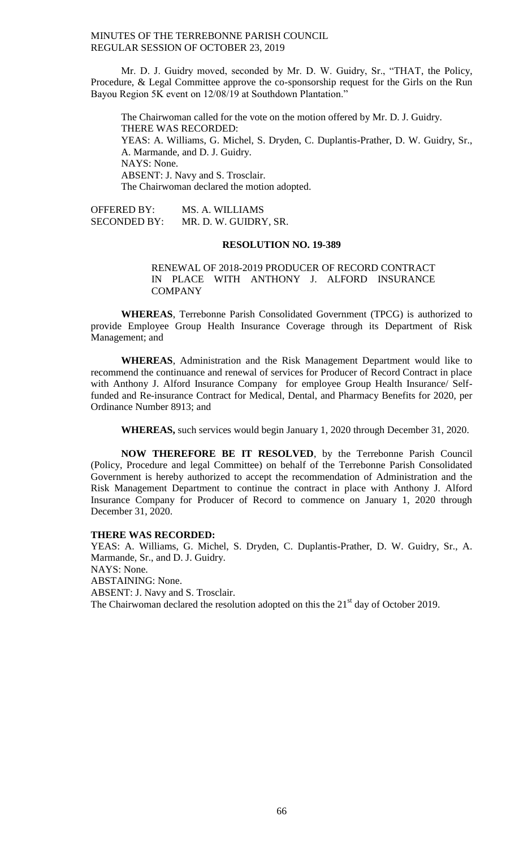Mr. D. J. Guidry moved, seconded by Mr. D. W. Guidry, Sr., "THAT, the Policy, Procedure, & Legal Committee approve the co-sponsorship request for the Girls on the Run Bayou Region 5K event on 12/08/19 at Southdown Plantation."

The Chairwoman called for the vote on the motion offered by Mr. D. J. Guidry. THERE WAS RECORDED: YEAS: A. Williams, G. Michel, S. Dryden, C. Duplantis-Prather, D. W. Guidry, Sr., A. Marmande, and D. J. Guidry. NAYS: None. ABSENT: J. Navy and S. Trosclair. The Chairwoman declared the motion adopted.

OFFERED BY: MS. A. WILLIAMS SECONDED BY: MR. D. W. GUIDRY, SR.

#### **RESOLUTION NO. 19-389**

RENEWAL OF 2018-2019 PRODUCER OF RECORD CONTRACT IN PLACE WITH ANTHONY J. ALFORD INSURANCE **COMPANY** 

**WHEREAS**, Terrebonne Parish Consolidated Government (TPCG) is authorized to provide Employee Group Health Insurance Coverage through its Department of Risk Management; and

**WHEREAS**, Administration and the Risk Management Department would like to recommend the continuance and renewal of services for Producer of Record Contract in place with Anthony J. Alford Insurance Company for employee Group Health Insurance/ Selffunded and Re-insurance Contract for Medical, Dental, and Pharmacy Benefits for 2020, per Ordinance Number 8913; and

**WHEREAS,** such services would begin January 1, 2020 through December 31, 2020.

**NOW THEREFORE BE IT RESOLVED**, by the Terrebonne Parish Council (Policy, Procedure and legal Committee) on behalf of the Terrebonne Parish Consolidated Government is hereby authorized to accept the recommendation of Administration and the Risk Management Department to continue the contract in place with Anthony J. Alford Insurance Company for Producer of Record to commence on January 1, 2020 through December 31, 2020.

#### **THERE WAS RECORDED:**

YEAS: A. Williams, G. Michel, S. Dryden, C. Duplantis-Prather, D. W. Guidry, Sr., A. Marmande, Sr., and D. J. Guidry. NAYS: None. ABSTAINING: None. ABSENT: J. Navy and S. Trosclair. The Chairwoman declared the resolution adopted on this the  $21<sup>st</sup>$  day of October 2019.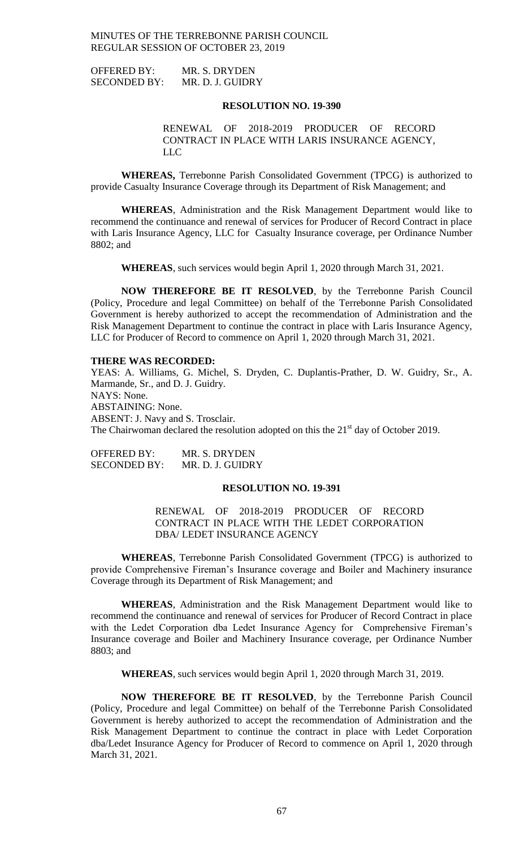OFFERED BY: MR. S. DRYDEN SECONDED BY: MR. D. J. GUIDRY

#### **RESOLUTION NO. 19-390**

RENEWAL OF 2018-2019 PRODUCER OF RECORD CONTRACT IN PLACE WITH LARIS INSURANCE AGENCY, LLC

**WHEREAS,** Terrebonne Parish Consolidated Government (TPCG) is authorized to provide Casualty Insurance Coverage through its Department of Risk Management; and

**WHEREAS**, Administration and the Risk Management Department would like to recommend the continuance and renewal of services for Producer of Record Contract in place with Laris Insurance Agency, LLC for Casualty Insurance coverage, per Ordinance Number 8802; and

**WHEREAS**, such services would begin April 1, 2020 through March 31, 2021.

**NOW THEREFORE BE IT RESOLVED**, by the Terrebonne Parish Council (Policy, Procedure and legal Committee) on behalf of the Terrebonne Parish Consolidated Government is hereby authorized to accept the recommendation of Administration and the Risk Management Department to continue the contract in place with Laris Insurance Agency, LLC for Producer of Record to commence on April 1, 2020 through March 31, 2021.

#### **THERE WAS RECORDED:**

YEAS: A. Williams, G. Michel, S. Dryden, C. Duplantis-Prather, D. W. Guidry, Sr., A. Marmande, Sr., and D. J. Guidry. NAYS: None. ABSTAINING: None. ABSENT: J. Navy and S. Trosclair. The Chairwoman declared the resolution adopted on this the  $21<sup>st</sup>$  day of October 2019.

OFFERED BY: MR. S. DRYDEN SECONDED BY: MR. D. J. GUIDRY

#### **RESOLUTION NO. 19-391**

RENEWAL OF 2018-2019 PRODUCER OF RECORD CONTRACT IN PLACE WITH THE LEDET CORPORATION DBA/ LEDET INSURANCE AGENCY

**WHEREAS**, Terrebonne Parish Consolidated Government (TPCG) is authorized to provide Comprehensive Fireman's Insurance coverage and Boiler and Machinery insurance Coverage through its Department of Risk Management; and

**WHEREAS**, Administration and the Risk Management Department would like to recommend the continuance and renewal of services for Producer of Record Contract in place with the Ledet Corporation dba Ledet Insurance Agency for Comprehensive Fireman's Insurance coverage and Boiler and Machinery Insurance coverage, per Ordinance Number 8803; and

**WHEREAS**, such services would begin April 1, 2020 through March 31, 2019.

**NOW THEREFORE BE IT RESOLVED**, by the Terrebonne Parish Council (Policy, Procedure and legal Committee) on behalf of the Terrebonne Parish Consolidated Government is hereby authorized to accept the recommendation of Administration and the Risk Management Department to continue the contract in place with Ledet Corporation dba/Ledet Insurance Agency for Producer of Record to commence on April 1, 2020 through March 31, 2021.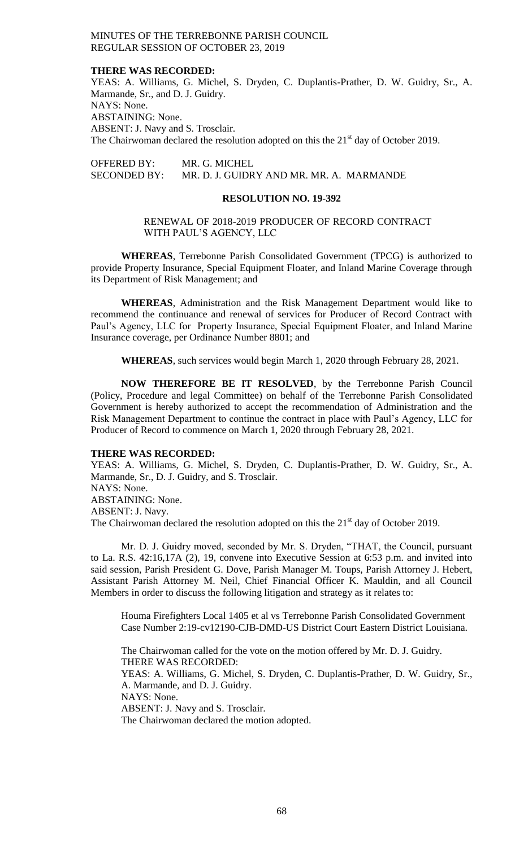#### **THERE WAS RECORDED:**

YEAS: A. Williams, G. Michel, S. Dryden, C. Duplantis-Prather, D. W. Guidry, Sr., A. Marmande, Sr., and D. J. Guidry. NAYS: None. ABSTAINING: None. ABSENT: J. Navy and S. Trosclair. The Chairwoman declared the resolution adopted on this the  $21<sup>st</sup>$  day of October 2019.

OFFERED BY: MR. G. MICHEL SECONDED BY: MR. D. J. GUIDRY AND MR. MR. A. MARMANDE

#### **RESOLUTION NO. 19-392**

## RENEWAL OF 2018-2019 PRODUCER OF RECORD CONTRACT WITH PAUL'S AGENCY, LLC

**WHEREAS**, Terrebonne Parish Consolidated Government (TPCG) is authorized to provide Property Insurance, Special Equipment Floater, and Inland Marine Coverage through its Department of Risk Management; and

**WHEREAS**, Administration and the Risk Management Department would like to recommend the continuance and renewal of services for Producer of Record Contract with Paul's Agency, LLC for Property Insurance, Special Equipment Floater, and Inland Marine Insurance coverage, per Ordinance Number 8801; and

**WHEREAS**, such services would begin March 1, 2020 through February 28, 2021.

**NOW THEREFORE BE IT RESOLVED**, by the Terrebonne Parish Council (Policy, Procedure and legal Committee) on behalf of the Terrebonne Parish Consolidated Government is hereby authorized to accept the recommendation of Administration and the Risk Management Department to continue the contract in place with Paul's Agency, LLC for Producer of Record to commence on March 1, 2020 through February 28, 2021.

#### **THERE WAS RECORDED:**

YEAS: A. Williams, G. Michel, S. Dryden, C. Duplantis-Prather, D. W. Guidry, Sr., A. Marmande, Sr., D. J. Guidry, and S. Trosclair. NAYS: None. ABSTAINING: None. ABSENT: J. Navy. The Chairwoman declared the resolution adopted on this the  $21<sup>st</sup>$  day of October 2019.

Mr. D. J. Guidry moved, seconded by Mr. S. Dryden, "THAT, the Council, pursuant to La. R.S. 42:16,17A (2), 19, convene into Executive Session at 6:53 p.m. and invited into said session, Parish President G. Dove, Parish Manager M. Toups, Parish Attorney J. Hebert, Assistant Parish Attorney M. Neil, Chief Financial Officer K. Mauldin, and all Council Members in order to discuss the following litigation and strategy as it relates to:

Houma Firefighters Local 1405 et al vs Terrebonne Parish Consolidated Government Case Number 2:19-cv12190-CJB-DMD-US District Court Eastern District Louisiana.

The Chairwoman called for the vote on the motion offered by Mr. D. J. Guidry. THERE WAS RECORDED: YEAS: A. Williams, G. Michel, S. Dryden, C. Duplantis-Prather, D. W. Guidry, Sr., A. Marmande, and D. J. Guidry. NAYS: None. ABSENT: J. Navy and S. Trosclair. The Chairwoman declared the motion adopted.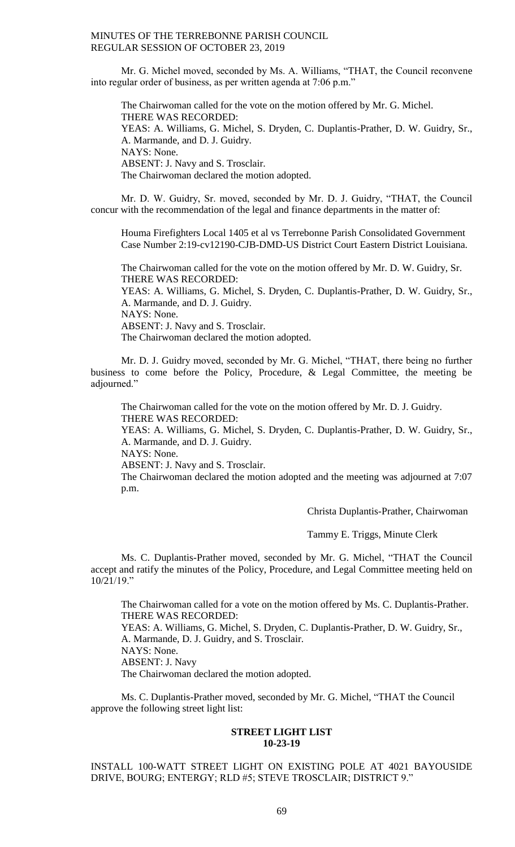Mr. G. Michel moved, seconded by Ms. A. Williams, "THAT, the Council reconvene into regular order of business, as per written agenda at 7:06 p.m."

The Chairwoman called for the vote on the motion offered by Mr. G. Michel. THERE WAS RECORDED: YEAS: A. Williams, G. Michel, S. Dryden, C. Duplantis-Prather, D. W. Guidry, Sr., A. Marmande, and D. J. Guidry. NAYS: None. ABSENT: J. Navy and S. Trosclair. The Chairwoman declared the motion adopted.

Mr. D. W. Guidry, Sr. moved, seconded by Mr. D. J. Guidry, "THAT, the Council concur with the recommendation of the legal and finance departments in the matter of:

Houma Firefighters Local 1405 et al vs Terrebonne Parish Consolidated Government Case Number 2:19-cv12190-CJB-DMD-US District Court Eastern District Louisiana.

The Chairwoman called for the vote on the motion offered by Mr. D. W. Guidry, Sr. THERE WAS RECORDED:

YEAS: A. Williams, G. Michel, S. Dryden, C. Duplantis-Prather, D. W. Guidry, Sr., A. Marmande, and D. J. Guidry.

NAYS: None.

ABSENT: J. Navy and S. Trosclair.

The Chairwoman declared the motion adopted.

Mr. D. J. Guidry moved, seconded by Mr. G. Michel, "THAT, there being no further business to come before the Policy, Procedure, & Legal Committee, the meeting be adjourned."

The Chairwoman called for the vote on the motion offered by Mr. D. J. Guidry. THERE WAS RECORDED:

YEAS: A. Williams, G. Michel, S. Dryden, C. Duplantis-Prather, D. W. Guidry, Sr., A. Marmande, and D. J. Guidry.

NAYS: None.

ABSENT: J. Navy and S. Trosclair.

The Chairwoman declared the motion adopted and the meeting was adjourned at 7:07 p.m.

Christa Duplantis-Prather, Chairwoman

Tammy E. Triggs, Minute Clerk

Ms. C. Duplantis-Prather moved, seconded by Mr. G. Michel, "THAT the Council accept and ratify the minutes of the Policy, Procedure, and Legal Committee meeting held on 10/21/19."

The Chairwoman called for a vote on the motion offered by Ms. C. Duplantis-Prather. THERE WAS RECORDED:

YEAS: A. Williams, G. Michel, S. Dryden, C. Duplantis-Prather, D. W. Guidry, Sr., A. Marmande, D. J. Guidry, and S. Trosclair. NAYS: None.

ABSENT: J. Navy

The Chairwoman declared the motion adopted.

Ms. C. Duplantis-Prather moved, seconded by Mr. G. Michel, "THAT the Council approve the following street light list:

## **STREET LIGHT LIST 10-23-19**

# INSTALL 100-WATT STREET LIGHT ON EXISTING POLE AT 4021 BAYOUSIDE DRIVE, BOURG; ENTERGY; RLD #5; STEVE TROSCLAIR; DISTRICT 9."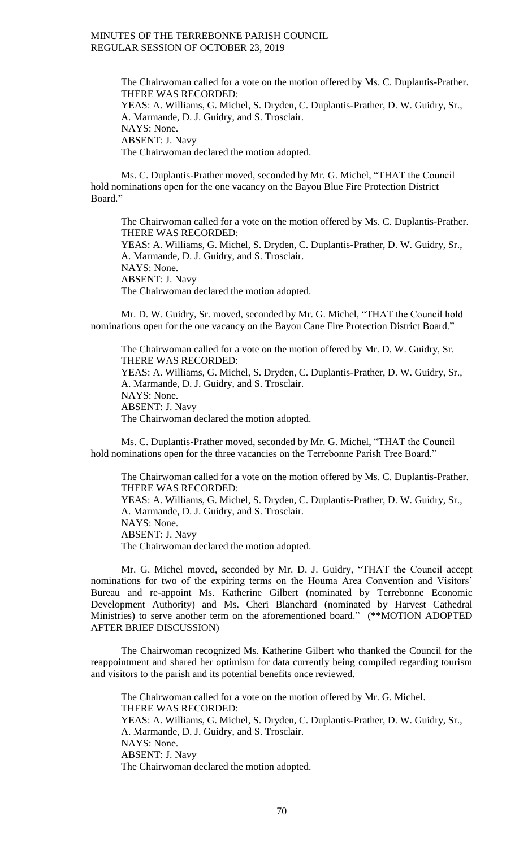The Chairwoman called for a vote on the motion offered by Ms. C. Duplantis-Prather. THERE WAS RECORDED: YEAS: A. Williams, G. Michel, S. Dryden, C. Duplantis-Prather, D. W. Guidry, Sr., A. Marmande, D. J. Guidry, and S. Trosclair. NAYS: None. ABSENT: J. Navy The Chairwoman declared the motion adopted.

Ms. C. Duplantis-Prather moved, seconded by Mr. G. Michel, "THAT the Council hold nominations open for the one vacancy on the Bayou Blue Fire Protection District Board."

The Chairwoman called for a vote on the motion offered by Ms. C. Duplantis-Prather. THERE WAS RECORDED: YEAS: A. Williams, G. Michel, S. Dryden, C. Duplantis-Prather, D. W. Guidry, Sr., A. Marmande, D. J. Guidry, and S. Trosclair. NAYS: None. ABSENT: J. Navy The Chairwoman declared the motion adopted.

Mr. D. W. Guidry, Sr. moved, seconded by Mr. G. Michel, "THAT the Council hold nominations open for the one vacancy on the Bayou Cane Fire Protection District Board."

The Chairwoman called for a vote on the motion offered by Mr. D. W. Guidry, Sr. THERE WAS RECORDED: YEAS: A. Williams, G. Michel, S. Dryden, C. Duplantis-Prather, D. W. Guidry, Sr., A. Marmande, D. J. Guidry, and S. Trosclair. NAYS: None. ABSENT: J. Navy The Chairwoman declared the motion adopted.

Ms. C. Duplantis-Prather moved, seconded by Mr. G. Michel, "THAT the Council hold nominations open for the three vacancies on the Terrebonne Parish Tree Board."

The Chairwoman called for a vote on the motion offered by Ms. C. Duplantis-Prather. THERE WAS RECORDED: YEAS: A. Williams, G. Michel, S. Dryden, C. Duplantis-Prather, D. W. Guidry, Sr., A. Marmande, D. J. Guidry, and S. Trosclair. NAYS: None. ABSENT: J. Navy The Chairwoman declared the motion adopted.

Mr. G. Michel moved, seconded by Mr. D. J. Guidry, "THAT the Council accept nominations for two of the expiring terms on the Houma Area Convention and Visitors' Bureau and re-appoint Ms. Katherine Gilbert (nominated by Terrebonne Economic Development Authority) and Ms. Cheri Blanchard (nominated by Harvest Cathedral Ministries) to serve another term on the aforementioned board." (\*\*MOTION ADOPTED AFTER BRIEF DISCUSSION)

The Chairwoman recognized Ms. Katherine Gilbert who thanked the Council for the reappointment and shared her optimism for data currently being compiled regarding tourism and visitors to the parish and its potential benefits once reviewed.

The Chairwoman called for a vote on the motion offered by Mr. G. Michel. THERE WAS RECORDED: YEAS: A. Williams, G. Michel, S. Dryden, C. Duplantis-Prather, D. W. Guidry, Sr., A. Marmande, D. J. Guidry, and S. Trosclair. NAYS: None. ABSENT: J. Navy The Chairwoman declared the motion adopted.